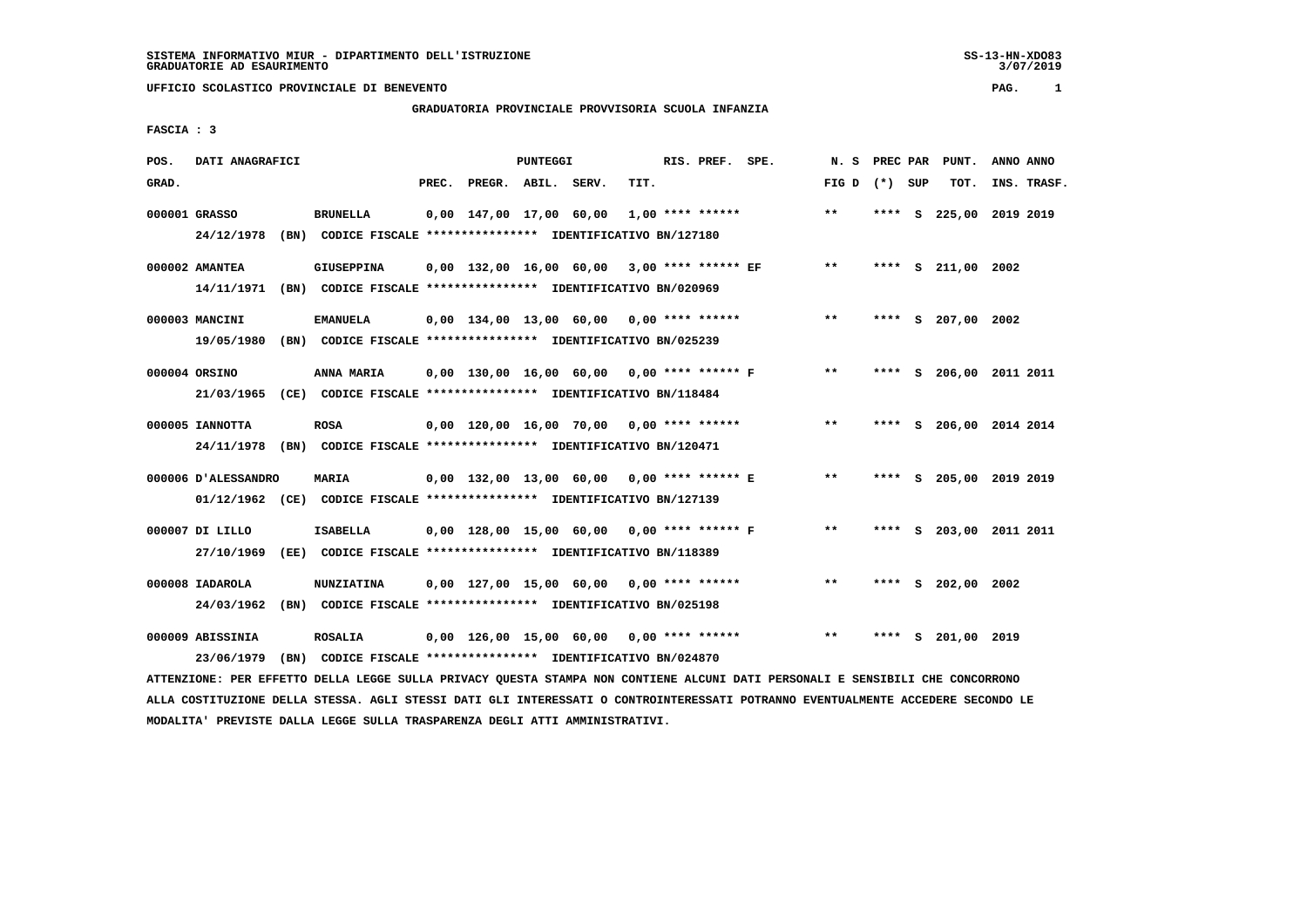# **GRADUATORIA PROVINCIALE PROVVISORIA SCUOLA INFANZIA**

 **FASCIA : 3**

| POS.  | DATI ANAGRAFICI     |      |                                                                                                                               |                          | PUNTEGGI |                                               |      | RIS. PREF. SPE. | N. S  | PREC PAR |     | PUNT.                   | ANNO ANNO   |
|-------|---------------------|------|-------------------------------------------------------------------------------------------------------------------------------|--------------------------|----------|-----------------------------------------------|------|-----------------|-------|----------|-----|-------------------------|-------------|
| GRAD. |                     |      |                                                                                                                               | PREC. PREGR. ABIL. SERV. |          |                                               | TIT. |                 | FIG D | (*) SUP  |     | TOT.                    | INS. TRASF. |
|       | 000001 GRASSO       |      | <b>BRUNELLA</b>                                                                                                               |                          |          | $0,00$ 147,00 17,00 60,00 1,00 **** ******    |      |                 | $* *$ | ****     | - S | 225,00 2019 2019        |             |
|       | 24/12/1978          |      | (BN) CODICE FISCALE **************** IDENTIFICATIVO BN/127180                                                                 |                          |          |                                               |      |                 |       |          |     |                         |             |
|       | 000002 AMANTEA      |      | <b>GIUSEPPINA</b>                                                                                                             |                          |          | $0,00$ 132,00 16,00 60,00 3,00 **** ****** EF |      |                 | $* *$ |          |     | **** S 211,00 2002      |             |
|       |                     |      | 14/11/1971 (BN) CODICE FISCALE *************** IDENTIFICATIVO BN/020969                                                       |                          |          |                                               |      |                 |       |          |     |                         |             |
|       | 000003 MANCINI      |      | <b>EMANUELA</b>                                                                                                               |                          |          | $0,00$ 134,00 13,00 60,00 0,00 **** ******    |      |                 | $* *$ |          |     | **** S 207,00 2002      |             |
|       |                     |      | 19/05/1980 (BN) CODICE FISCALE *************** IDENTIFICATIVO BN/025239                                                       |                          |          |                                               |      |                 |       |          |     |                         |             |
|       | 000004 ORSINO       |      | ANNA MARIA                                                                                                                    |                          |          | 0,00 130,00 16,00 60,00 0,00 **** ****** F    |      |                 | $* *$ |          |     | **** S 206,00 2011 2011 |             |
|       | 21/03/1965          |      | (CE) CODICE FISCALE **************** IDENTIFICATIVO BN/118484                                                                 |                          |          |                                               |      |                 |       |          |     |                         |             |
|       | 000005 IANNOTTA     |      | <b>ROSA</b>                                                                                                                   |                          |          | $0.00$ 120.00 16.00 70.00 0.00 **** ******    |      |                 | $* *$ |          |     | **** S 206,00 2014 2014 |             |
|       |                     |      | 24/11/1978 (BN) CODICE FISCALE *************** IDENTIFICATIVO BN/120471                                                       |                          |          |                                               |      |                 |       |          |     |                         |             |
|       | 000006 D'ALESSANDRO |      | MARIA                                                                                                                         |                          |          | 0,00 132,00 13,00 60,00 0,00 **** ****** E    |      |                 | $***$ |          |     | **** S 205,00 2019 2019 |             |
|       |                     |      | 01/12/1962 (CE) CODICE FISCALE *************** IDENTIFICATIVO BN/127139                                                       |                          |          |                                               |      |                 |       |          |     |                         |             |
|       | 000007 DI LILLO     |      | <b>ISABELLA</b>                                                                                                               |                          |          | 0,00 128,00 15,00 60,00 0,00 **** ****** F    |      |                 | $* *$ |          |     | **** S 203,00 2011 2011 |             |
|       | 27/10/1969          |      | (EE) CODICE FISCALE **************** IDENTIFICATIVO BN/118389                                                                 |                          |          |                                               |      |                 |       |          |     |                         |             |
|       | 000008 IADAROLA     |      | <b>NUNZIATINA</b>                                                                                                             |                          |          | $0,00$ 127,00 15,00 60,00 0,00 **** ******    |      |                 | $***$ |          |     | **** S 202,00 2002      |             |
|       | 24/03/1962          |      | (BN) CODICE FISCALE **************** IDENTIFICATIVO BN/025198                                                                 |                          |          |                                               |      |                 |       |          |     |                         |             |
|       | 000009 ABISSINIA    |      | <b>ROSALIA</b>                                                                                                                |                          |          | $0,00$ 126,00 15,00 60,00 0,00 **** ******    |      |                 | $* *$ |          | s   | 201,00 2019             |             |
|       | 23/06/1979          | (BN) | CODICE FISCALE **************** IDENTIFICATIVO BN/024870                                                                      |                          |          |                                               |      |                 |       |          |     |                         |             |
|       |                     |      | ATTENZIONE: PER EFFETTO DELLA LEGGE SULLA PRIVACY QUESTA STAMPA NON CONTIENE ALCUNI DATI PERSONALI E SENSIBILI CHE CONCORRONO |                          |          |                                               |      |                 |       |          |     |                         |             |

 **ALLA COSTITUZIONE DELLA STESSA. AGLI STESSI DATI GLI INTERESSATI O CONTROINTERESSATI POTRANNO EVENTUALMENTE ACCEDERE SECONDO LE MODALITA' PREVISTE DALLA LEGGE SULLA TRASPARENZA DEGLI ATTI AMMINISTRATIVI.**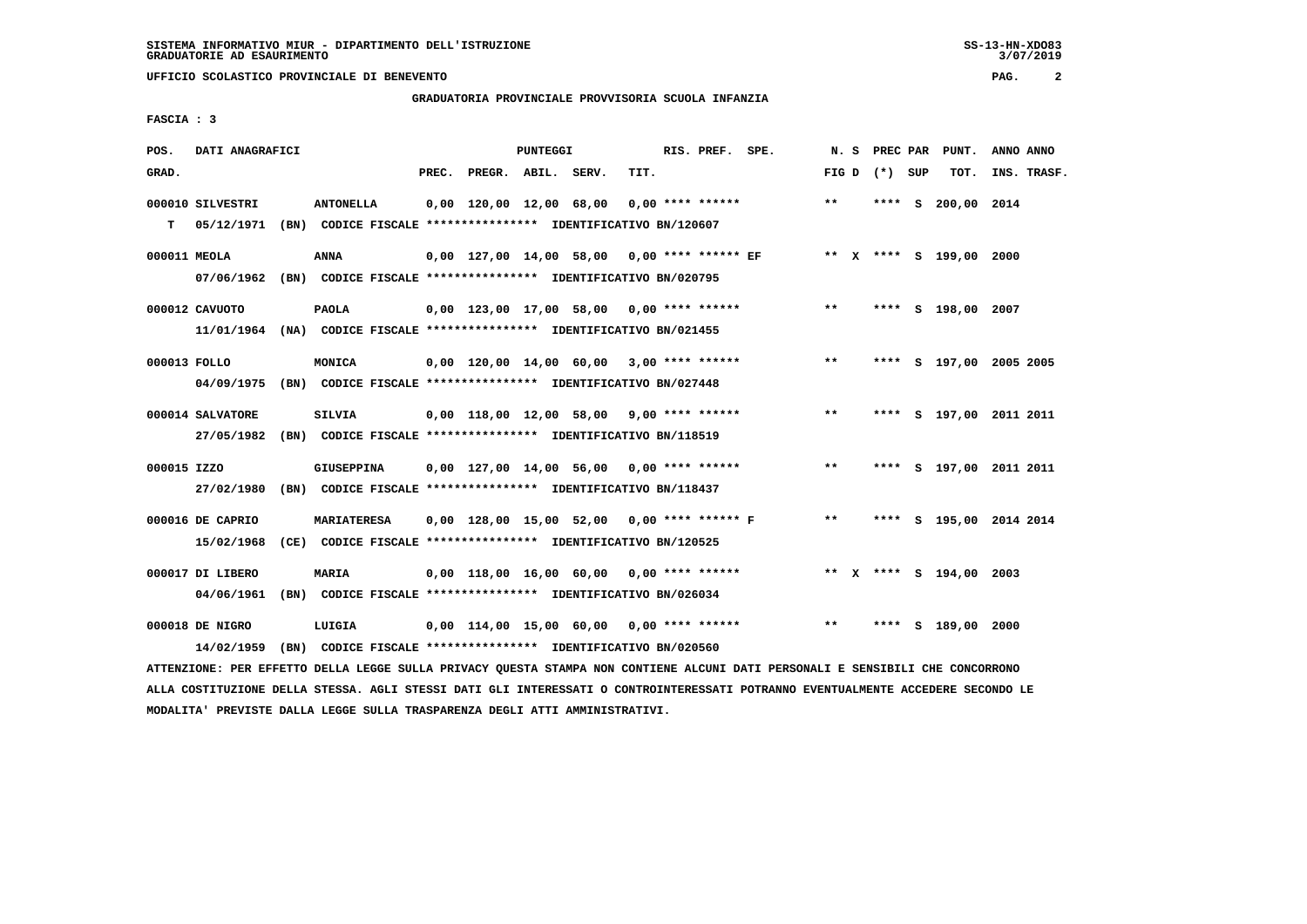# **GRADUATORIA PROVINCIALE PROVVISORIA SCUOLA INFANZIA**

 **FASCIA : 3**

| POS.         | DATI ANAGRAFICI  |                                                                         |                          | <b>PUNTEGGI</b> |                                               |      | RIS. PREF. SPE.    | N.S   |                 |    | PREC PAR PUNT.          | ANNO ANNO               |
|--------------|------------------|-------------------------------------------------------------------------|--------------------------|-----------------|-----------------------------------------------|------|--------------------|-------|-----------------|----|-------------------------|-------------------------|
| GRAD.        |                  |                                                                         | PREC. PREGR. ABIL. SERV. |                 |                                               | TIT. |                    |       | FIG D $(*)$ SUP |    | TOT.                    | INS. TRASF.             |
|              | 000010 SILVESTRI | <b>ANTONELLA</b>                                                        | 0,00 120,00 12,00 68,00  |                 |                                               |      | $0,00$ **** ****** | $***$ | ****            | s. | 200,00 2014             |                         |
| т            | 05/12/1971       | (BN) CODICE FISCALE **************** IDENTIFICATIVO BN/120607           |                          |                 |                                               |      |                    |       |                 |    |                         |                         |
| 000011 MEOLA |                  | ANNA                                                                    |                          |                 | $0,00$ 127,00 14,00 58,00 0,00 **** ****** EF |      |                    |       |                 |    | ** X **** S 199,00 2000 |                         |
|              | 07/06/1962       | (BN) CODICE FISCALE *************** IDENTIFICATIVO BN/020795            |                          |                 |                                               |      |                    |       |                 |    |                         |                         |
|              | 000012 CAVUOTO   | <b>PAOLA</b>                                                            |                          |                 | 0,00 123,00 17,00 58,00 0,00 **** ******      |      |                    | $* *$ |                 |    | **** S 198,00 2007      |                         |
|              |                  | 11/01/1964 (NA) CODICE FISCALE *************** IDENTIFICATIVO BN/021455 |                          |                 |                                               |      |                    |       |                 |    |                         |                         |
| 000013 FOLLO |                  | <b>MONICA</b>                                                           |                          |                 | $0,00$ 120,00 14,00 60,00 3,00 **** ******    |      |                    | $***$ |                 |    |                         | **** S 197,00 2005 2005 |
|              | 04/09/1975       | (BN) CODICE FISCALE **************** IDENTIFICATIVO BN/027448           |                          |                 |                                               |      |                    |       |                 |    |                         |                         |
|              | 000014 SALVATORE | SILVIA                                                                  |                          |                 | $0,00$ 118,00 12,00 58,00 9,00 **** ******    |      |                    | $* *$ |                 |    |                         | **** S 197,00 2011 2011 |
|              | 27/05/1982       | (BN) CODICE FISCALE **************** IDENTIFICATIVO BN/118519           |                          |                 |                                               |      |                    |       |                 |    |                         |                         |
| 000015 IZZO  |                  | GIUSEPPINA                                                              |                          |                 | $0,00$ 127,00 14,00 56,00 0,00 **** ******    |      |                    | $**$  |                 |    |                         | **** S 197,00 2011 2011 |
|              | 27/02/1980       | (BN) CODICE FISCALE **************** IDENTIFICATIVO BN/118437           |                          |                 |                                               |      |                    |       |                 |    |                         |                         |
|              | 000016 DE CAPRIO | <b>MARIATERESA</b>                                                      |                          |                 | 0,00 128,00 15,00 52,00 0,00 **** ****** F    |      |                    | $***$ |                 |    |                         | **** S 195,00 2014 2014 |
|              | 15/02/1968       | (CE) CODICE FISCALE **************** IDENTIFICATIVO BN/120525           |                          |                 |                                               |      |                    |       |                 |    |                         |                         |
|              | 000017 DI LIBERO | <b>MARIA</b>                                                            |                          |                 | $0,00$ 118,00 16,00 60,00 0,00 **** ******    |      |                    |       |                 |    | ** X **** S 194,00 2003 |                         |
|              | 04/06/1961       | (BN) CODICE FISCALE **************** IDENTIFICATIVO BN/026034           |                          |                 |                                               |      |                    |       |                 |    |                         |                         |
|              | 000018 DE NIGRO  | LUIGIA                                                                  |                          |                 | $0,00$ 114,00 15,00 60,00 0,00 **** ******    |      |                    | $***$ |                 |    | **** S 189,00 2000      |                         |
|              | 14/02/1959       | (BN) CODICE FISCALE **************** IDENTIFICATIVO BN/020560           |                          |                 |                                               |      |                    |       |                 |    |                         |                         |

 **ATTENZIONE: PER EFFETTO DELLA LEGGE SULLA PRIVACY QUESTA STAMPA NON CONTIENE ALCUNI DATI PERSONALI E SENSIBILI CHE CONCORRONO ALLA COSTITUZIONE DELLA STESSA. AGLI STESSI DATI GLI INTERESSATI O CONTROINTERESSATI POTRANNO EVENTUALMENTE ACCEDERE SECONDO LE MODALITA' PREVISTE DALLA LEGGE SULLA TRASPARENZA DEGLI ATTI AMMINISTRATIVI.**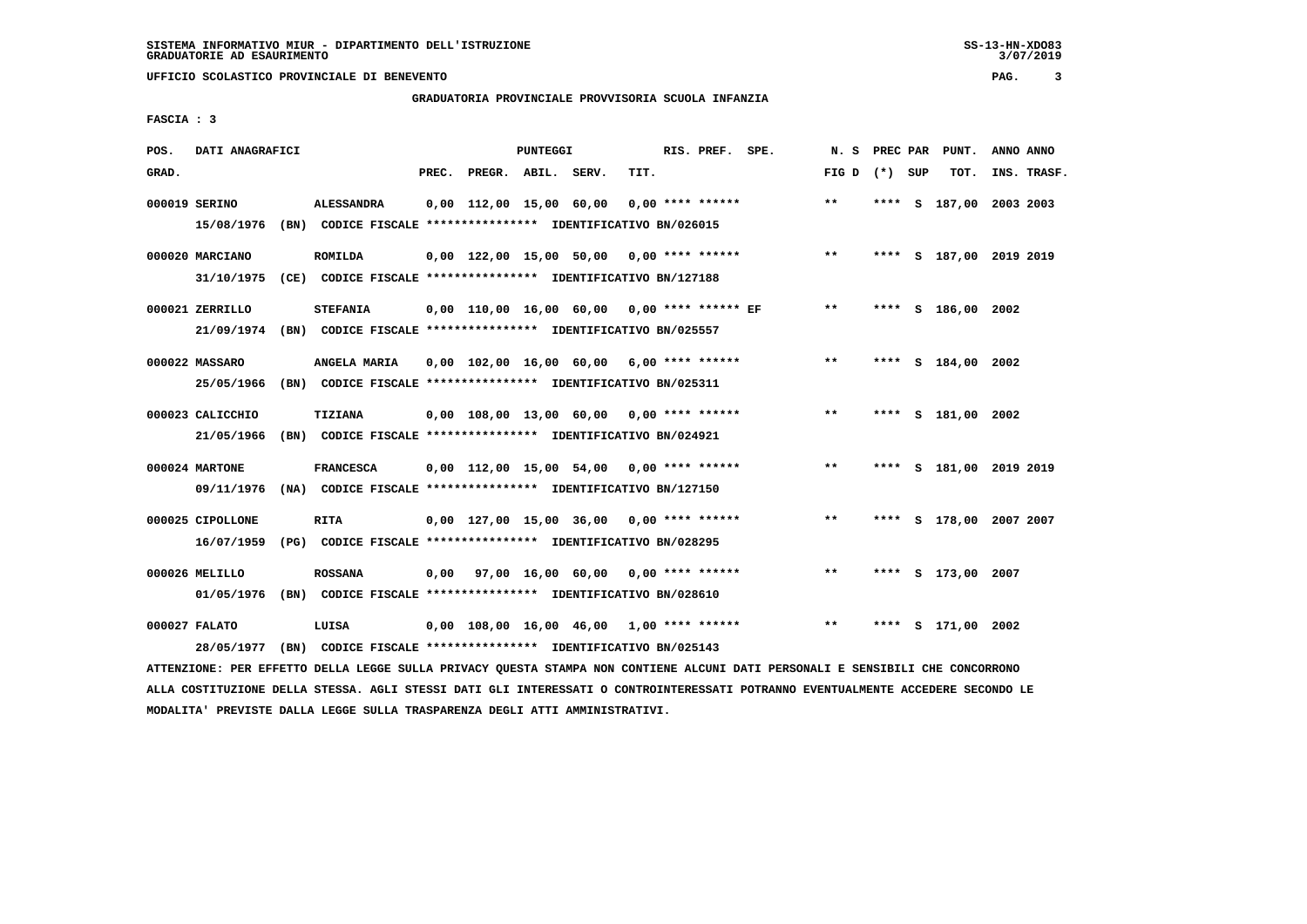### **GRADUATORIA PROVINCIALE PROVVISORIA SCUOLA INFANZIA**

 **FASCIA : 3**

| POS.  | DATI ANAGRAFICI  |                                                                         |       |                         | <b>PUNTEGGI</b> |                                               |      | RIS. PREF.       | SPE. | N. S  | PREC PAR |     | PUNT.                   | ANNO ANNO |             |
|-------|------------------|-------------------------------------------------------------------------|-------|-------------------------|-----------------|-----------------------------------------------|------|------------------|------|-------|----------|-----|-------------------------|-----------|-------------|
| GRAD. |                  |                                                                         | PREC. | PREGR. ABIL. SERV.      |                 |                                               | TIT. |                  |      | FIG D | $(*)$    | SUP | TOT.                    |           | INS. TRASF. |
|       | 000019 SERINO    | <b>ALESSANDRA</b>                                                       |       | 0,00 112,00 15,00 60,00 |                 |                                               |      | 0,00 **** ****** |      | $* *$ | ****     |     | S 187,00 2003 2003      |           |             |
|       | 15/08/1976       | (BN) CODICE FISCALE **************** IDENTIFICATIVO BN/026015           |       |                         |                 |                                               |      |                  |      |       |          |     |                         |           |             |
|       | 000020 MARCIANO  | <b>ROMILDA</b>                                                          |       |                         |                 | $0,00$ 122,00 15,00 50,00 0,00 **** ******    |      |                  |      | $**$  |          |     | **** S 187,00 2019 2019 |           |             |
|       | 31/10/1975       | (CE) CODICE FISCALE **************** IDENTIFICATIVO BN/127188           |       |                         |                 |                                               |      |                  |      |       |          |     |                         |           |             |
|       | 000021 ZERRILLO  | <b>STEFANIA</b>                                                         |       |                         |                 | $0.00$ 110.00 16.00 60.00 0.00 **** ****** EF |      |                  |      | $* *$ |          |     | **** S 186,00 2002      |           |             |
|       |                  | 21/09/1974 (BN) CODICE FISCALE *************** IDENTIFICATIVO BN/025557 |       |                         |                 |                                               |      |                  |      |       |          |     |                         |           |             |
|       | 000022 MASSARO   | ANGELA MARIA                                                            |       |                         |                 | $0,00$ 102,00 16,00 60,00 6,00 **** ******    |      |                  |      | **    |          |     | **** S 184,00 2002      |           |             |
|       | 25/05/1966       | (BN) CODICE FISCALE **************** IDENTIFICATIVO BN/025311           |       |                         |                 |                                               |      |                  |      |       |          |     |                         |           |             |
|       | 000023 CALICCHIO | TIZIANA                                                                 |       |                         |                 | $0,00$ 108,00 13,00 60,00 0,00 **** ******    |      |                  |      | $***$ |          |     | **** S 181,00 2002      |           |             |
|       | 21/05/1966       | (BN) CODICE FISCALE **************** IDENTIFICATIVO BN/024921           |       |                         |                 |                                               |      |                  |      |       |          |     |                         |           |             |
|       | 000024 MARTONE   | <b>FRANCESCA</b>                                                        |       |                         |                 | $0,00$ 112,00 15,00 54,00 0,00 **** ******    |      |                  |      | $***$ |          |     | **** S 181,00 2019 2019 |           |             |
|       | 09/11/1976       | (NA) CODICE FISCALE **************** IDENTIFICATIVO BN/127150           |       |                         |                 |                                               |      |                  |      |       |          |     |                         |           |             |
|       | 000025 CIPOLLONE | <b>RITA</b>                                                             |       |                         |                 | $0,00$ 127,00 15,00 36,00 0,00 **** ******    |      |                  |      | $* *$ |          |     | **** S 178,00 2007 2007 |           |             |
|       | 16/07/1959       | (PG) CODICE FISCALE **************** IDENTIFICATIVO BN/028295           |       |                         |                 |                                               |      |                  |      |       |          |     |                         |           |             |
|       | 000026 MELILLO   | <b>ROSSANA</b>                                                          |       |                         |                 | $0,00$ 97,00 16,00 60,00 0,00 **** ******     |      |                  |      | $* *$ |          |     | **** S 173,00 2007      |           |             |
|       | 01/05/1976       | (BN) CODICE FISCALE **************** IDENTIFICATIVO BN/028610           |       |                         |                 |                                               |      |                  |      |       |          |     |                         |           |             |
|       | 000027 FALATO    | LUISA                                                                   |       |                         |                 | $0,00$ 108,00 16,00 46,00 1,00 **** ******    |      |                  |      | $***$ | ****     |     | s 171,00 2002           |           |             |
|       | 28/05/1977       | (BN) CODICE FISCALE **************** IDENTIFICATIVO BN/025143           |       |                         |                 |                                               |      |                  |      |       |          |     |                         |           |             |

 **ATTENZIONE: PER EFFETTO DELLA LEGGE SULLA PRIVACY QUESTA STAMPA NON CONTIENE ALCUNI DATI PERSONALI E SENSIBILI CHE CONCORRONO ALLA COSTITUZIONE DELLA STESSA. AGLI STESSI DATI GLI INTERESSATI O CONTROINTERESSATI POTRANNO EVENTUALMENTE ACCEDERE SECONDO LE MODALITA' PREVISTE DALLA LEGGE SULLA TRASPARENZA DEGLI ATTI AMMINISTRATIVI.**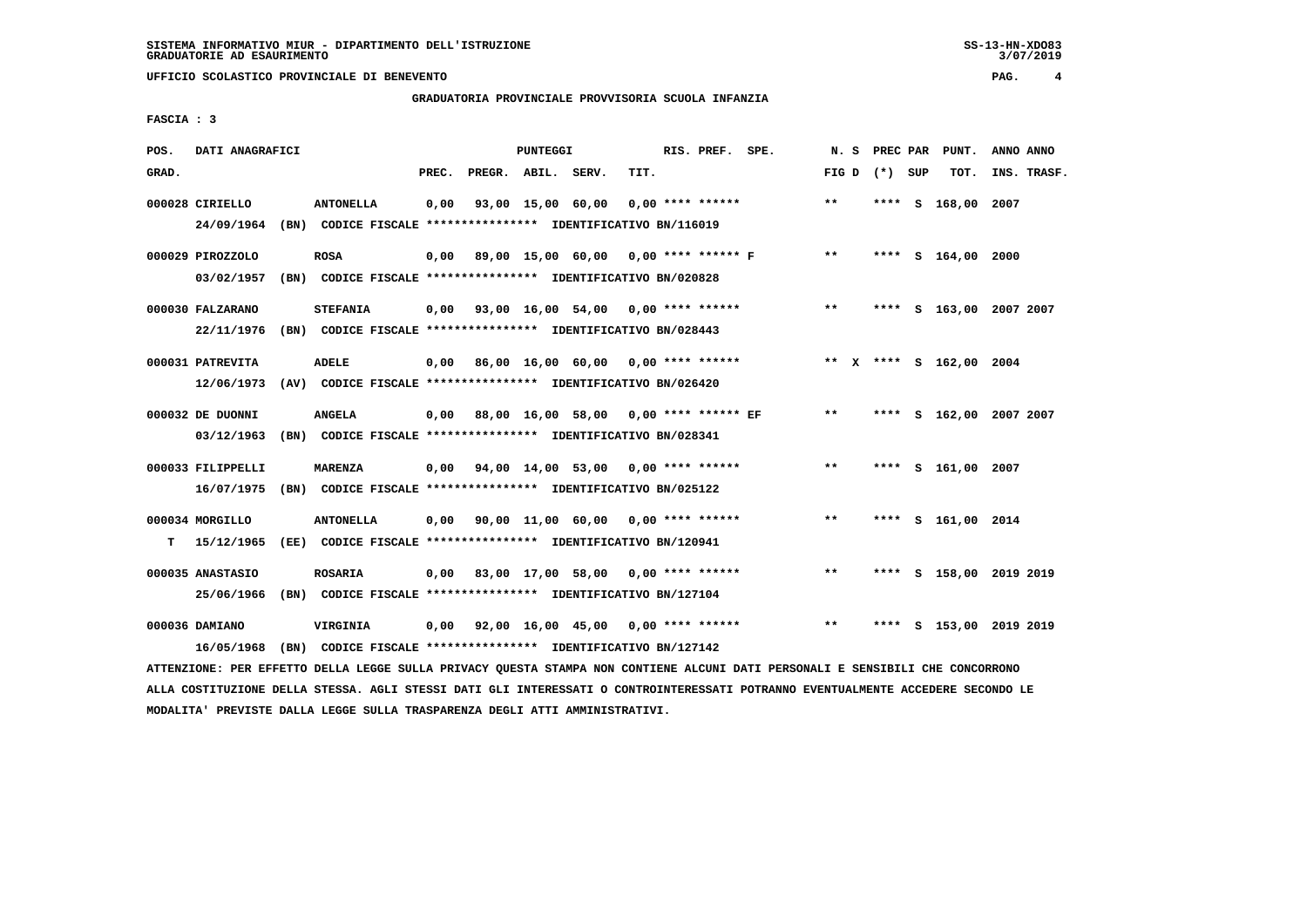# **GRADUATORIA PROVINCIALE PROVVISORIA SCUOLA INFANZIA**

 $3/07/2019$ 

 **FASCIA : 3**

| POS.  | DATI ANAGRAFICI   |                                                                                                                               |       |                    | PUNTEGGI |                                            |      | RIS. PREF. SPE.    | N.S   |                 | PREC PAR PUNT.          | ANNO ANNO |             |
|-------|-------------------|-------------------------------------------------------------------------------------------------------------------------------|-------|--------------------|----------|--------------------------------------------|------|--------------------|-------|-----------------|-------------------------|-----------|-------------|
| GRAD. |                   |                                                                                                                               | PREC. | PREGR. ABIL. SERV. |          |                                            | TIT. |                    |       | FIG D $(*)$ SUP | TOT.                    |           | INS. TRASF. |
|       | 000028 CIRIELLO   | <b>ANTONELLA</b>                                                                                                              | 0,00  |                    |          | 93,00 15,00 60,00                          |      | $0.00$ **** ****** | **    |                 | **** S 168,00 2007      |           |             |
|       | 24/09/1964        | (BN) CODICE FISCALE **************** IDENTIFICATIVO BN/116019                                                                 |       |                    |          |                                            |      |                    |       |                 |                         |           |             |
|       | 000029 PIROZZOLO  | <b>ROSA</b>                                                                                                                   | 0,00  |                    |          | 89,00 15,00 60,00 0,00 **** ****** F       |      |                    | $***$ |                 | **** S 164,00 2000      |           |             |
|       | 03/02/1957        | (BN) CODICE FISCALE **************** IDENTIFICATIVO BN/020828                                                                 |       |                    |          |                                            |      |                    |       |                 |                         |           |             |
|       | 000030 FALZARANO  | <b>STEFANIA</b>                                                                                                               | 0,00  |                    |          | 93,00 16,00 54,00 0,00 **** ******         |      |                    | $***$ |                 | **** S 163,00 2007 2007 |           |             |
|       | 22/11/1976        | (BN) CODICE FISCALE **************** IDENTIFICATIVO BN/028443                                                                 |       |                    |          |                                            |      |                    |       |                 |                         |           |             |
|       | 000031 PATREVITA  | <b>ADELE</b>                                                                                                                  | 0.00  |                    |          | 86,00 16,00 60,00 0,00 **** ******         |      |                    |       |                 | ** X **** S 162,00 2004 |           |             |
|       | 12/06/1973        | (AV) CODICE FISCALE **************** IDENTIFICATIVO BN/026420                                                                 |       |                    |          |                                            |      |                    |       |                 |                         |           |             |
|       | 000032 DE DUONNI  | <b>ANGELA</b>                                                                                                                 |       |                    |          | 0,00 88,00 16,00 58,00 0,00 **** ****** EF |      |                    | $**$  |                 | **** S 162,00 2007 2007 |           |             |
|       | 03/12/1963        | (BN) CODICE FISCALE **************** IDENTIFICATIVO BN/028341                                                                 |       |                    |          |                                            |      |                    |       |                 |                         |           |             |
|       | 000033 FILIPPELLI | <b>MARENZA</b>                                                                                                                |       |                    |          | 0,00 94,00 14,00 53,00 0,00 **** ******    |      |                    | $***$ |                 | **** S 161,00 2007      |           |             |
|       | 16/07/1975        | (BN) CODICE FISCALE **************** IDENTIFICATIVO BN/025122                                                                 |       |                    |          |                                            |      |                    |       |                 |                         |           |             |
|       | 000034 MORGILLO   | <b>ANTONELLA</b>                                                                                                              |       |                    |          | $0,00$ 90,00 11,00 60,00 0,00 **** ******  |      |                    | $* *$ |                 | **** S 161,00 2014      |           |             |
| т     | 15/12/1965        | (EE) CODICE FISCALE **************** IDENTIFICATIVO BN/120941                                                                 |       |                    |          |                                            |      |                    |       |                 |                         |           |             |
|       | 000035 ANASTASIO  | <b>ROSARIA</b>                                                                                                                | 0,00  |                    |          | 83,00 17,00 58,00 0,00 **** ******         |      |                    | $***$ |                 | **** S 158,00 2019 2019 |           |             |
|       | 25/06/1966        | (BN) CODICE FISCALE **************** IDENTIFICATIVO BN/127104                                                                 |       |                    |          |                                            |      |                    |       |                 |                         |           |             |
|       | 000036 DAMIANO    | VIRGINIA                                                                                                                      | 0,00  |                    |          | 92,00 16,00 45,00 0,00 **** ******         |      |                    | $***$ |                 | **** S 153,00 2019 2019 |           |             |
|       | 16/05/1968        | (BN) CODICE FISCALE **************** IDENTIFICATIVO BN/127142                                                                 |       |                    |          |                                            |      |                    |       |                 |                         |           |             |
|       |                   | ATTENZIONE: PER EFFETTO DELLA LEGGE SULLA PRIVACY QUESTA STAMPA NON CONTIENE ALCUNI DATI PERSONALI E SENSIBILI CHE CONCORRONO |       |                    |          |                                            |      |                    |       |                 |                         |           |             |

 **ALLA COSTITUZIONE DELLA STESSA. AGLI STESSI DATI GLI INTERESSATI O CONTROINTERESSATI POTRANNO EVENTUALMENTE ACCEDERE SECONDO LE MODALITA' PREVISTE DALLA LEGGE SULLA TRASPARENZA DEGLI ATTI AMMINISTRATIVI.**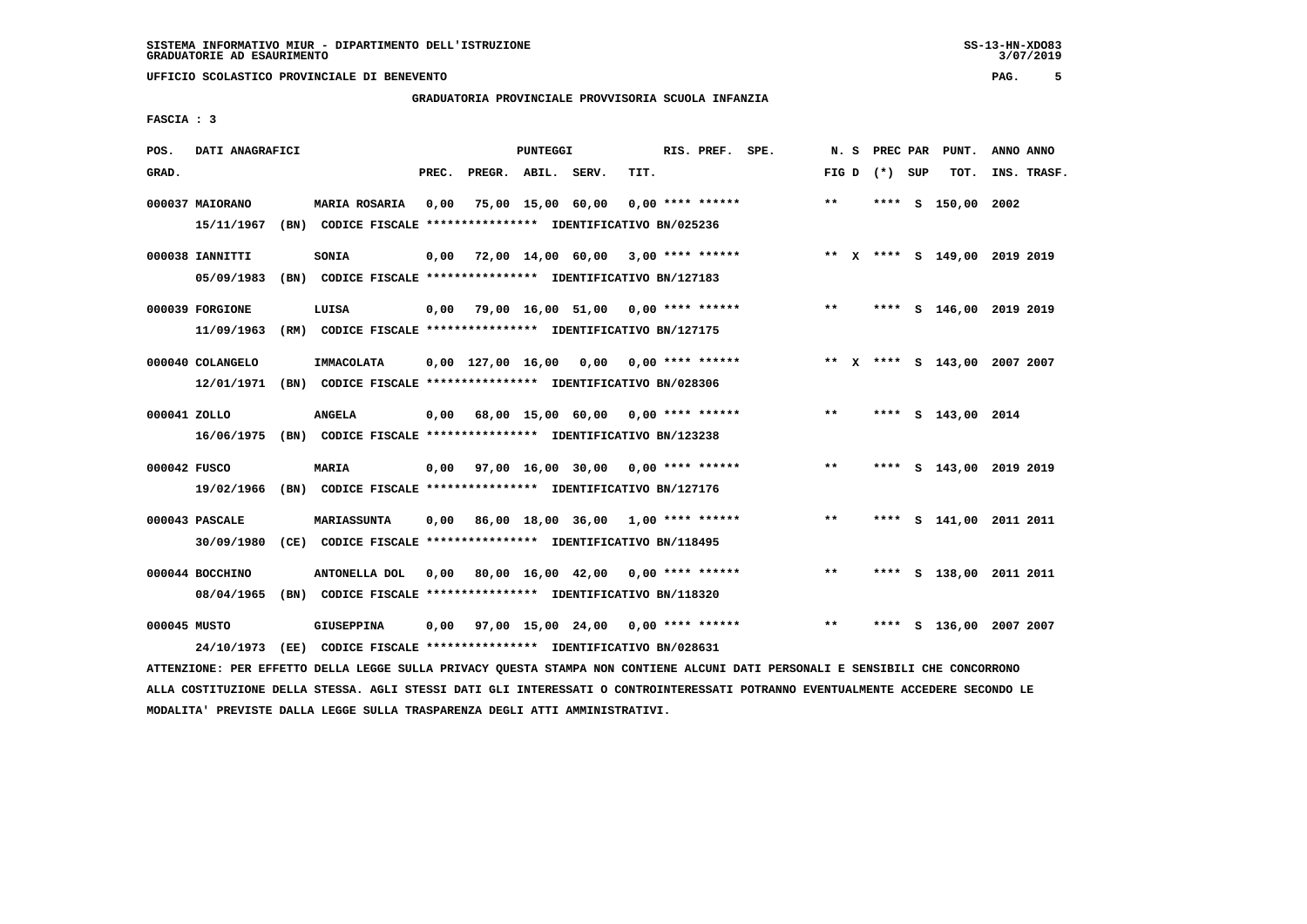**FASCIA : 3**

### **GRADUATORIA PROVINCIALE PROVVISORIA SCUOLA INFANZIA**

 $3/07/2019$ 

 **POS. DATI ANAGRAFICI PUNTEGGI RIS. PREF. SPE. N. S PREC PAR PUNT. ANNO ANNO**GRAD. **PREGRADE SERVEGER. ABIL. SERV. TIT.** FIG D (\*) SUP TOT. INS. TRASF.  **000037 MAIORANO MARIA ROSARIA 0,00 75,00 15,00 60,00 0,00 \*\*\*\* \*\*\*\*\*\* \*\* \*\*\*\* S 150,00 2002 15/11/1967 (BN) CODICE FISCALE \*\*\*\*\*\*\*\*\*\*\*\*\*\*\*\* IDENTIFICATIVO BN/025236 000038 IANNITTI SONIA 0,00 72,00 14,00 60,00 3,00 \*\*\*\* \*\*\*\*\*\* \*\* X \*\*\*\* S 149,00 2019 2019 05/09/1983 (BN) CODICE FISCALE \*\*\*\*\*\*\*\*\*\*\*\*\*\*\*\* IDENTIFICATIVO BN/127183 000039 FORGIONE LUISA 0,00 79,00 16,00 51,00 0,00 \*\*\*\* \*\*\*\*\*\* \*\* \*\*\*\* S 146,00 2019 2019 11/09/1963 (RM) CODICE FISCALE \*\*\*\*\*\*\*\*\*\*\*\*\*\*\*\* IDENTIFICATIVO BN/127175 000040 COLANGELO IMMACOLATA 0,00 127,00 16,00 0,00 0,00 \*\*\*\* \*\*\*\*\*\* \*\* X \*\*\*\* S 143,00 2007 2007 12/01/1971 (BN) CODICE FISCALE \*\*\*\*\*\*\*\*\*\*\*\*\*\*\*\* IDENTIFICATIVO BN/028306 000041 ZOLLO ANGELA 0,00 68,00 15,00 60,00 0,00 \*\*\*\* \*\*\*\*\*\* \*\* \*\*\*\* S 143,00 2014 16/06/1975 (BN) CODICE FISCALE \*\*\*\*\*\*\*\*\*\*\*\*\*\*\*\* IDENTIFICATIVO BN/123238 000042 FUSCO MARIA 0,00 97,00 16,00 30,00 0,00 \*\*\*\* \*\*\*\*\*\* \*\* \*\*\*\* S 143,00 2019 2019 19/02/1966 (BN) CODICE FISCALE \*\*\*\*\*\*\*\*\*\*\*\*\*\*\*\* IDENTIFICATIVO BN/127176 000043 PASCALE MARIASSUNTA 0,00 86,00 18,00 36,00 1,00 \*\*\*\* \*\*\*\*\*\* \*\* \*\*\*\* S 141,00 2011 2011 30/09/1980 (CE) CODICE FISCALE \*\*\*\*\*\*\*\*\*\*\*\*\*\*\*\* IDENTIFICATIVO BN/118495 000044 BOCCHINO ANTONELLA DOL 0,00 80,00 16,00 42,00 0,00 \*\*\*\* \*\*\*\*\*\* \*\* \*\*\*\* S 138,00 2011 2011 08/04/1965 (BN) CODICE FISCALE \*\*\*\*\*\*\*\*\*\*\*\*\*\*\*\* IDENTIFICATIVO BN/118320 000045 MUSTO GIUSEPPINA 0,00 97,00 15,00 24,00 0,00 \*\*\*\* \*\*\*\*\*\* \*\* \*\*\*\* S 136,00 2007 2007 24/10/1973 (EE) CODICE FISCALE \*\*\*\*\*\*\*\*\*\*\*\*\*\*\*\* IDENTIFICATIVO BN/028631**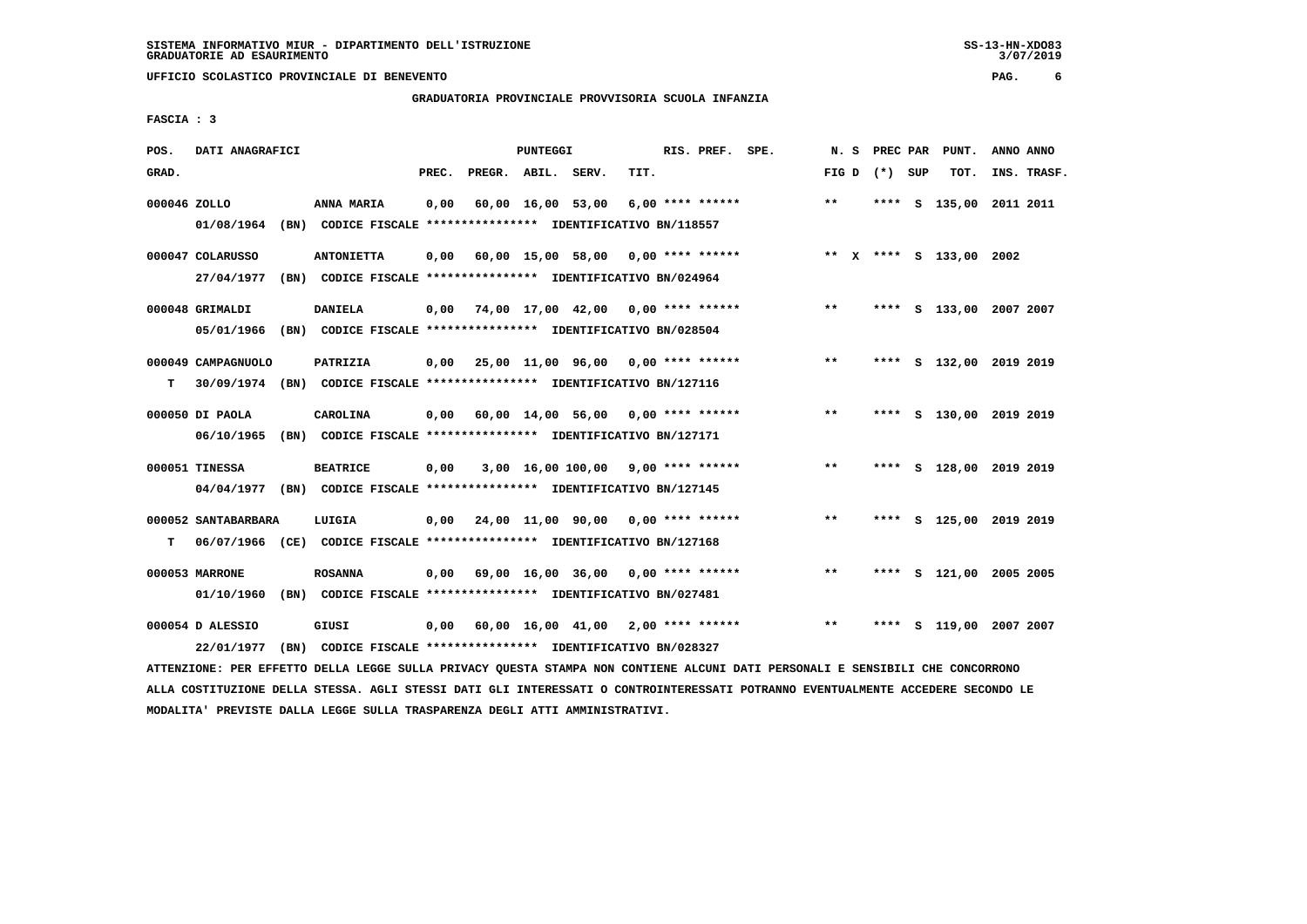# **GRADUATORIA PROVINCIALE PROVVISORIA SCUOLA INFANZIA**

 $3/07/2019$ 

 **FASCIA : 3**

| POS.         | DATI ANAGRAFICI     |                                                                          |       |                    | PUNTEGGI          |                                            |      | RIS. PREF. SPE.    |                                    | N.S   | PREC PAR        | PUNT.                   | ANNO ANNO |             |
|--------------|---------------------|--------------------------------------------------------------------------|-------|--------------------|-------------------|--------------------------------------------|------|--------------------|------------------------------------|-------|-----------------|-------------------------|-----------|-------------|
| GRAD.        |                     |                                                                          | PREC. | PREGR. ABIL. SERV. |                   |                                            | TIT. |                    |                                    |       | FIG D $(*)$ SUP | TOT.                    |           | INS. TRASF. |
| 000046 ZOLLO |                     | <b>ANNA MARIA</b>                                                        | 0,00  |                    | 60,00 16,00 53,00 |                                            |      | $6,00$ **** ****** |                                    | $* *$ | ****            | S 135,00 2011 2011      |           |             |
|              | 01/08/1964          | (BN) CODICE FISCALE **************** IDENTIFICATIVO BN/118557            |       |                    |                   |                                            |      |                    |                                    |       |                 |                         |           |             |
|              | 000047 COLARUSSO    | <b>ANTONIETTA</b>                                                        | 0,00  |                    |                   |                                            |      |                    | 60,00 15,00 58,00 0,00 **** ****** |       |                 | ** X **** S 133,00 2002 |           |             |
|              | 27/04/1977          | (BN) CODICE FISCALE **************** IDENTIFICATIVO BN/024964            |       |                    |                   |                                            |      |                    |                                    |       |                 |                         |           |             |
|              | 000048 GRIMALDI     | <b>DANIELA</b>                                                           | 0,00  |                    |                   | 74,00 17,00 42,00 0,00 **** ******         |      |                    |                                    | $***$ |                 | **** S 133,00 2007 2007 |           |             |
|              | 05/01/1966          | (BN) CODICE FISCALE **************** IDENTIFICATIVO BN/028504            |       |                    |                   |                                            |      |                    |                                    |       |                 |                         |           |             |
|              | 000049 CAMPAGNUOLO  | PATRIZIA                                                                 | 0,00  |                    |                   | 25,00 11,00 96,00 0,00 **** ******         |      |                    |                                    | $**$  |                 | **** S 132,00 2019 2019 |           |             |
| т            |                     | 30/09/1974 (BN) CODICE FISCALE **************** IDENTIFICATIVO BN/127116 |       |                    |                   |                                            |      |                    |                                    |       |                 |                         |           |             |
|              | 000050 DI PAOLA     | CAROLINA                                                                 | 0,00  |                    |                   | 60,00 14,00 56,00 0,00 **** ******         |      |                    |                                    | $* *$ |                 | **** S 130,00 2019 2019 |           |             |
|              | 06/10/1965          | (BN) CODICE FISCALE **************** IDENTIFICATIVO BN/127171            |       |                    |                   |                                            |      |                    |                                    |       |                 |                         |           |             |
|              | 000051 TINESSA      | <b>BEATRICE</b>                                                          | 0,00  |                    |                   | $3,00$ 16,00 100,00 9,00 **** ******       |      |                    |                                    | $***$ |                 | **** S 128,00 2019 2019 |           |             |
|              | 04/04/1977          | (BN) CODICE FISCALE **************** IDENTIFICATIVO BN/127145            |       |                    |                   |                                            |      |                    |                                    |       |                 |                         |           |             |
|              | 000052 SANTABARBARA | LUIGIA                                                                   | 0,00  |                    |                   | 24,00 11,00 90,00 0,00 **** ******         |      |                    |                                    | $***$ |                 | **** S 125,00 2019 2019 |           |             |
| т            |                     | 06/07/1966 (CE) CODICE FISCALE *************** IDENTIFICATIVO BN/127168  |       |                    |                   |                                            |      |                    |                                    |       |                 |                         |           |             |
|              | 000053 MARRONE      | <b>ROSANNA</b>                                                           | 0,00  |                    |                   | 69,00 16,00 36,00 0,00 **** ******         |      |                    |                                    | $***$ |                 | **** S 121,00 2005 2005 |           |             |
|              | 01/10/1960          | (BN) CODICE FISCALE **************** IDENTIFICATIVO BN/027481            |       |                    |                   |                                            |      |                    |                                    |       |                 |                         |           |             |
|              | 000054 D ALESSIO    | GIUSI                                                                    | 0,00  |                    |                   | $60,00$ $16,00$ $41,00$ $2,00$ **** ****** |      |                    |                                    | $* *$ | ****            | S 119,00 2007 2007      |           |             |
|              | 22/01/1977          | (BN) CODICE FISCALE **************** IDENTIFICATIVO BN/028327            |       |                    |                   |                                            |      |                    |                                    |       |                 |                         |           |             |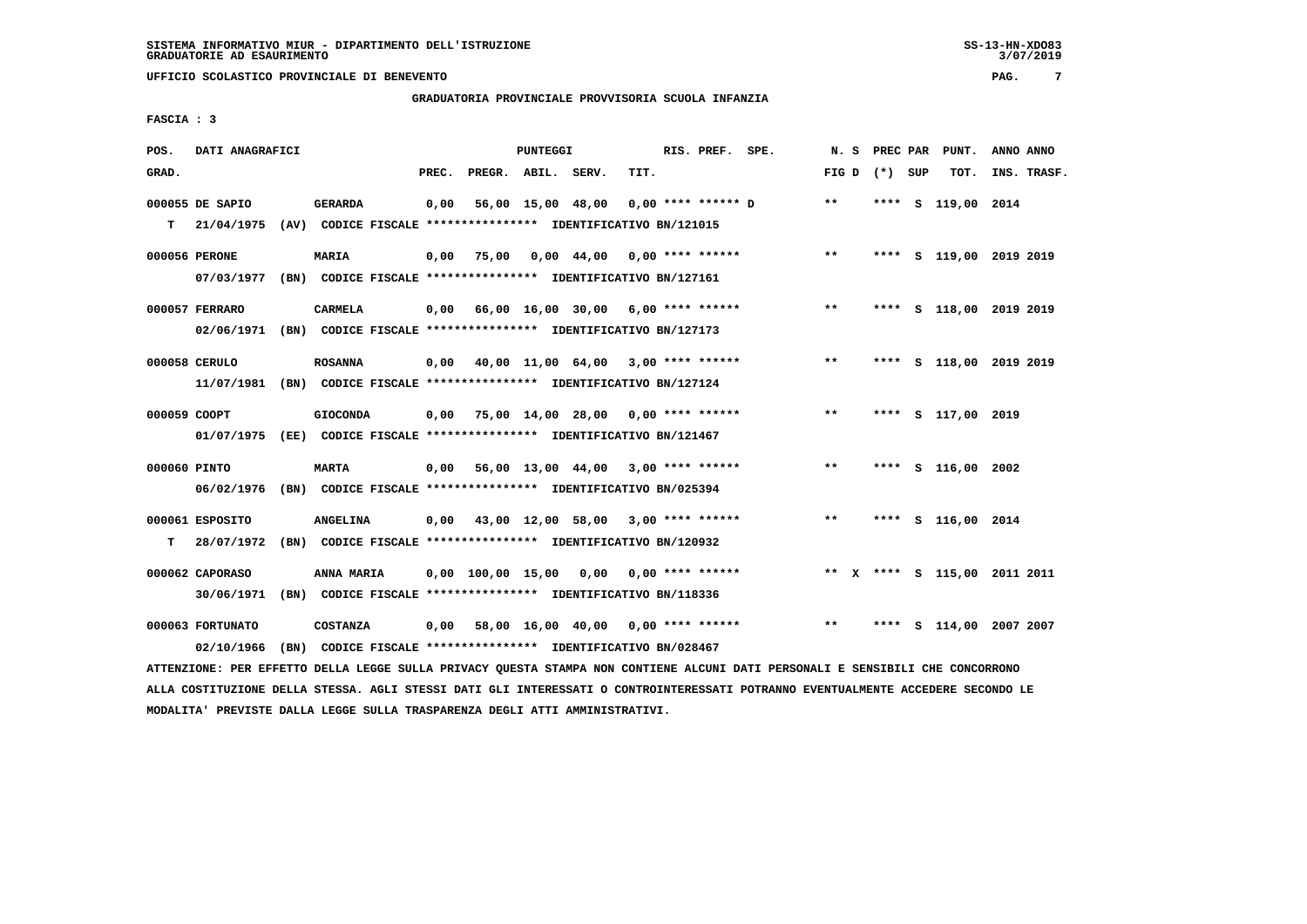# **GRADUATORIA PROVINCIALE PROVVISORIA SCUOLA INFANZIA**

 **FASCIA : 3**

| POS.         | DATI ANAGRAFICI  |                                                                                                                               |       |                    | <b>PUNTEGGI</b> |                                           |      | RIS. PREF. SPE. |                                                  |       |                 | N. S PREC PAR PUNT.          | ANNO ANNO |             |
|--------------|------------------|-------------------------------------------------------------------------------------------------------------------------------|-------|--------------------|-----------------|-------------------------------------------|------|-----------------|--------------------------------------------------|-------|-----------------|------------------------------|-----------|-------------|
| GRAD.        |                  |                                                                                                                               | PREC. | PREGR. ABIL. SERV. |                 |                                           | TIT. |                 |                                                  |       | FIG D $(*)$ SUP | тот.                         |           | INS. TRASF. |
|              | 000055 DE SAPIO  | <b>GERARDA</b>                                                                                                                | 0,00  |                    |                 |                                           |      |                 | 56,00 15,00 48,00 0,00 **** ****** D             | $***$ |                 | **** S 119,00 2014           |           |             |
|              |                  | T 21/04/1975 (AV) CODICE FISCALE *************** IDENTIFICATIVO BN/121015                                                     |       |                    |                 |                                           |      |                 |                                                  |       |                 |                              |           |             |
|              | 000056 PERONE    | <b>MARIA</b>                                                                                                                  | 0,00  |                    |                 | 75,00 0,00 44,00 0,00 **** ******         |      |                 |                                                  | $***$ |                 | **** S 119,00 2019 2019      |           |             |
|              |                  | 07/03/1977 (BN) CODICE FISCALE *************** IDENTIFICATIVO BN/127161                                                       |       |                    |                 |                                           |      |                 |                                                  |       |                 |                              |           |             |
|              | 000057 FERRARO   | CARMELA                                                                                                                       |       |                    |                 | 0,00 66,00 16,00 30,00 6,00 **** ******   |      |                 |                                                  | $* *$ |                 | **** S 118,00 2019 2019      |           |             |
|              |                  | 02/06/1971 (BN) CODICE FISCALE *************** IDENTIFICATIVO BN/127173                                                       |       |                    |                 |                                           |      |                 |                                                  |       |                 |                              |           |             |
|              | 000058 CERULO    | <b>ROSANNA</b>                                                                                                                |       |                    |                 | $0,00$ 40,00 11,00 64,00 3,00 **** ****** |      |                 |                                                  | $***$ |                 | **** S 118,00 2019 2019      |           |             |
|              | 11/07/1981       | (BN) CODICE FISCALE **************** IDENTIFICATIVO BN/127124                                                                 |       |                    |                 |                                           |      |                 |                                                  |       |                 |                              |           |             |
| 000059 COOPT |                  | <b>GIOCONDA</b>                                                                                                               |       |                    |                 | $0,00$ 75,00 14,00 28,00 0,00 **** ****** |      |                 |                                                  | $***$ |                 | **** S 117,00 2019           |           |             |
|              |                  | 01/07/1975 (EE) CODICE FISCALE *************** IDENTIFICATIVO BN/121467                                                       |       |                    |                 |                                           |      |                 |                                                  |       |                 |                              |           |             |
| 000060 PINTO |                  | <b>MARTA</b>                                                                                                                  |       |                    |                 | $0,00$ 56,00 13,00 44,00 3,00 **** ****** |      |                 |                                                  | $***$ |                 | **** S 116,00 2002           |           |             |
|              | 06/02/1976       | (BN) CODICE FISCALE **************** IDENTIFICATIVO BN/025394                                                                 |       |                    |                 |                                           |      |                 |                                                  |       |                 |                              |           |             |
|              | 000061 ESPOSITO  | <b>ANGELINA</b>                                                                                                               |       |                    |                 | $0,00$ 43,00 12,00 58,00 3,00 **** ****** |      |                 |                                                  | $***$ |                 | **** S 116,00 2014           |           |             |
| т            | 28/07/1972       | (BN) CODICE FISCALE **************** IDENTIFICATIVO BN/120932                                                                 |       |                    |                 |                                           |      |                 |                                                  |       |                 |                              |           |             |
|              | 000062 CAPORASO  | ANNA MARIA                                                                                                                    |       |                    |                 | $0,00$ 100,00 15,00 0,00 0,00 **** ****** |      |                 |                                                  |       |                 | ** X **** S 115,00 2011 2011 |           |             |
|              | 30/06/1971       | (BN) CODICE FISCALE **************** IDENTIFICATIVO BN/118336                                                                 |       |                    |                 |                                           |      |                 |                                                  |       |                 |                              |           |             |
|              | 000063 FORTUNATO | <b>COSTANZA</b>                                                                                                               |       |                    |                 |                                           |      |                 | $0,00$ 58,00 16,00 40,00 0,00 **** ****** *** ** |       |                 | **** S 114,00 2007 2007      |           |             |
|              | 02/10/1966       | (BN) CODICE FISCALE **************** IDENTIFICATIVO BN/028467                                                                 |       |                    |                 |                                           |      |                 |                                                  |       |                 |                              |           |             |
|              |                  | ATTENZIONE: PER EFFETTO DELLA LEGGE SULLA PRIVACY QUESTA STAMPA NON CONTIENE ALCUNI DATI PERSONALI E SENSIBILI CHE CONCORRONO |       |                    |                 |                                           |      |                 |                                                  |       |                 |                              |           |             |

 **ALLA COSTITUZIONE DELLA STESSA. AGLI STESSI DATI GLI INTERESSATI O CONTROINTERESSATI POTRANNO EVENTUALMENTE ACCEDERE SECONDO LE MODALITA' PREVISTE DALLA LEGGE SULLA TRASPARENZA DEGLI ATTI AMMINISTRATIVI.**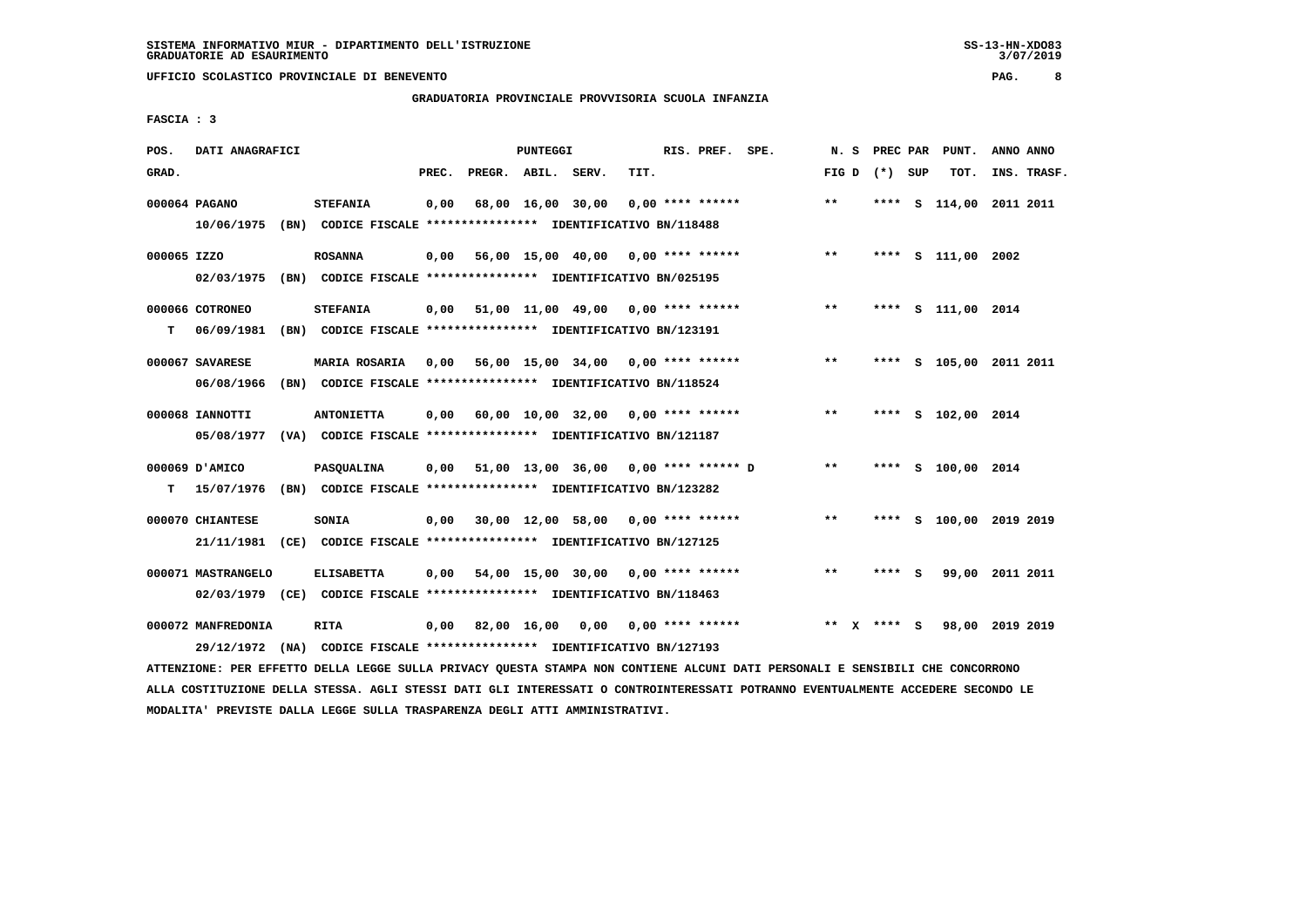# **GRADUATORIA PROVINCIALE PROVVISORIA SCUOLA INFANZIA**

 $3/07/2019$ 

 **FASCIA : 3**

| POS.        | DATI ANAGRAFICI    |                                                                                        |       |                    | PUNTEGGI          |                                         |      | RIS. PREF. SPE.    | N.S                |         | PREC PAR PUNT.          | ANNO ANNO |             |
|-------------|--------------------|----------------------------------------------------------------------------------------|-------|--------------------|-------------------|-----------------------------------------|------|--------------------|--------------------|---------|-------------------------|-----------|-------------|
| GRAD.       |                    |                                                                                        | PREC. | PREGR. ABIL. SERV. |                   |                                         | TIT. |                    | FIG D $(*)$ SUP    |         | TOT.                    |           | INS. TRASF. |
|             | 000064 PAGANO      | <b>STEFANIA</b>                                                                        | 0,00  |                    | 68,00 16,00 30,00 |                                         |      | $0.00$ **** ****** | $* *$              |         | **** S 114,00 2011 2011 |           |             |
|             | 10/06/1975         | (BN) CODICE FISCALE **************** IDENTIFICATIVO BN/118488                          |       |                    |                   |                                         |      |                    |                    |         |                         |           |             |
| 000065 IZZO |                    | <b>ROSANNA</b>                                                                         | 0,00  |                    |                   | 56,00 15,00 40,00 0,00 **** ******      |      |                    | $***$              |         | **** S 111,00 2002      |           |             |
|             | 02/03/1975         | (BN) CODICE FISCALE **************** IDENTIFICATIVO BN/025195                          |       |                    |                   |                                         |      |                    |                    |         |                         |           |             |
|             | 000066 COTRONEO    | <b>STEFANIA</b>                                                                        | 0,00  |                    |                   | 51,00 11,00 49,00 0,00 **** ******      |      |                    | $***$              |         | **** S 111,00 2014      |           |             |
| т           | 06/09/1981         | (BN) CODICE FISCALE **************** IDENTIFICATIVO BN/123191                          |       |                    |                   |                                         |      |                    |                    |         |                         |           |             |
|             | 000067 SAVARESE    | <b>MARIA ROSARIA</b>                                                                   |       |                    |                   | 0,00 56,00 15,00 34,00 0,00 **** ****** |      |                    | $***$              |         | **** S 105,00 2011 2011 |           |             |
|             | 06/08/1966         | (BN) CODICE FISCALE **************** IDENTIFICATIVO BN/118524                          |       |                    |                   |                                         |      |                    |                    |         |                         |           |             |
|             | 000068 IANNOTTI    | <b>ANTONIETTA</b>                                                                      | 0,00  |                    |                   | 60,00 10,00 32,00                       |      | $0.00$ **** ****** | $**$               |         | **** S 102,00 2014      |           |             |
|             | 05/08/1977         | (VA) CODICE FISCALE **************** IDENTIFICATIVO BN/121187                          |       |                    |                   |                                         |      |                    |                    |         |                         |           |             |
|             |                    |                                                                                        |       |                    |                   |                                         |      |                    |                    |         |                         |           |             |
|             | 000069 D'AMICO     | PASQUALINA                                                                             | 0,00  |                    |                   | 51,00 13,00 36,00 0,00 **** ****** D    |      |                    | $* *$              |         | **** S 100,00 2014      |           |             |
| т           | 15/07/1976         | (BN) CODICE FISCALE **************** IDENTIFICATIVO BN/123282                          |       |                    |                   |                                         |      |                    |                    |         |                         |           |             |
|             | 000070 CHIANTESE   | SONIA                                                                                  | 0,00  |                    |                   | $30,00$ 12,00 58,00 0,00 **** ******    |      |                    | $***$              |         | **** S 100,00 2019 2019 |           |             |
|             | 21/11/1981         | (CE) CODICE FISCALE **************** IDENTIFICATIVO BN/127125                          |       |                    |                   |                                         |      |                    |                    |         |                         |           |             |
|             | 000071 MASTRANGELO | <b>ELISABETTA</b>                                                                      | 0,00  |                    |                   | 54,00 15,00 30,00 0,00 **** ******      |      |                    | $* *$              | **** S  | 99,00 2011 2011         |           |             |
|             |                    | 02/03/1979 (CE) CODICE FISCALE *************** IDENTIFICATIVO BN/118463                |       |                    |                   |                                         |      |                    |                    |         |                         |           |             |
|             | 000072 MANFREDONIA | <b>RITA</b><br>29/12/1972 (NA) CODICE FISCALE *************** IDENTIFICATIVO BN/127193 | 0.00  |                    | 82,00 16,00       | 0.00                                    |      | $0.00$ **** ****** | **<br>$\mathbf{x}$ | $***$ S | 98,00 2019 2019         |           |             |
|             |                    |                                                                                        |       |                    |                   |                                         |      |                    |                    |         |                         |           |             |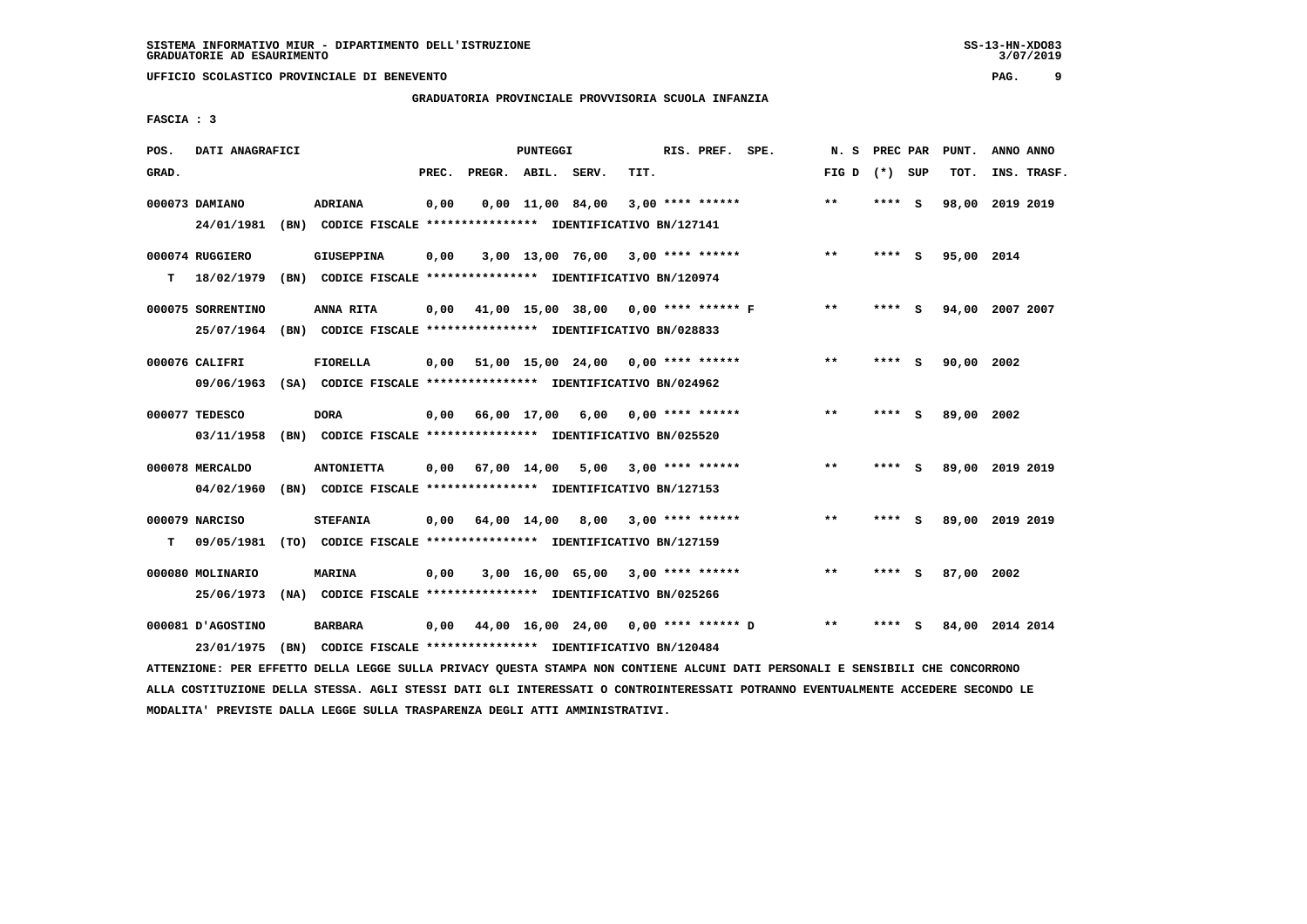# **GRADUATORIA PROVINCIALE PROVVISORIA SCUOLA INFANZIA**

 **FASCIA : 3**

| POS.  | DATI ANAGRAFICI   |                                                                                                                               |       |                    | PUNTEGGI |                                           |      | RIS. PREF. SPE.           | N.S               |        | PREC PAR PUNT.  | ANNO ANNO |             |
|-------|-------------------|-------------------------------------------------------------------------------------------------------------------------------|-------|--------------------|----------|-------------------------------------------|------|---------------------------|-------------------|--------|-----------------|-----------|-------------|
| GRAD. |                   |                                                                                                                               | PREC. | PREGR. ABIL. SERV. |          |                                           | TIT. |                           | FIG $D$ $(*)$ SUP |        | TOT.            |           | INS. TRASF. |
|       | 000073 DAMIANO    | ADRIANA                                                                                                                       | 0,00  |                    |          | 0,00 11,00 84,00                          |      | 3,00 **** ******          | $* *$             | **** S | 98,00           | 2019 2019 |             |
|       | 24/01/1981        | (BN) CODICE FISCALE **************** IDENTIFICATIVO BN/127141                                                                 |       |                    |          |                                           |      |                           |                   |        |                 |           |             |
|       | 000074 RUGGIERO   | <b>GIUSEPPINA</b>                                                                                                             | 0,00  |                    |          | $3,00$ 13,00 76,00 3,00 **** ******       |      |                           | $***$             | **** S | 95,00 2014      |           |             |
| т     |                   | 18/02/1979 (BN) CODICE FISCALE **************** IDENTIFICATIVO BN/120974                                                      |       |                    |          |                                           |      |                           |                   |        |                 |           |             |
|       | 000075 SORRENTINO | ANNA RITA                                                                                                                     | 0,00  |                    |          | 41,00 15,00 38,00 0,00 **** ****** F      |      |                           | $* *$             | **** S | 94,00 2007 2007 |           |             |
|       |                   | 25/07/1964 (BN) CODICE FISCALE *************** IDENTIFICATIVO BN/028833                                                       |       |                    |          |                                           |      |                           |                   |        |                 |           |             |
|       | 000076 CALIFRI    | <b>FIORELLA</b>                                                                                                               |       |                    |          | $0,00$ 51,00 15,00 24,00 0,00 **** ****** |      |                           | $***$             | **** S | 90,00 2002      |           |             |
|       | 09/06/1963        | (SA) CODICE FISCALE *************** IDENTIFICATIVO BN/024962                                                                  |       |                    |          |                                           |      |                           |                   |        |                 |           |             |
|       | 000077 TEDESCO    | <b>DORA</b>                                                                                                                   | 0,00  |                    |          | 66,00 17,00 6,00 0,00 **** ******         |      |                           | **                | **** S | 89,00 2002      |           |             |
|       | 03/11/1958        | (BN) CODICE FISCALE **************** IDENTIFICATIVO BN/025520                                                                 |       |                    |          |                                           |      |                           |                   |        |                 |           |             |
|       | 000078 MERCALDO   | <b>ANTONIETTA</b>                                                                                                             | 0,00  | 67,00 14,00        |          |                                           |      | $5,00$ $3,00$ **** ****** | $* *$             | **** S | 89,00 2019 2019 |           |             |
|       | 04/02/1960        | (BN) CODICE FISCALE **************** IDENTIFICATIVO BN/127153                                                                 |       |                    |          |                                           |      |                           |                   |        |                 |           |             |
|       | 000079 NARCISO    | <b>STEFANIA</b>                                                                                                               |       |                    |          | $0,00$ 64,00 14,00 8,00 3,00 **** ******  |      |                           | $***$             | **** S | 89,00 2019 2019 |           |             |
| т     | 09/05/1981        | (TO) CODICE FISCALE **************** IDENTIFICATIVO BN/127159                                                                 |       |                    |          |                                           |      |                           |                   |        |                 |           |             |
|       | 000080 MOLINARIO  | <b>MARINA</b>                                                                                                                 | 0,00  |                    |          | $3,00$ 16,00 65,00 3,00 **** ******       |      |                           | $* *$             | **** S | 87,00 2002      |           |             |
|       | 25/06/1973        | (NA) CODICE FISCALE **************** IDENTIFICATIVO BN/025266                                                                 |       |                    |          |                                           |      |                           |                   |        |                 |           |             |
|       | 000081 D'AGOSTINO | <b>BARBARA</b>                                                                                                                | 0,00  |                    |          | 44,00 16,00 24,00 0,00 **** ****** D      |      |                           | $***$             | **** S | 84,00 2014 2014 |           |             |
|       | 23/01/1975        | (BN) CODICE FISCALE **************** IDENTIFICATIVO BN/120484                                                                 |       |                    |          |                                           |      |                           |                   |        |                 |           |             |
|       |                   | ATTENZIONE: PER EFFETTO DELLA LEGGE SULLA PRIVACY QUESTA STAMPA NON CONTIENE ALCUNI DATI PERSONALI E SENSIBILI CHE CONCORRONO |       |                    |          |                                           |      |                           |                   |        |                 |           |             |

 **ALLA COSTITUZIONE DELLA STESSA. AGLI STESSI DATI GLI INTERESSATI O CONTROINTERESSATI POTRANNO EVENTUALMENTE ACCEDERE SECONDO LE MODALITA' PREVISTE DALLA LEGGE SULLA TRASPARENZA DEGLI ATTI AMMINISTRATIVI.**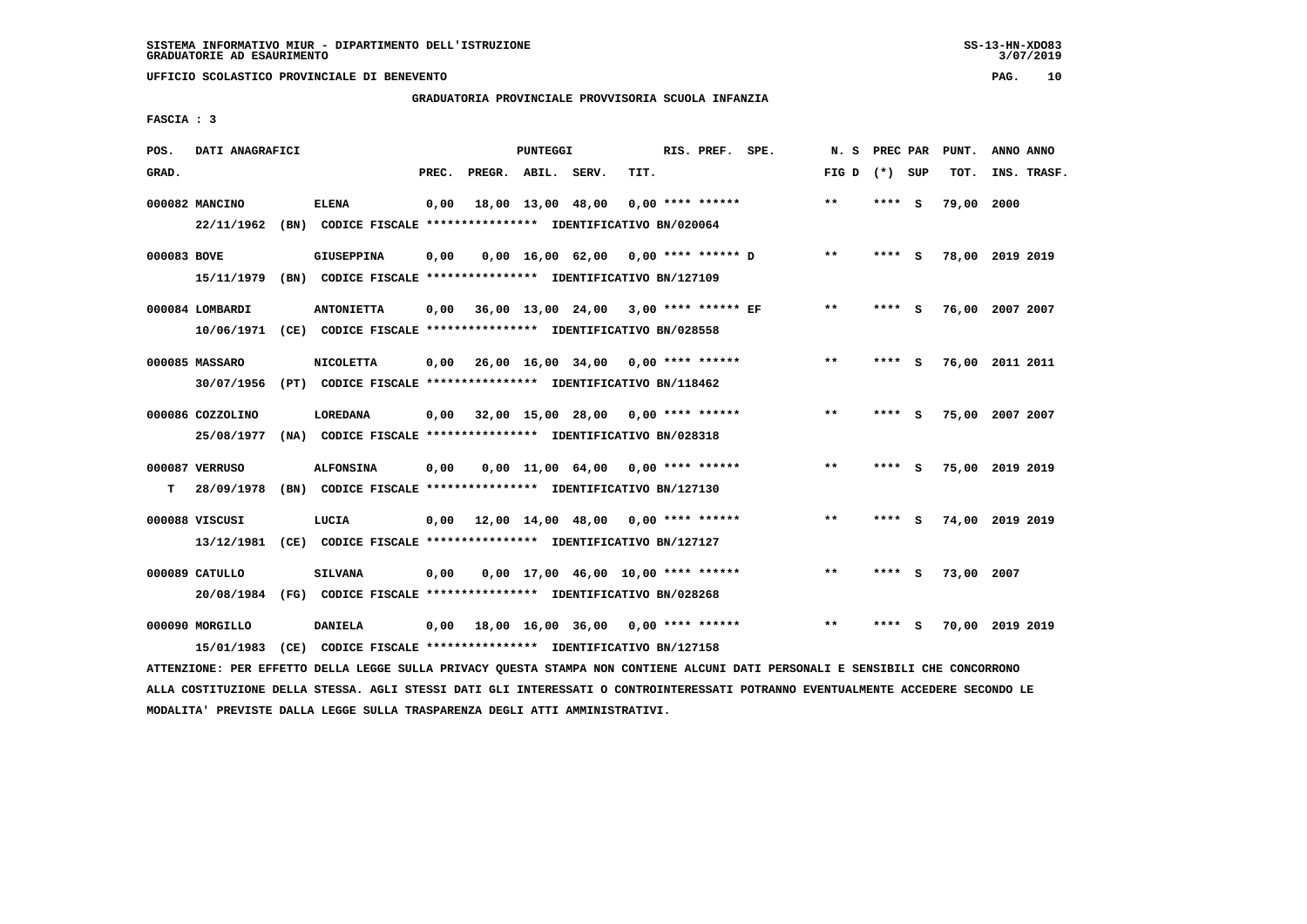$3/07/2019$ 

 **UFFICIO SCOLASTICO PROVINCIALE DI BENEVENTO PAG. 10**

# **GRADUATORIA PROVINCIALE PROVVISORIA SCUOLA INFANZIA**

 **FASCIA : 3**

| POS.        | DATI ANAGRAFICI  |                                                               |       |                    | PUNTEGGI |                                            |      | RIS. PREF. SPE.    | N.S          | PREC PAR |     | PUNT.      | ANNO ANNO       |  |
|-------------|------------------|---------------------------------------------------------------|-------|--------------------|----------|--------------------------------------------|------|--------------------|--------------|----------|-----|------------|-----------------|--|
| GRAD.       |                  |                                                               | PREC. | PREGR. ABIL. SERV. |          |                                            | TIT. |                    | FIG D        | (*) SUP  |     | TOT.       | INS. TRASF.     |  |
|             | 000082 MANCINO   | <b>ELENA</b>                                                  | 0,00  |                    |          | 18,00 13,00 48,00                          |      | $0.00$ **** ****** | $* *$        | ****     | - S | 79,00      | 2000            |  |
|             | 22/11/1962       | (BN) CODICE FISCALE **************** IDENTIFICATIVO BN/020064 |       |                    |          |                                            |      |                    |              |          |     |            |                 |  |
| 000083 BOVE |                  | <b>GIUSEPPINA</b>                                             | 0,00  |                    |          | $0,00 \quad 16,00 \quad 62,00$             |      | 0,00 **** ****** D | $* *$        | ****     | - S |            | 78,00 2019 2019 |  |
|             | 15/11/1979       | (BN) CODICE FISCALE **************** IDENTIFICATIVO BN/127109 |       |                    |          |                                            |      |                    |              |          |     |            |                 |  |
|             | 000084 LOMBARDI  | <b>ANTONIETTA</b>                                             | 0,00  |                    |          | 36,00 13,00 24,00 3,00 **** ****** EF      |      |                    | **           | **** S   |     | 76,00      | 2007 2007       |  |
|             | 10/06/1971       | (CE) CODICE FISCALE **************** IDENTIFICATIVO BN/028558 |       |                    |          |                                            |      |                    |              |          |     |            |                 |  |
|             | 000085 MASSARO   | <b>NICOLETTA</b>                                              | 0,00  |                    |          | $26,00$ $16,00$ $34,00$ $0,00$ **** ****** |      |                    | $***$        | ****     | - 5 | 76,00      | 2011 2011       |  |
|             | 30/07/1956       | (PT) CODICE FISCALE **************** IDENTIFICATIVO BN/118462 |       |                    |          |                                            |      |                    |              |          |     |            |                 |  |
|             | 000086 COZZOLINO | <b>LOREDANA</b>                                               | 0,00  |                    |          | 32,00 15,00 28,00 0,00 **** ******         |      |                    | $\star\star$ | ****     | - S | 75,00      | 2007 2007       |  |
|             | 25/08/1977       | (NA) CODICE FISCALE **************** IDENTIFICATIVO BN/028318 |       |                    |          |                                            |      |                    |              |          |     |            |                 |  |
|             | 000087 VERRUSO   | <b>ALFONSINA</b>                                              | 0,00  |                    |          | $0,00$ 11,00 64,00 0,00 **** ******        |      |                    | $* *$        | ****     | - S |            | 75,00 2019 2019 |  |
| т           | 28/09/1978       | (BN) CODICE FISCALE **************** IDENTIFICATIVO BN/127130 |       |                    |          |                                            |      |                    |              |          |     |            |                 |  |
|             | 000088 VISCUSI   | LUCIA                                                         | 0,00  |                    |          | 12,00 14,00 48,00 0,00 **** ******         |      |                    | $* *$        | ****     | - S |            | 74,00 2019 2019 |  |
|             | 13/12/1981       | (CE) CODICE FISCALE **************** IDENTIFICATIVO BN/127127 |       |                    |          |                                            |      |                    |              |          |     |            |                 |  |
|             | 000089 CATULLO   | <b>SILVANA</b>                                                | 0,00  |                    |          | $0.00$ 17.00 46.00 10.00 **** ******       |      |                    | $**$         |          | s   | 73,00 2007 |                 |  |
|             | 20/08/1984       | (FG) CODICE FISCALE **************** IDENTIFICATIVO BN/028268 |       |                    |          |                                            |      |                    |              |          |     |            |                 |  |
|             | 000090 MORGILLO  | <b>DANIELA</b>                                                | 0,00  |                    |          | $18,00$ $16,00$ $36,00$ $0,00$ **** ****** |      |                    | $* *$        |          |     | 70,00      | 2019 2019       |  |
|             | 15/01/1983       | (CE) CODICE FISCALE **************** IDENTIFICATIVO BN/127158 |       |                    |          |                                            |      |                    |              |          |     |            |                 |  |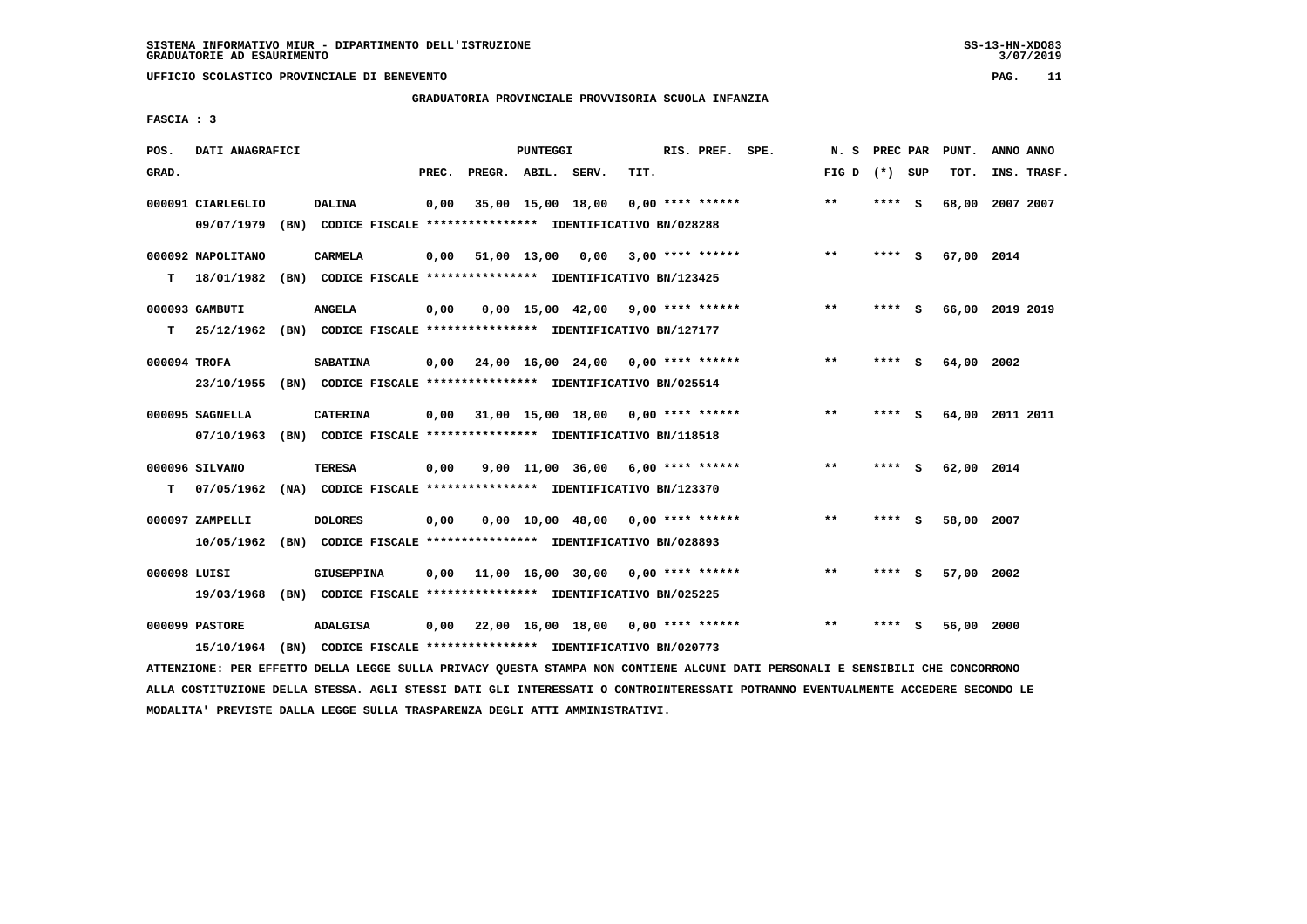# **GRADUATORIA PROVINCIALE PROVVISORIA SCUOLA INFANZIA**

 **FASCIA : 3**

| POS.         | DATI ANAGRAFICI   |                                                                         |       |                    | PUNTEGGI |                   |                                                         | RIS. PREF. SPE. | N.S             | PREC PAR |     | PUNT.      | ANNO ANNO       |
|--------------|-------------------|-------------------------------------------------------------------------|-------|--------------------|----------|-------------------|---------------------------------------------------------|-----------------|-----------------|----------|-----|------------|-----------------|
| GRAD.        |                   |                                                                         | PREC. | PREGR. ABIL. SERV. |          |                   | TIT.                                                    |                 | FIG D $(*)$ SUP |          |     | TOT.       | INS. TRASF.     |
|              | 000091 CIARLEGLIO | <b>DALINA</b>                                                           | 0,00  |                    |          | 35,00 15,00 18,00 | 0,00 **** ******                                        |                 | $***$           | **** S   |     | 68,00      | 2007 2007       |
|              | 09/07/1979        | (BN) CODICE FISCALE **************** IDENTIFICATIVO BN/028288           |       |                    |          |                   |                                                         |                 |                 |          |     |            |                 |
|              | 000092 NAPOLITANO | <b>CARMELA</b>                                                          | 0,00  |                    |          |                   | 51,00 13,00 0,00 3,00 **** ******                       |                 | $***$           | ****     | - S | 67,00 2014 |                 |
| т            | 18/01/1982        | (BN) CODICE FISCALE **************** IDENTIFICATIVO BN/123425           |       |                    |          |                   |                                                         |                 |                 |          |     |            |                 |
|              | 000093 GAMBUTI    | <b>ANGELA</b>                                                           | 0,00  |                    |          |                   | $0.00$ 15.00 42.00 9.00 **** ******                     |                 | $* *$           | ****     | - S |            | 66,00 2019 2019 |
| т            | 25/12/1962        | (BN) CODICE FISCALE **************** IDENTIFICATIVO BN/127177           |       |                    |          |                   |                                                         |                 |                 |          |     |            |                 |
| 000094 TROFA |                   | <b>SABATINA</b>                                                         |       |                    |          |                   | $0,00$ $24,00$ $16,00$ $24,00$ $0,00$ $***$ **** ****** |                 | $**$            | **** S   |     | 64,00 2002 |                 |
|              | 23/10/1955        | (BN) CODICE FISCALE *************** IDENTIFICATIVO BN/025514            |       |                    |          |                   |                                                         |                 |                 |          |     |            |                 |
|              | 000095 SAGNELLA   | <b>CATERINA</b>                                                         |       |                    |          |                   | $0,00$ 31,00 15,00 18,00 0,00 **** ******               |                 | $* *$           | **** S   |     |            | 64,00 2011 2011 |
|              | 07/10/1963        | (BN) CODICE FISCALE **************** IDENTIFICATIVO BN/118518           |       |                    |          |                   |                                                         |                 |                 |          |     |            |                 |
|              | 000096 SILVANO    | <b>TERESA</b>                                                           | 0,00  |                    |          |                   | $9.00$ 11.00 36.00 6.00 **** ******                     |                 | $* *$           | **** S   |     | 62,00 2014 |                 |
| т            | 07/05/1962        | (NA) CODICE FISCALE **************** IDENTIFICATIVO BN/123370           |       |                    |          |                   |                                                         |                 |                 |          |     |            |                 |
|              | 000097 ZAMPELLI   | <b>DOLORES</b>                                                          | 0,00  |                    |          |                   | $0,00$ 10,00 48,00 0,00 **** ******                     |                 | $***$           | **** S   |     | 58,00 2007 |                 |
|              | 10/05/1962        | (BN) CODICE FISCALE **************** IDENTIFICATIVO BN/028893           |       |                    |          |                   |                                                         |                 |                 |          |     |            |                 |
| 000098 LUISI |                   | <b>GIUSEPPINA</b>                                                       | 0.00  |                    |          |                   | $11,00$ $16,00$ $30,00$ $0,00$ $***$ **** ******        |                 | $**$            |          | S.  | 57,00 2002 |                 |
|              | 19/03/1968        | (BN) CODICE FISCALE **************** IDENTIFICATIVO BN/025225           |       |                    |          |                   |                                                         |                 |                 |          |     |            |                 |
|              | 000099 PASTORE    | <b>ADALGISA</b>                                                         | 0,00  |                    |          |                   | 22,00 16,00 18,00 0,00 **** ******                      |                 | $* *$           | ****     | - 5 | 56,00 2000 |                 |
|              |                   | 15/10/1964 (BN) CODICE FISCALE *************** IDENTIFICATIVO BN/020773 |       |                    |          |                   |                                                         |                 |                 |          |     |            |                 |

 **ATTENZIONE: PER EFFETTO DELLA LEGGE SULLA PRIVACY QUESTA STAMPA NON CONTIENE ALCUNI DATI PERSONALI E SENSIBILI CHE CONCORRONO ALLA COSTITUZIONE DELLA STESSA. AGLI STESSI DATI GLI INTERESSATI O CONTROINTERESSATI POTRANNO EVENTUALMENTE ACCEDERE SECONDO LE MODALITA' PREVISTE DALLA LEGGE SULLA TRASPARENZA DEGLI ATTI AMMINISTRATIVI.**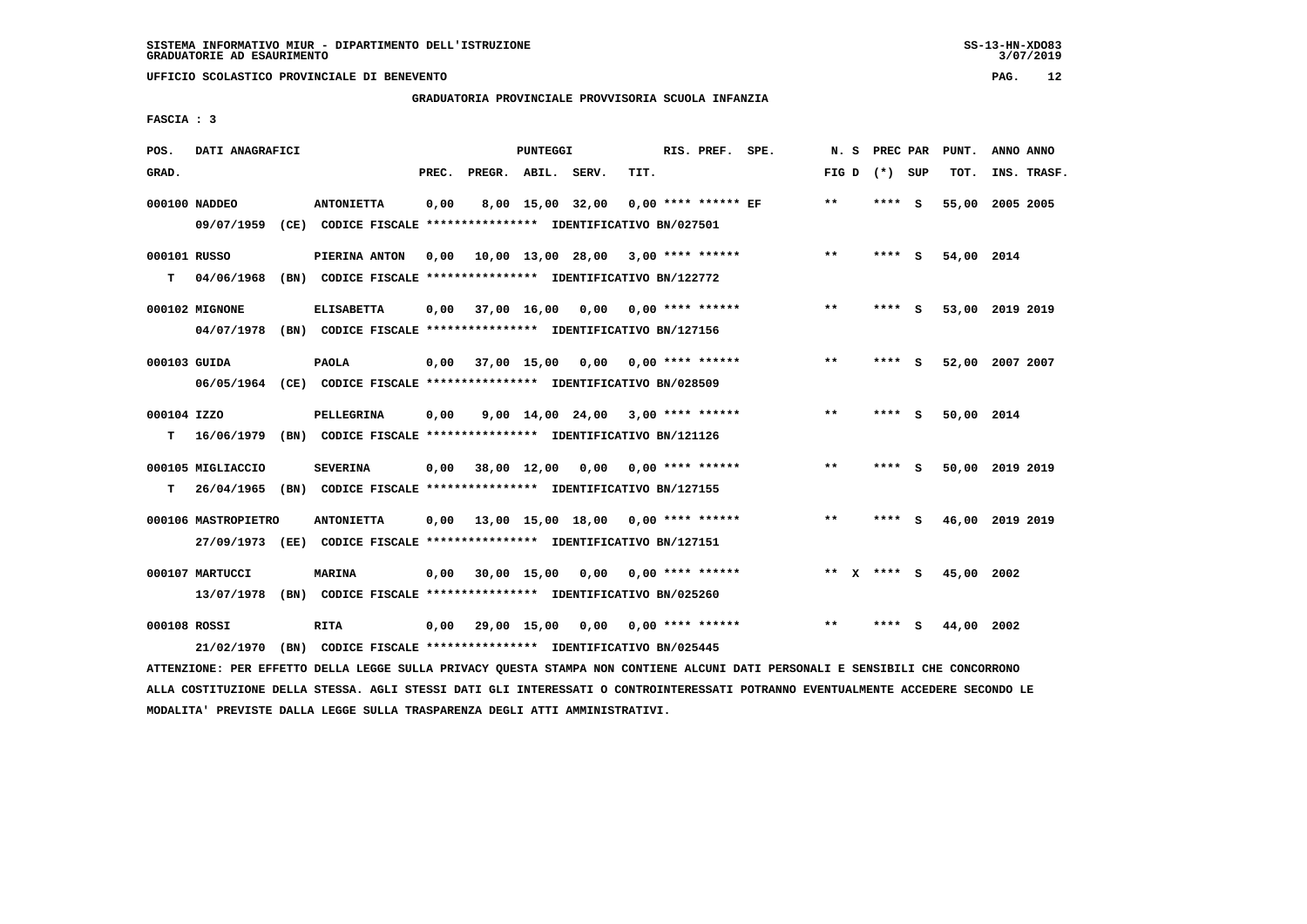$3/07/2019$ 

 **UFFICIO SCOLASTICO PROVINCIALE DI BENEVENTO PAG. 12**

# **GRADUATORIA PROVINCIALE PROVVISORIA SCUOLA INFANZIA**

 **FASCIA : 3**

| POS.              | DATI ANAGRAFICI               |                                                                                              |       |                    | PUNTEGGI         |                                     |      | RIS. PREF. SPE.           | N.S             |         |     | PREC PAR PUNT. | ANNO ANNO       |
|-------------------|-------------------------------|----------------------------------------------------------------------------------------------|-------|--------------------|------------------|-------------------------------------|------|---------------------------|-----------------|---------|-----|----------------|-----------------|
| GRAD.             |                               |                                                                                              | PREC. | PREGR. ABIL. SERV. |                  |                                     | TIT. |                           | FIG D $(*)$ SUP |         |     | TOT.           | INS. TRASF.     |
|                   | 000100 NADDEO<br>09/07/1959   | <b>ANTONIETTA</b><br>(CE) CODICE FISCALE **************** IDENTIFICATIVO BN/027501           | 0,00  |                    | 8,00 15,00 32,00 |                                     |      | $0.00$ **** ****** EF     | $***$           | **** S  |     | 55,00          | 2005 2005       |
| 000101 RUSSO<br>т | 04/06/1968                    | PIERINA ANTON<br>(BN) CODICE FISCALE **************** IDENTIFICATIVO BN/122772               | 0,00  |                    |                  | 10,00 13,00 28,00 3,00 **** ******  |      |                           | $**$            | $***$ S |     | 54,00 2014     |                 |
|                   | 000102 MIGNONE                | <b>ELISABETTA</b><br>04/07/1978 (BN) CODICE FISCALE *************** IDENTIFICATIVO BN/127156 | 0,00  |                    |                  | 37,00 16,00 0,00 0,00 **** ******   |      |                           | $***$           | **** S  |     |                | 53,00 2019 2019 |
| 000103 GUIDA      |                               | <b>PAOLA</b><br>06/05/1964 (CE) CODICE FISCALE *************** IDENTIFICATIVO BN/028509      | 0,00  | 37,00 15,00        |                  |                                     |      | 0,00 0,00 **** ******     | $***$           | **** S  |     |                | 52,00 2007 2007 |
| 000104 IZZO<br>т  |                               | PELLEGRINA<br>16/06/1979 (BN) CODICE FISCALE *************** IDENTIFICATIVO BN/121126        | 0,00  |                    |                  | $9.00$ 14.00 24.00 3.00 **** ****** |      |                           | $* *$           | ****    | - S | 50,00 2014     |                 |
| т                 | 000105 MIGLIACCIO             | <b>SEVERINA</b><br>26/04/1965 (BN) CODICE FISCALE *************** IDENTIFICATIVO BN/127155   | 0,00  |                    |                  | 38,00 12,00 0,00 0,00 **** ******   |      |                           | $***$           | ****    | - S |                | 50,00 2019 2019 |
|                   | 000106 MASTROPIETRO           | <b>ANTONIETTA</b><br>27/09/1973 (EE) CODICE FISCALE *************** IDENTIFICATIVO BN/127151 | 0,00  |                    |                  | 13,00 15,00 18,00 0,00 **** ******  |      |                           | $***$           | **** S  |     |                | 46,00 2019 2019 |
|                   | 000107 MARTUCCI<br>13/07/1978 | <b>MARINA</b><br>(BN) CODICE FISCALE **************** IDENTIFICATIVO BN/025260               | 0,00  |                    | 30,00 15,00      |                                     |      | $0.00$ $0.00$ **** ****** | ** x **** S     |         |     | 45,00 2002     |                 |
| 000108 ROSSI      | 21/02/1970                    | <b>RITA</b><br>(BN) CODICE FISCALE **************** IDENTIFICATIVO BN/025445                 | 0,00  | 29,00 15,00        |                  | 0,00                                |      | 0,00 **** ******          | $* *$           |         | s   | 44,00 2002     |                 |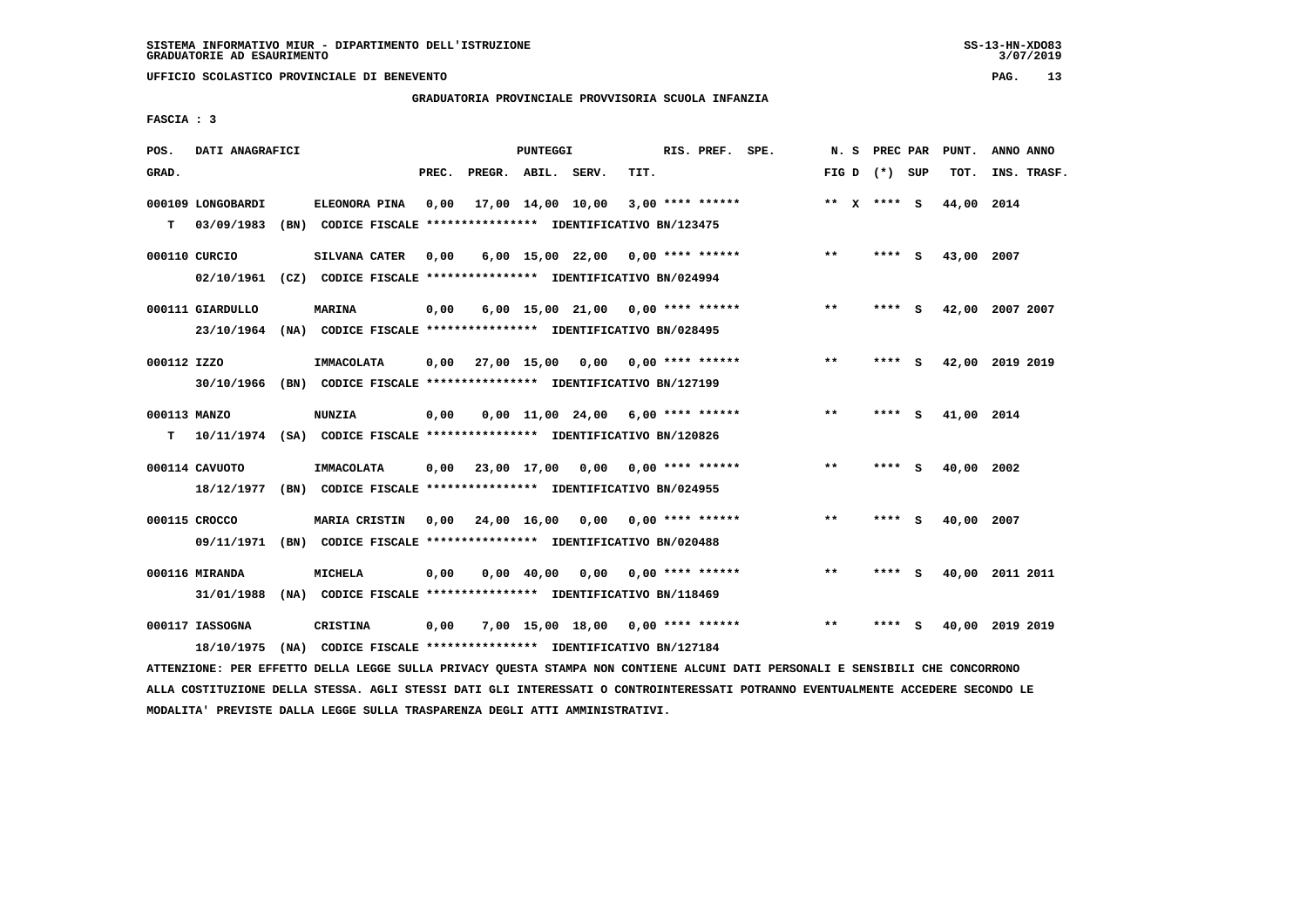### **GRADUATORIA PROVINCIALE PROVVISORIA SCUOLA INFANZIA**

 **FASCIA : 3**

| POS.         | DATI ANAGRAFICI   |                                                                                                                             |       |                        | PUNTEGGI   |      |                                          | RIS. PREF. SPE. |                    |       |                   |          | N. S PREC PAR PUNT. | ANNO ANNO       |
|--------------|-------------------|-----------------------------------------------------------------------------------------------------------------------------|-------|------------------------|------------|------|------------------------------------------|-----------------|--------------------|-------|-------------------|----------|---------------------|-----------------|
| GRAD.        |                   |                                                                                                                             | PREC. | PREGR. ABIL. SERV.     |            |      | TIT.                                     |                 |                    |       | FIG $D$ $(*)$ SUP |          | TOT.                | INS. TRASF.     |
|              | 000109 LONGOBARDI | ELEONORA PINA                                                                                                               | 0,00  |                        |            |      | 17,00 14,00 10,00 3,00 **** ******       |                 |                    |       | ** $X$ **** S     |          | 44,00 2014          |                 |
| т            | 03/09/1983        | (BN) CODICE FISCALE **************** IDENTIFICATIVO BN/123475                                                               |       |                        |            |      |                                          |                 |                    |       |                   |          |                     |                 |
|              |                   |                                                                                                                             |       |                        |            |      |                                          |                 |                    |       |                   |          |                     |                 |
|              | 000110 CURCIO     | SILVANA CATER                                                                                                               | 0,00  |                        |            |      | 6,00 15,00 22,00 0,00 **** ******        |                 |                    | $* *$ | ****              | - S      | 43,00 2007          |                 |
|              |                   | 02/10/1961 (CZ) CODICE FISCALE *************** IDENTIFICATIVO BN/024994                                                     |       |                        |            |      |                                          |                 |                    |       |                   |          |                     |                 |
|              | 000111 GIARDULLO  | <b>MARINA</b>                                                                                                               | 0,00  |                        |            |      | 6,00 15,00 21,00 0,00 **** ******        |                 |                    | $***$ | ****              | - 5      |                     | 42,00 2007 2007 |
|              |                   | 23/10/1964 (NA) CODICE FISCALE *************** IDENTIFICATIVO BN/028495                                                     |       |                        |            |      |                                          |                 |                    |       |                   |          |                     |                 |
|              |                   |                                                                                                                             |       |                        |            |      | 0,00 27,00 15,00 0,00 0,00 **** ******   |                 |                    | $***$ | ****              | <b>S</b> |                     | 42,00 2019 2019 |
| 000112 IZZO  |                   | IMMACOLATA                                                                                                                  |       |                        |            |      |                                          |                 |                    |       |                   |          |                     |                 |
|              |                   | 30/10/1966 (BN) CODICE FISCALE *************** IDENTIFICATIVO BN/127199                                                     |       |                        |            |      |                                          |                 |                    |       |                   |          |                     |                 |
| 000113 MANZO |                   | <b>NUNZIA</b>                                                                                                               | 0,00  |                        |            |      | $0.00$ 11.00 24.00 6.00 **** ******      |                 |                    | $***$ | ****              | <b>S</b> | 41,00 2014          |                 |
| т            |                   | 10/11/1974 (SA) CODICE FISCALE **************** IDENTIFICATIVO BN/120826                                                    |       |                        |            |      |                                          |                 |                    |       |                   |          |                     |                 |
|              | 000114 CAVUOTO    | IMMACOLATA                                                                                                                  |       |                        |            |      | $0,00$ 23,00 17,00 0,00 0,00 **** ****** |                 |                    | $**$  | ****              | - 5      | 40,00 2002          |                 |
|              |                   |                                                                                                                             |       |                        |            |      |                                          |                 |                    |       |                   |          |                     |                 |
|              |                   | 18/12/1977 (BN) CODICE FISCALE *************** IDENTIFICATIVO BN/024955                                                     |       |                        |            |      |                                          |                 |                    |       |                   |          |                     |                 |
|              | 000115 CROCCO     | MARIA CRISTIN                                                                                                               |       | $0,00$ $24,00$ $16,00$ |            |      | $0,00$ 0,00 **** ******                  |                 |                    | $***$ | ****              | - 5      | 40,00 2007          |                 |
|              | 09/11/1971        | (BN) CODICE FISCALE **************** IDENTIFICATIVO BN/020488                                                               |       |                        |            |      |                                          |                 |                    |       |                   |          |                     |                 |
|              | 000116 MIRANDA    | <b>MICHELA</b>                                                                                                              | 0,00  |                        | 0,00 40,00 | 0,00 |                                          |                 | $0.00$ **** ****** | $***$ | **** S            |          | 40,00               | 2011 2011       |
|              |                   |                                                                                                                             |       |                        |            |      |                                          |                 |                    |       |                   |          |                     |                 |
|              | 31/01/1988        | (NA) CODICE FISCALE **************** IDENTIFICATIVO BN/118469                                                               |       |                        |            |      |                                          |                 |                    |       |                   |          |                     |                 |
|              | 000117 IASSOGNA   | CRISTINA                                                                                                                    | 0,00  |                        |            |      | 7,00 15,00 18,00 0,00 **** ******        |                 |                    | $* *$ | **** S            |          |                     | 40,00 2019 2019 |
|              | 18/10/1975        | (NA) CODICE FISCALE **************** IDENTIFICATIVO BN/127184                                                               |       |                        |            |      |                                          |                 |                    |       |                   |          |                     |                 |
|              |                   | PROVERANT AND PROGREA AREIS ERACH AUELL ANTHLAU AUGARI ARIUAI VAN AANREDIG IEAUIE AIRE APAAANIEF IN APVAEATE AUG AANAAAAANA |       |                        |            |      |                                          |                 |                    |       |                   |          |                     |                 |

 **ATTENZIONE: PER EFFETTO DELLA LEGGE SULLA PRIVACY QUESTA STAMPA NON CONTIENE ALCUNI DATI PERSONALI E SENSIBILI CHE CONCORRONO ALLA COSTITUZIONE DELLA STESSA. AGLI STESSI DATI GLI INTERESSATI O CONTROINTERESSATI POTRANNO EVENTUALMENTE ACCEDERE SECONDO LE MODALITA' PREVISTE DALLA LEGGE SULLA TRASPARENZA DEGLI ATTI AMMINISTRATIVI.**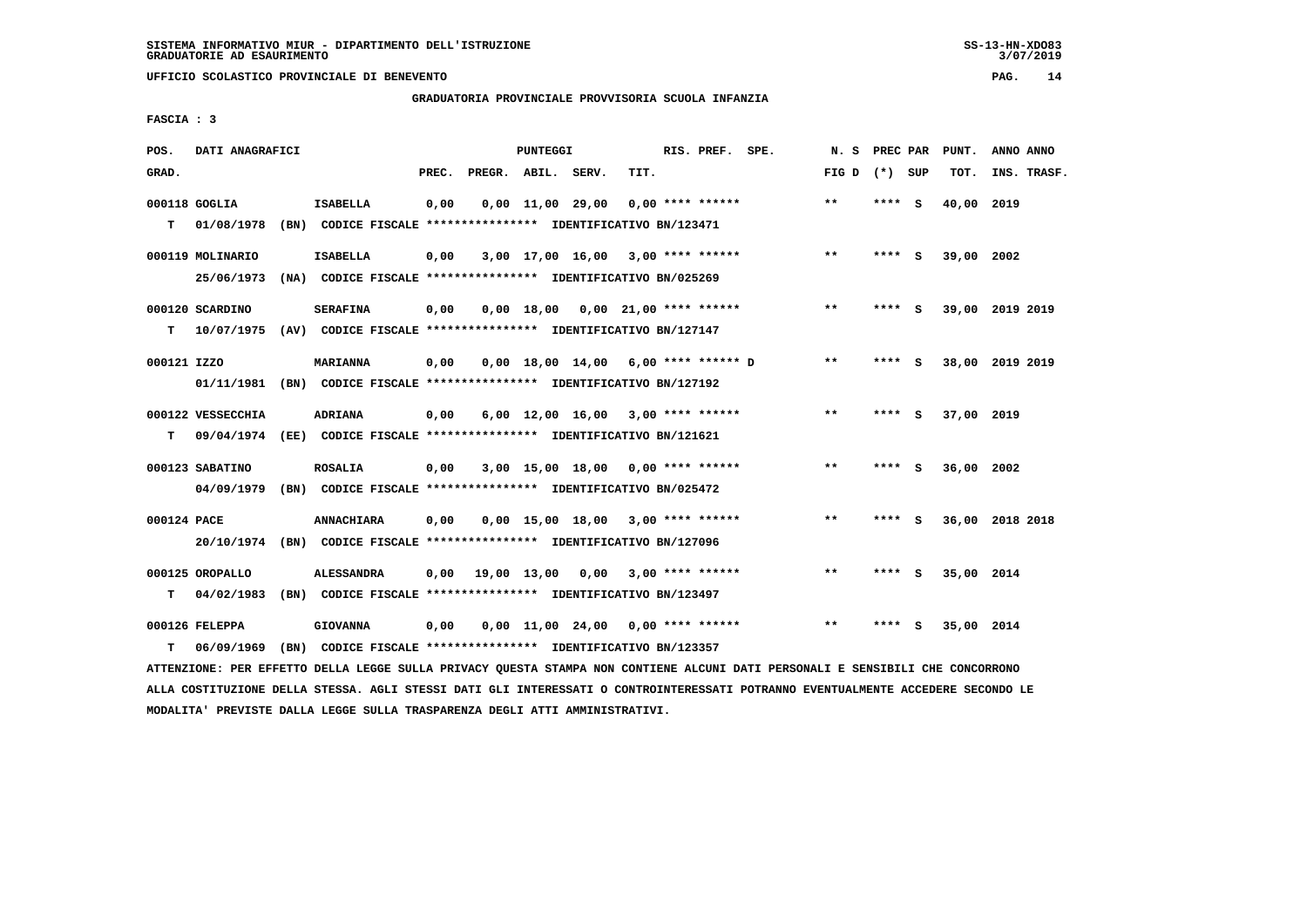**GRADUATORIA PROVINCIALE PROVVISORIA SCUOLA INFANZIA**

 **FASCIA : 3**

| POS.        | DATI ANAGRAFICI   |                                                                          |       |                                   | <b>PUNTEGGI</b> |                                |                                       | RIS. PREF. | SPE. | N. S         | PREC PAR |     | PUNT.      | ANNO ANNO       |
|-------------|-------------------|--------------------------------------------------------------------------|-------|-----------------------------------|-----------------|--------------------------------|---------------------------------------|------------|------|--------------|----------|-----|------------|-----------------|
| GRAD.       |                   |                                                                          | PREC. | PREGR. ABIL. SERV.                |                 |                                | TIT.                                  |            |      | FIG D        | $(*)$    | SUP | TOT.       | INS. TRASF.     |
|             | 000118 GOGLIA     | <b>ISABELLA</b>                                                          | 0,00  |                                   |                 | $0,00 \quad 11,00 \quad 29,00$ | 0,00 **** ******                      |            |      | $***$        | ****     | - S | 40,00 2019 |                 |
| т           | 01/08/1978        | (BN) CODICE FISCALE **************** IDENTIFICATIVO BN/123471            |       |                                   |                 |                                |                                       |            |      |              |          |     |            |                 |
|             | 000119 MOLINARIO  | <b>ISABELLA</b>                                                          | 0,00  |                                   |                 |                                | $3,00$ 17,00 16,00 3,00 **** ******   |            |      | $***$        | ****     | - S | 39,00 2002 |                 |
|             | 25/06/1973        | (NA) CODICE FISCALE **************** IDENTIFICATIVO BN/025269            |       |                                   |                 |                                |                                       |            |      |              |          |     |            |                 |
|             | 000120 SCARDINO   | <b>SERAFINA</b>                                                          | 0,00  |                                   |                 |                                | $0,00$ 18,00 0,00 21,00 **** ******   |            |      | $* *$        | **** S   |     |            | 39,00 2019 2019 |
| т           | 10/07/1975        | (AV) CODICE FISCALE **************** IDENTIFICATIVO BN/127147            |       |                                   |                 |                                |                                       |            |      |              |          |     |            |                 |
| 000121 IZZO |                   | <b>MARIANNA</b>                                                          | 0,00  |                                   |                 |                                | $0,00$ 18,00 14,00 6,00 **** ****** D |            |      | $\star\star$ | **** S   |     |            | 38,00 2019 2019 |
|             | 01/11/1981        | (BN) CODICE FISCALE *************** IDENTIFICATIVO BN/127192             |       |                                   |                 |                                |                                       |            |      |              |          |     |            |                 |
|             | 000122 VESSECCHIA | <b>ADRIANA</b>                                                           | 0,00  |                                   |                 |                                | $6,00$ 12,00 16,00 3,00 **** ******   |            |      | $* *$        | **** S   |     | 37,00 2019 |                 |
| т           |                   | 09/04/1974 (EE) CODICE FISCALE **************** IDENTIFICATIVO BN/121621 |       |                                   |                 |                                |                                       |            |      |              |          |     |            |                 |
|             | 000123 SABATINO   | <b>ROSALIA</b>                                                           | 0,00  |                                   |                 |                                | $3,00$ 15,00 18,00 0,00 **** ******   |            |      | **           | **** S   |     | 36,00 2002 |                 |
|             | 04/09/1979        | (BN) CODICE FISCALE **************** IDENTIFICATIVO BN/025472            |       |                                   |                 |                                |                                       |            |      |              |          |     |            |                 |
| 000124 PACE |                   | <b>ANNACHIARA</b>                                                        | 0,00  |                                   |                 |                                | $0,00$ 15,00 18,00 3,00 **** ******   |            |      | $***$        | ****     | - 5 |            | 36,00 2018 2018 |
|             | 20/10/1974        | (BN) CODICE FISCALE **************** IDENTIFICATIVO BN/127096            |       |                                   |                 |                                |                                       |            |      |              |          |     |            |                 |
|             | 000125 OROPALLO   | <b>ALESSANDRA</b>                                                        | 0,00  | 19,00 13,00 0,00 3,00 **** ****** |                 |                                |                                       |            |      | $\star\star$ | **** S   |     | 35,00 2014 |                 |
| T.          | 04/02/1983        | (BN) CODICE FISCALE **************** IDENTIFICATIVO BN/123497            |       |                                   |                 |                                |                                       |            |      |              |          |     |            |                 |
|             | 000126 FELEPPA    | <b>GIOVANNA</b>                                                          | 0,00  |                                   |                 |                                | $0,00$ 11,00 24,00 0,00 **** ******   |            |      | $* *$        | ****     | - S | 35,00 2014 |                 |
| т           | 06/09/1969        | (BN) CODICE FISCALE **************** IDENTIFICATIVO BN/123357            |       |                                   |                 |                                |                                       |            |      |              |          |     |            |                 |
|             |                   |                                                                          |       |                                   |                 |                                |                                       |            |      |              |          |     |            |                 |

 **ATTENZIONE: PER EFFETTO DELLA LEGGE SULLA PRIVACY QUESTA STAMPA NON CONTIENE ALCUNI DATI PERSONALI E SENSIBILI CHE CONCORRONO ALLA COSTITUZIONE DELLA STESSA. AGLI STESSI DATI GLI INTERESSATI O CONTROINTERESSATI POTRANNO EVENTUALMENTE ACCEDERE SECONDO LE MODALITA' PREVISTE DALLA LEGGE SULLA TRASPARENZA DEGLI ATTI AMMINISTRATIVI.**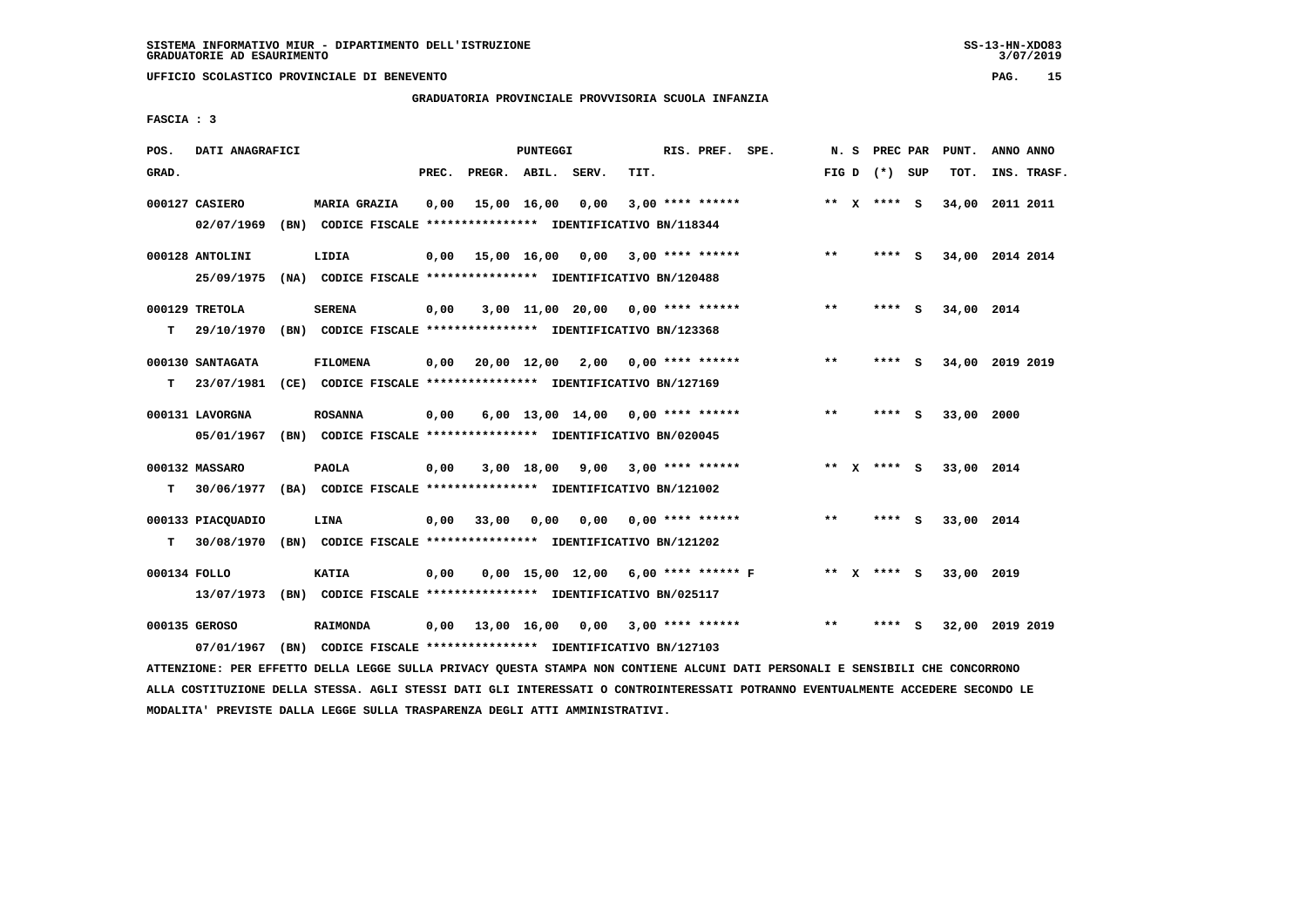# **GRADUATORIA PROVINCIALE PROVVISORIA SCUOLA INFANZIA**

 **FASCIA : 3**

| POS.         | DATI ANAGRAFICI   |                                                                          |       |                    | PUNTEGGI    |      |                                       | RIS. PREF. SPE.    | N.S   | <b>PREC PAR</b> | PUNT.      | ANNO ANNO       |
|--------------|-------------------|--------------------------------------------------------------------------|-------|--------------------|-------------|------|---------------------------------------|--------------------|-------|-----------------|------------|-----------------|
| GRAD.        |                   |                                                                          | PREC. | PREGR. ABIL. SERV. |             |      | TIT.                                  |                    |       | FIG D $(*)$ SUP | TOT.       | INS. TRASF.     |
|              | 000127 CASIERO    | <b>MARIA GRAZIA</b>                                                      | 0,00  |                    | 15,00 16,00 | 0,00 |                                       | $3,00$ **** ****** |       | ** X **** S     |            | 34,00 2011 2011 |
|              | 02/07/1969        | (BN) CODICE FISCALE **************** IDENTIFICATIVO BN/118344            |       |                    |             |      |                                       |                    |       |                 |            |                 |
|              | 000128 ANTOLINI   | LIDIA                                                                    | 0,00  |                    |             |      | 15,00 16,00 0,00 3,00 **** ******     |                    | $**$  | **** S          |            | 34,00 2014 2014 |
|              | 25/09/1975        | (NA) CODICE FISCALE **************** IDENTIFICATIVO BN/120488            |       |                    |             |      |                                       |                    |       |                 |            |                 |
|              | 000129 TRETOLA    | <b>SERENA</b>                                                            | 0,00  |                    |             |      | $3,00$ 11,00 20,00 0,00 **** ******   |                    | $* *$ | **** S          | 34,00 2014 |                 |
| т            | 29/10/1970        | (BN) CODICE FISCALE **************** IDENTIFICATIVO BN/123368            |       |                    |             |      |                                       |                    |       |                 |            |                 |
|              | 000130 SANTAGATA  | <b>FILOMENA</b>                                                          | 0,00  | 20,00 12,00 2,00   |             |      | 0,00 **** ******                      |                    | $* *$ | **** S          |            | 34,00 2019 2019 |
| т            | 23/07/1981        | (CE) CODICE FISCALE **************** IDENTIFICATIVO BN/127169            |       |                    |             |      |                                       |                    |       |                 |            |                 |
|              | 000131 LAVORGNA   | <b>ROSANNA</b>                                                           | 0,00  |                    |             |      | $6,00$ 13,00 14,00 0,00 **** ******   |                    | $***$ | $***$ S         | 33,00 2000 |                 |
|              | 05/01/1967        | (BN) CODICE FISCALE **************** IDENTIFICATIVO BN/020045            |       |                    |             |      |                                       |                    |       |                 |            |                 |
|              | 000132 MASSARO    | PAOLA                                                                    | 0,00  |                    |             |      | $3,00$ 18,00 9,00 3,00 **** ******    |                    |       | ** X **** S     | 33,00 2014 |                 |
| T.           |                   | 30/06/1977 (BA) CODICE FISCALE **************** IDENTIFICATIVO BN/121002 |       |                    |             |      |                                       |                    |       |                 |            |                 |
|              | 000133 PIACQUADIO | LINA                                                                     | 0,00  | 33,00              | 0,00        |      | $0.00$ $0.00$ **** ******             |                    | $***$ | **** S          | 33,00 2014 |                 |
| т            |                   | 30/08/1970 (BN) CODICE FISCALE *************** IDENTIFICATIVO BN/121202  |       |                    |             |      |                                       |                    |       |                 |            |                 |
| 000134 FOLLO |                   | <b>KATIA</b>                                                             | 0,00  |                    |             |      | $0,00$ 15,00 12,00 6,00 **** ****** F |                    |       | ** x **** S     | 33,00 2019 |                 |
|              | 13/07/1973        | (BN) CODICE FISCALE **************** IDENTIFICATIVO BN/025117            |       |                    |             |      |                                       |                    |       |                 |            |                 |
|              | 000135 GEROSO     | <b>RAIMONDA</b>                                                          | 0,00  | 13,00 16,00 0,00   |             |      |                                       | $3,00$ **** ****** | $***$ | **** S          |            | 32,00 2019 2019 |
|              | 07/01/1967        | (BN) CODICE FISCALE **************** IDENTIFICATIVO BN/127103            |       |                    |             |      |                                       |                    |       |                 |            |                 |

 **ATTENZIONE: PER EFFETTO DELLA LEGGE SULLA PRIVACY QUESTA STAMPA NON CONTIENE ALCUNI DATI PERSONALI E SENSIBILI CHE CONCORRONO ALLA COSTITUZIONE DELLA STESSA. AGLI STESSI DATI GLI INTERESSATI O CONTROINTERESSATI POTRANNO EVENTUALMENTE ACCEDERE SECONDO LE MODALITA' PREVISTE DALLA LEGGE SULLA TRASPARENZA DEGLI ATTI AMMINISTRATIVI.**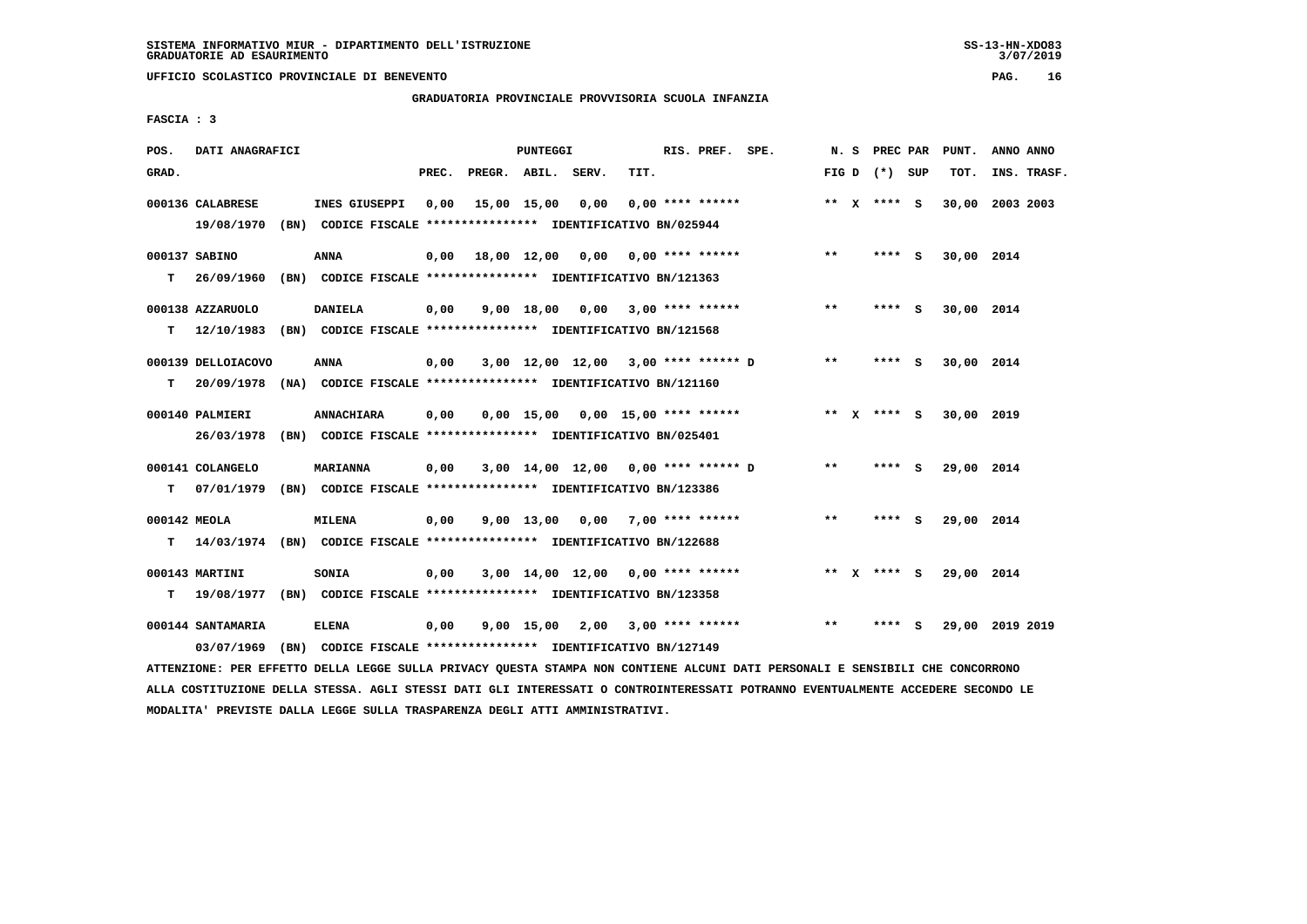# **GRADUATORIA PROVINCIALE PROVVISORIA SCUOLA INFANZIA**

 **FASCIA : 3**

| POS.         | DATI ANAGRAFICI    |                                                                                                                               |       |                                   | PUNTEGGI |                                     |                  | RIS. PREF. SPE. |       | N. S PREC PAR   | PUNT.      | ANNO ANNO       |  |
|--------------|--------------------|-------------------------------------------------------------------------------------------------------------------------------|-------|-----------------------------------|----------|-------------------------------------|------------------|-----------------|-------|-----------------|------------|-----------------|--|
| GRAD.        |                    |                                                                                                                               | PREC. | PREGR. ABIL. SERV.                |          |                                     | TIT.             |                 |       | FIG D $(*)$ SUP | TOT.       | INS. TRASF.     |  |
|              | 000136 CALABRESE   | INES GIUSEPPI                                                                                                                 | 0,00  | 15,00 15,00 0,00                  |          |                                     | 0,00 **** ****** |                 |       | ** x **** S     |            | 30,00 2003 2003 |  |
|              | 19/08/1970         | (BN) CODICE FISCALE **************** IDENTIFICATIVO BN/025944                                                                 |       |                                   |          |                                     |                  |                 |       |                 |            |                 |  |
|              | 000137 SABINO      | ANNA                                                                                                                          | 0,00  | 18,00 12,00 0,00 0,00 **** ****** |          |                                     |                  |                 | $***$ | **** S          | 30,00 2014 |                 |  |
| т            | 26/09/1960         | (BN) CODICE FISCALE **************** IDENTIFICATIVO BN/121363                                                                 |       |                                   |          |                                     |                  |                 |       |                 |            |                 |  |
|              | 000138 AZZARUOLO   | <b>DANIELA</b>                                                                                                                | 0,00  |                                   |          | $9,00$ 18,00 0,00 3,00 **** ******  |                  |                 | $***$ | $***$ S         | 30,00 2014 |                 |  |
| т            |                    | 12/10/1983 (BN) CODICE FISCALE *************** IDENTIFICATIVO BN/121568                                                       |       |                                   |          |                                     |                  |                 |       |                 |            |                 |  |
|              | 000139 DELLOIACOVO | ANNA                                                                                                                          | 0,00  |                                   |          | 3,00 12,00 12,00 3,00 **** ****** D |                  |                 | $***$ | $***$ S         | 30,00 2014 |                 |  |
|              | T 20/09/1978       | (NA) CODICE FISCALE **************** IDENTIFICATIVO BN/121160                                                                 |       |                                   |          |                                     |                  |                 |       |                 |            |                 |  |
|              | 000140 PALMIERI    | ANNACHIARA                                                                                                                    | 0,00  |                                   |          | $0,00$ 15,00 0,00 15,00 **** ****** |                  |                 |       | ** x **** s     | 30,00 2019 |                 |  |
|              | 26/03/1978         | (BN) CODICE FISCALE *************** IDENTIFICATIVO BN/025401                                                                  |       |                                   |          |                                     |                  |                 |       |                 |            |                 |  |
|              | 000141 COLANGELO   | <b>MARIANNA</b>                                                                                                               | 0,00  |                                   |          | 3,00 14,00 12,00 0,00 **** ****** D |                  |                 | $***$ | **** S          | 29,00 2014 |                 |  |
| т            |                    | 07/01/1979 (BN) CODICE FISCALE *************** IDENTIFICATIVO BN/123386                                                       |       |                                   |          |                                     |                  |                 |       |                 |            |                 |  |
| 000142 MEOLA |                    | <b>MILENA</b>                                                                                                                 | 0,00  |                                   |          | $9,00$ 13,00 0,00 7,00 **** ******  |                  |                 | $***$ | **** S          | 29,00 2014 |                 |  |
| т            |                    | 14/03/1974 (BN) CODICE FISCALE **************** IDENTIFICATIVO BN/122688                                                      |       |                                   |          |                                     |                  |                 |       |                 |            |                 |  |
|              | 000143 MARTINI     | <b>SONIA</b>                                                                                                                  | 0,00  |                                   |          | $3,00$ 14,00 12,00 0,00 **** ****** |                  |                 |       | ** x **** s     | 29,00 2014 |                 |  |
|              |                    | T 19/08/1977 (BN) CODICE FISCALE *************** IDENTIFICATIVO BN/123358                                                     |       |                                   |          |                                     |                  |                 |       |                 |            |                 |  |
|              | 000144 SANTAMARIA  | ELENA                                                                                                                         | 0,00  |                                   |          | 9,00 15,00 2,00 3,00 **** ******    |                  |                 | $* *$ | **** S          |            | 29,00 2019 2019 |  |
|              | 03/07/1969         | (BN) CODICE FISCALE **************** IDENTIFICATIVO BN/127149                                                                 |       |                                   |          |                                     |                  |                 |       |                 |            |                 |  |
|              |                    | ATTENZIONE: PER EFFETTO DELLA LEGGE SULLA PRIVACY QUESTA STAMPA NON CONTIENE ALCUNI DATI PERSONALI E SENSIBILI CHE CONCORRONO |       |                                   |          |                                     |                  |                 |       |                 |            |                 |  |

 **ALLA COSTITUZIONE DELLA STESSA. AGLI STESSI DATI GLI INTERESSATI O CONTROINTERESSATI POTRANNO EVENTUALMENTE ACCEDERE SECONDO LE MODALITA' PREVISTE DALLA LEGGE SULLA TRASPARENZA DEGLI ATTI AMMINISTRATIVI.**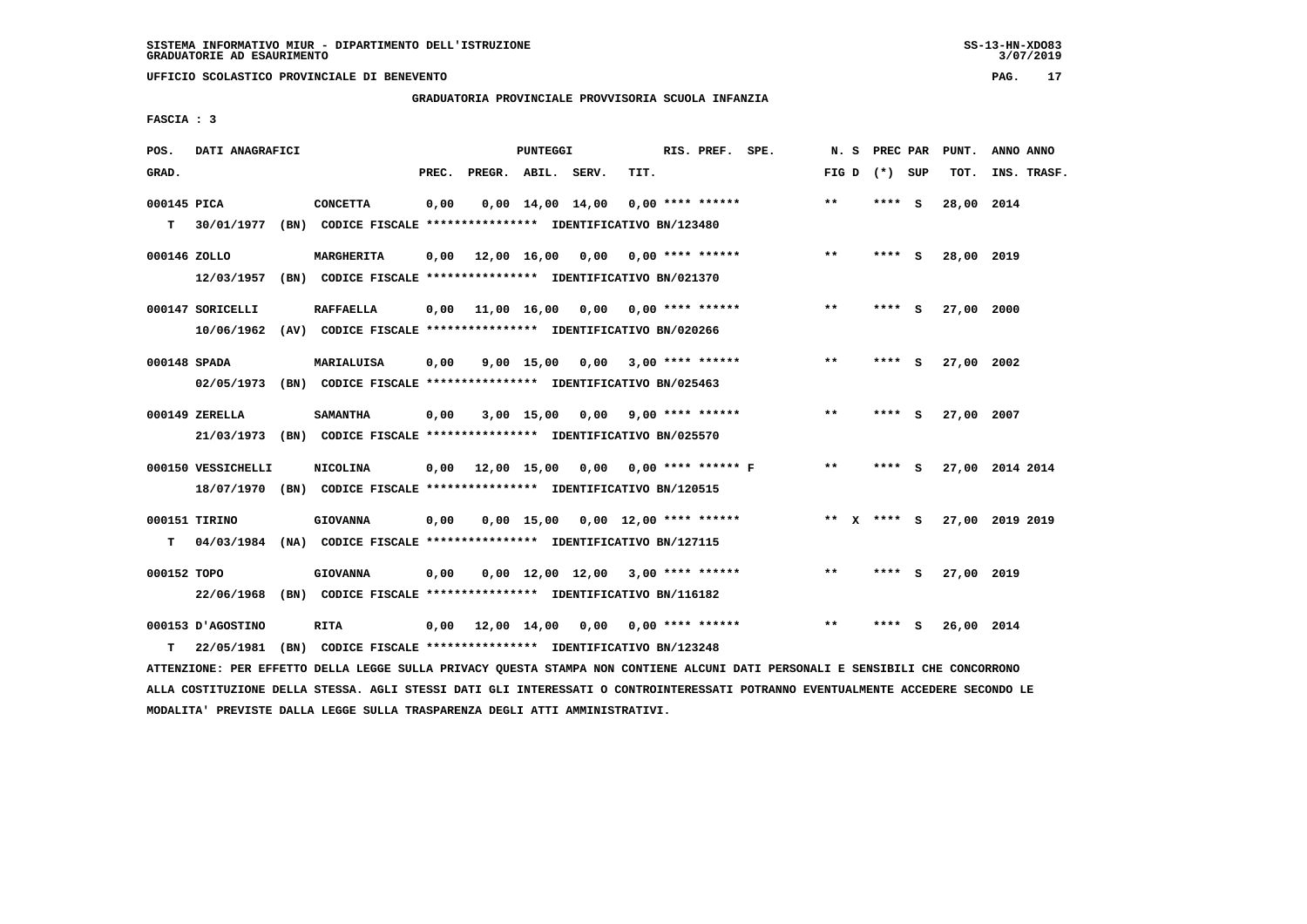# **GRADUATORIA PROVINCIALE PROVVISORIA SCUOLA INFANZIA**

 **FASCIA : 3**

| POS.         | DATI ANAGRAFICI    |                                                                         |       |                               | PUNTEGGI |                                          | RIS. PREF. | SPE.                                     | N.S   | PREC PAR        | PUNT.      | ANNO ANNO       |
|--------------|--------------------|-------------------------------------------------------------------------|-------|-------------------------------|----------|------------------------------------------|------------|------------------------------------------|-------|-----------------|------------|-----------------|
| GRAD.        |                    |                                                                         | PREC. | PREGR. ABIL. SERV.            |          | TIT.                                     |            |                                          |       | FIG D $(*)$ SUP | TOT.       | INS. TRASF.     |
| 000145 PICA  |                    | <b>CONCETTA</b>                                                         | 0,00  |                               |          | $0,00$ 14,00 14,00 0,00 **** ******      |            |                                          | $***$ | $***$ S         | 28,00 2014 |                 |
| T.           | 30/01/1977         | (BN) CODICE FISCALE **************** IDENTIFICATIVO BN/123480           |       |                               |          |                                          |            |                                          |       |                 |            |                 |
| 000146 ZOLLO |                    | MARGHERITA                                                              | 0,00  |                               |          | 12,00 16,00 0,00 0,00 **** ******        |            |                                          | **    | **** S          | 28,00 2019 |                 |
|              | 12/03/1957         | (BN) CODICE FISCALE **************** IDENTIFICATIVO BN/021370           |       |                               |          |                                          |            |                                          |       |                 |            |                 |
|              | 000147 SORICELLI   | <b>RAFFAELLA</b>                                                        |       |                               |          | $0,00$ 11,00 16,00 0,00 0,00 **** ****** |            |                                          | $* *$ | **** S          | 27,00 2000 |                 |
|              |                    | 10/06/1962 (AV) CODICE FISCALE *************** IDENTIFICATIVO BN/020266 |       |                               |          |                                          |            |                                          |       |                 |            |                 |
| 000148 SPADA |                    | MARIALUISA                                                              | 0,00  |                               |          | $9,00$ 15,00 0,00 3,00 **** ******       |            |                                          | $***$ | **** S          | 27,00 2002 |                 |
|              |                    | 02/05/1973 (BN) CODICE FISCALE *************** IDENTIFICATIVO BN/025463 |       |                               |          |                                          |            |                                          |       |                 |            |                 |
|              | $000149$ ZERELLA   | <b>SAMANTHA</b>                                                         | 0,00  |                               |          | $3,00$ 15,00 0,00 9,00 **** ******       |            |                                          | $***$ | **** S          | 27,00 2007 |                 |
|              |                    | 21/03/1973 (BN) CODICE FISCALE *************** IDENTIFICATIVO BN/025570 |       |                               |          |                                          |            |                                          |       |                 |            |                 |
|              | 000150 VESSICHELLI | NICOLINA                                                                |       |                               |          |                                          |            | 0,00 12,00 15,00 0,00 0,00 **** ****** F | $***$ | **** S          |            | 27,00 2014 2014 |
|              |                    | 18/07/1970 (BN) CODICE FISCALE *************** IDENTIFICATIVO BN/120515 |       |                               |          |                                          |            |                                          |       |                 |            |                 |
|              | 000151 TIRINO      | <b>GIOVANNA</b>                                                         | 0,00  |                               |          | $0,00$ 15,00 0,00 12,00 **** ******      |            |                                          |       | ** x **** s     |            | 27,00 2019 2019 |
| т            |                    | 04/03/1984 (NA) CODICE FISCALE *************** IDENTIFICATIVO BN/127115 |       |                               |          |                                          |            |                                          |       |                 |            |                 |
| 000152 TOPO  |                    | <b>GIOVANNA</b>                                                         | 0,00  |                               |          | $0.00$ 12.00 12.00 3.00 **** ******      |            |                                          | $* *$ | **** S          | 27,00 2019 |                 |
|              | 22/06/1968         | (BN) CODICE FISCALE **************** IDENTIFICATIVO BN/116182           |       |                               |          |                                          |            |                                          |       |                 |            |                 |
|              | 000153 D'AGOSTINO  | <b>RITA</b>                                                             |       | $0,00$ $12,00$ $14,00$ $0,00$ |          | 0,00 **** ******                         |            |                                          | **    | **** S          | 26,00 2014 |                 |
| т            | 22/05/1981         | (BN) CODICE FISCALE **************** IDENTIFICATIVO BN/123248           |       |                               |          |                                          |            |                                          |       |                 |            |                 |
|              |                    |                                                                         |       |                               |          |                                          |            |                                          |       |                 |            |                 |

 **ATTENZIONE: PER EFFETTO DELLA LEGGE SULLA PRIVACY QUESTA STAMPA NON CONTIENE ALCUNI DATI PERSONALI E SENSIBILI CHE CONCORRONO ALLA COSTITUZIONE DELLA STESSA. AGLI STESSI DATI GLI INTERESSATI O CONTROINTERESSATI POTRANNO EVENTUALMENTE ACCEDERE SECONDO LE MODALITA' PREVISTE DALLA LEGGE SULLA TRASPARENZA DEGLI ATTI AMMINISTRATIVI.**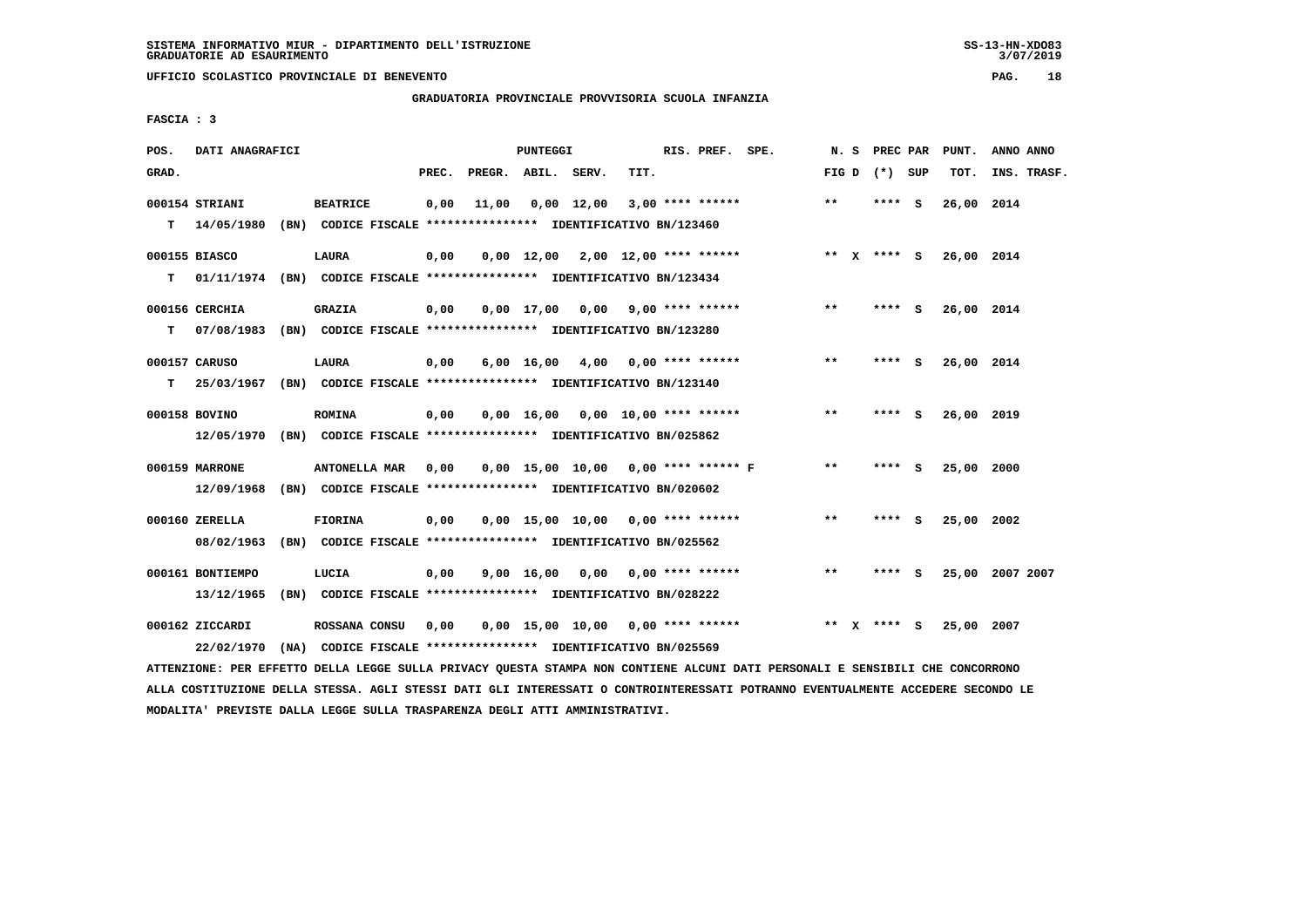### **GRADUATORIA PROVINCIALE PROVVISORIA SCUOLA INFANZIA**

 **FASCIA : 3**

| POS.  | DATI ANAGRAFICI  |                                                                         |       |                    | PUNTEGGI   |              |                                       | RIS. PREF. SPE. | N.S   |              | PREC PAR        |     | PUNT.      | ANNO ANNO       |
|-------|------------------|-------------------------------------------------------------------------|-------|--------------------|------------|--------------|---------------------------------------|-----------------|-------|--------------|-----------------|-----|------------|-----------------|
| GRAD. |                  |                                                                         | PREC. | PREGR. ABIL. SERV. |            |              | TIT.                                  |                 |       |              | FIG D $(*)$ SUP |     | TOT.       | INS. TRASF.     |
|       | 000154 STRIANI   | <b>BEATRICE</b>                                                         | 0,00  | 11,00              |            | $0,00$ 12,00 | $3,00$ **** ******                    |                 | $* *$ |              | **** S          |     | 26,00 2014 |                 |
| т     | 14/05/1980       | (BN) CODICE FISCALE **************** IDENTIFICATIVO BN/123460           |       |                    |            |              |                                       |                 |       |              |                 |     |            |                 |
|       | 000155 BIASCO    | <b>LAURA</b>                                                            | 0,00  |                    |            |              | $0,00$ 12,00 2,00 12,00 **** ******   |                 |       |              | ** $X$ **** S   |     | 26,00 2014 |                 |
| т     |                  | 01/11/1974 (BN) CODICE FISCALE *************** IDENTIFICATIVO BN/123434 |       |                    |            |              |                                       |                 |       |              |                 |     |            |                 |
|       | 000156 CERCHIA   | <b>GRAZIA</b>                                                           | 0,00  |                    | 0,00 17,00 |              | $0,00$ 9,00 **** ******               |                 | $* *$ |              | **** S          |     | 26,00 2014 |                 |
| т     | 07/08/1983       | (BN) CODICE FISCALE **************** IDENTIFICATIVO BN/123280           |       |                    |            |              |                                       |                 |       |              |                 |     |            |                 |
|       | 000157 CARUSO    | LAURA                                                                   | 0,00  |                    |            |              | $6,00$ 16,00 4,00 0,00 **** ******    |                 | $* *$ |              | **** S          |     | 26,00 2014 |                 |
| т     | 25/03/1967       | (BN) CODICE FISCALE **************** IDENTIFICATIVO BN/123140           |       |                    |            |              |                                       |                 |       |              |                 |     |            |                 |
|       | 000158 BOVINO    | <b>ROMINA</b>                                                           | 0,00  |                    |            |              | $0,00$ 16,00 0,00 10,00 **** ******   |                 | $* *$ |              | **** S          |     | 26,00 2019 |                 |
|       | 12/05/1970       | (BN) CODICE FISCALE **************** IDENTIFICATIVO BN/025862           |       |                    |            |              |                                       |                 |       |              |                 |     |            |                 |
|       | 000159 MARRONE   | ANTONELLA MAR                                                           | 0,00  |                    |            |              | $0,00$ 15,00 10,00 0,00 **** ****** F |                 | $* *$ |              | **** S          |     | 25,00 2000 |                 |
|       | 12/09/1968       | (BN) CODICE FISCALE **************** IDENTIFICATIVO BN/020602           |       |                    |            |              |                                       |                 |       |              |                 |     |            |                 |
|       | 000160 ZERELLA   | <b>FIORINA</b>                                                          | 0,00  |                    |            |              | $0.00$ 15.00 10.00 0.00 **** ******   |                 | **    |              | **** S          |     | 25,00 2002 |                 |
|       | 08/02/1963       | (BN) CODICE FISCALE **************** IDENTIFICATIVO BN/025562           |       |                    |            |              |                                       |                 |       |              |                 |     |            |                 |
|       | 000161 BONTIEMPO | LUCIA                                                                   | 0,00  |                    | 9,00 16,00 |              | 0,00 0,00 **** ******                 |                 | $* *$ |              | ****            | - S |            | 25,00 2007 2007 |
|       | 13/12/1965       | (BN) CODICE FISCALE **************** IDENTIFICATIVO BN/028222           |       |                    |            |              |                                       |                 |       |              |                 |     |            |                 |
|       | 000162 ZICCARDI  | ROSSANA CONSU                                                           | 0,00  |                    |            |              | $0,00$ 15,00 10,00 0,00 **** ******   |                 | $* *$ | $\mathbf{x}$ | **** S          |     | 25,00 2007 |                 |
|       | 22/02/1970       | (NA) CODICE FISCALE **************** IDENTIFICATIVO BN/025569           |       |                    |            |              |                                       |                 |       |              |                 |     |            |                 |

 **ATTENZIONE: PER EFFETTO DELLA LEGGE SULLA PRIVACY QUESTA STAMPA NON CONTIENE ALCUNI DATI PERSONALI E SENSIBILI CHE CONCORRONO ALLA COSTITUZIONE DELLA STESSA. AGLI STESSI DATI GLI INTERESSATI O CONTROINTERESSATI POTRANNO EVENTUALMENTE ACCEDERE SECONDO LE MODALITA' PREVISTE DALLA LEGGE SULLA TRASPARENZA DEGLI ATTI AMMINISTRATIVI.**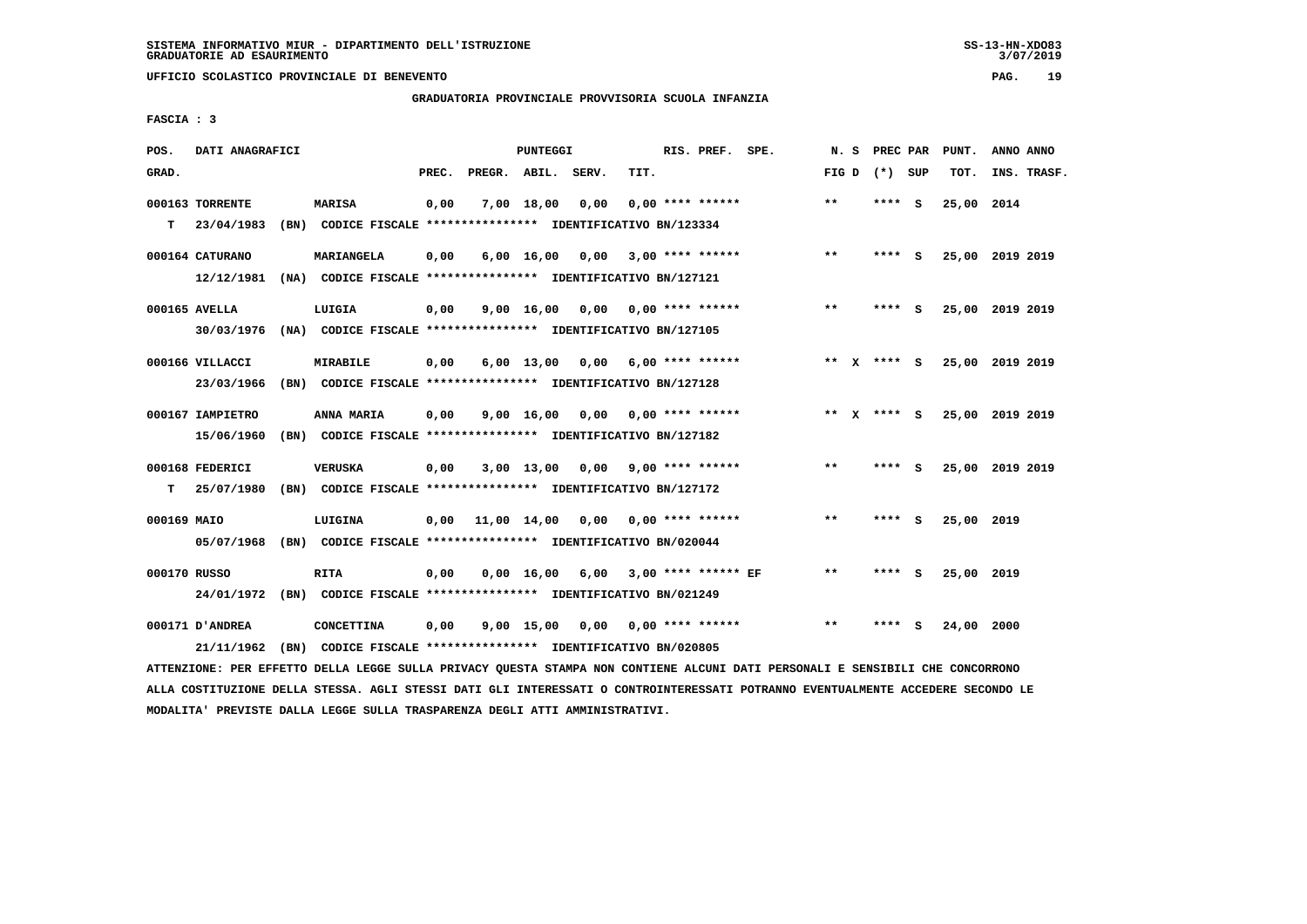# **GRADUATORIA PROVINCIALE PROVVISORIA SCUOLA INFANZIA**

 **FASCIA : 3**

| POS.        | DATI ANAGRAFICI  |                                                                          |       |                    | PUNTEGGI    |      |                                    | RIS. PREF. SPE. | N.S          | PREC PAR    |     | PUNT.           | ANNO ANNO |             |
|-------------|------------------|--------------------------------------------------------------------------|-------|--------------------|-------------|------|------------------------------------|-----------------|--------------|-------------|-----|-----------------|-----------|-------------|
| GRAD.       |                  |                                                                          | PREC. | PREGR. ABIL. SERV. |             |      | TIT.                               |                 | FIG D        | (*) SUP     |     | TOT.            |           | INS. TRASF. |
|             | 000163 TORRENTE  | <b>MARISA</b>                                                            | 0,00  |                    | 7,00 18,00  | 0,00 | $0,00$ **** ******                 |                 | $* *$        | ****        | - S | 25,00 2014      |           |             |
| т           | 23/04/1983       | (BN) CODICE FISCALE **************** IDENTIFICATIVO BN/123334            |       |                    |             |      |                                    |                 |              |             |     |                 |           |             |
|             | 000164 CATURANO  | MARIANGELA                                                               | 0,00  |                    | 6,00 16,00  | 0,00 | 3,00 **** ******                   |                 | $* *$        | ****        | - S | 25,00 2019 2019 |           |             |
|             | 12/12/1981       | (NA) CODICE FISCALE **************** IDENTIFICATIVO BN/127121            |       |                    |             |      |                                    |                 |              |             |     |                 |           |             |
|             | 000165 AVELLA    | LUIGIA                                                                   | 0,00  |                    | 9,00 16,00  |      | $0,00$ $0,00$ **** ******          |                 | $\star\star$ | **** S      |     | 25,00 2019 2019 |           |             |
|             | 30/03/1976       | (NA) CODICE FISCALE **************** IDENTIFICATIVO BN/127105            |       |                    |             |      |                                    |                 |              |             |     |                 |           |             |
|             | 000166 VILLACCI  | <b>MIRABILE</b>                                                          | 0,00  |                    | 6,00 13,00  | 0,00 | $6,00$ **** ******                 |                 |              | ** x **** S |     | 25,00 2019 2019 |           |             |
|             | 23/03/1966       | (BN) CODICE FISCALE **************** IDENTIFICATIVO BN/127128            |       |                    |             |      |                                    |                 |              |             |     |                 |           |             |
|             | 000167 IAMPIETRO | ANNA MARIA                                                               | 0,00  |                    |             |      | $9,00$ 16,00 0,00 0,00 **** ****** |                 |              | ** X **** S |     | 25,00 2019 2019 |           |             |
|             | 15/06/1960       | (BN) CODICE FISCALE **************** IDENTIFICATIVO BN/127182            |       |                    |             |      |                                    |                 |              |             |     |                 |           |             |
|             | 000168 FEDERICI  | <b>VERUSKA</b>                                                           | 0,00  |                    | 3,00 13,00  |      | $0.00$ 9.00 **** ******            |                 | $* *$        | **** S      |     | 25,00 2019 2019 |           |             |
| т           | 25/07/1980       | (BN) CODICE FISCALE **************** IDENTIFICATIVO BN/127172            |       |                    |             |      |                                    |                 |              |             |     |                 |           |             |
|             |                  |                                                                          |       |                    |             |      |                                    |                 |              |             |     |                 |           |             |
| 000169 MAIO | 05/07/1968       | LUIGINA<br>(BN) CODICE FISCALE **************** IDENTIFICATIVO BN/020044 | 0,00  |                    | 11,00 14,00 |      | $0.00$ $0.00$ **** ******          |                 | $* *$        | ****        | - S | 25,00 2019      |           |             |
|             |                  |                                                                          |       |                    |             |      |                                    |                 |              |             |     |                 |           |             |
|             | 000170 RUSSO     | <b>RITA</b>                                                              | 0,00  |                    | 0,00 16,00  | 6,00 | $3.00$ **** ****** EF              |                 | **           | ****        | - S | 25,00 2019      |           |             |
|             | 24/01/1972       | (BN) CODICE FISCALE **************** IDENTIFICATIVO BN/021249            |       |                    |             |      |                                    |                 |              |             |     |                 |           |             |
|             | 000171 D'ANDREA  | <b>CONCETTINA</b>                                                        | 0,00  |                    | 9,00 15,00  | 0,00 | 0,00 **** ******                   |                 | $* *$        | ****        | s   | 24,00 2000      |           |             |
|             | 21/11/1962       | (BN) CODICE FISCALE **************** IDENTIFICATIVO BN/020805            |       |                    |             |      |                                    |                 |              |             |     |                 |           |             |

 **ATTENZIONE: PER EFFETTO DELLA LEGGE SULLA PRIVACY QUESTA STAMPA NON CONTIENE ALCUNI DATI PERSONALI E SENSIBILI CHE CONCORRONO ALLA COSTITUZIONE DELLA STESSA. AGLI STESSI DATI GLI INTERESSATI O CONTROINTERESSATI POTRANNO EVENTUALMENTE ACCEDERE SECONDO LE MODALITA' PREVISTE DALLA LEGGE SULLA TRASPARENZA DEGLI ATTI AMMINISTRATIVI.**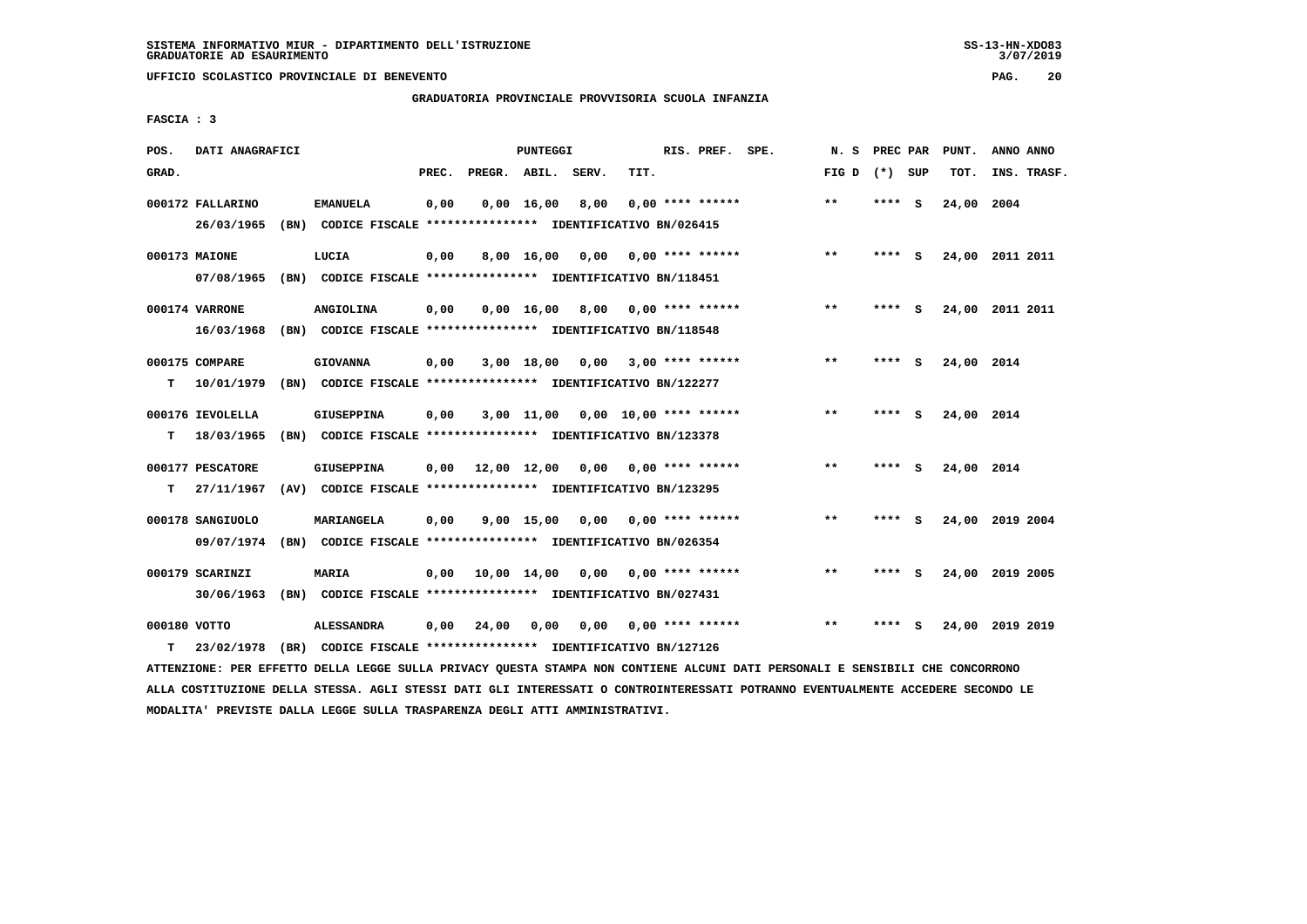**GRADUATORIA PROVINCIALE PROVVISORIA SCUOLA INFANZIA**

 **FASCIA : 3**

| POS.         | DATI ANAGRAFICI  |                                                                                                                               |       |              | PUNTEGGI           |                                     |                           | RIS. PREF. SPE. |  | N.S             | PREC PAR |     | PUNT.           | ANNO ANNO   |  |
|--------------|------------------|-------------------------------------------------------------------------------------------------------------------------------|-------|--------------|--------------------|-------------------------------------|---------------------------|-----------------|--|-----------------|----------|-----|-----------------|-------------|--|
| GRAD.        |                  |                                                                                                                               | PREC. | PREGR. ABIL. |                    | SERV.                               | TIT.                      |                 |  | FIG D $(*)$ SUP |          |     | TOT.            | INS. TRASF. |  |
|              | 000172 FALLARINO | <b>EMANUELA</b>                                                                                                               | 0,00  |              | $0,00 \quad 16,00$ | 8,00                                | $0.00$ **** ******        |                 |  | **              | ****     | - S | 24,00 2004      |             |  |
|              | 26/03/1965       | (BN) CODICE FISCALE **************** IDENTIFICATIVO BN/026415                                                                 |       |              |                    |                                     |                           |                 |  |                 |          |     |                 |             |  |
|              | 000173 MAIONE    | LUCIA                                                                                                                         | 0,00  |              | 8,00 16,00         |                                     | $0,00$ $0,00$ **** ****** |                 |  | $* *$           | **** S   |     | 24,00 2011 2011 |             |  |
|              | 07/08/1965       | (BN) CODICE FISCALE **************** IDENTIFICATIVO BN/118451                                                                 |       |              |                    |                                     |                           |                 |  |                 |          |     |                 |             |  |
|              | 000174 VARRONE   | ANGIOLINA                                                                                                                     | 0,00  |              |                    | $0,00 \quad 16,00 \quad 8,00$       | 0,00 **** ******          |                 |  | $* *$           | **** S   |     | 24,00 2011 2011 |             |  |
|              | 16/03/1968       | (BN) CODICE FISCALE **************** IDENTIFICATIVO BN/118548                                                                 |       |              |                    |                                     |                           |                 |  |                 |          |     |                 |             |  |
|              | 000175 COMPARE   | <b>GIOVANNA</b>                                                                                                               | 0,00  |              |                    | $3,00$ 18,00 0,00 3,00 **** ******  |                           |                 |  | $* *$           | **** S   |     | 24,00 2014      |             |  |
| т            | 10/01/1979       | (BN) CODICE FISCALE **************** IDENTIFICATIVO BN/122277                                                                 |       |              |                    |                                     |                           |                 |  |                 |          |     |                 |             |  |
|              | 000176 IEVOLELLA | <b>GIUSEPPINA</b>                                                                                                             | 0,00  |              |                    | $3,00$ 11,00 0,00 10,00 **** ****** |                           |                 |  | $* *$           | **** S   |     | 24,00 2014      |             |  |
| т            | 18/03/1965       | (BN) CODICE FISCALE **************** IDENTIFICATIVO BN/123378                                                                 |       |              |                    |                                     |                           |                 |  |                 |          |     |                 |             |  |
|              | 000177 PESCATORE | GIUSEPPINA                                                                                                                    | 0.00  |              |                    | 12,00 12,00 0,00 0,00 **** ******   |                           |                 |  | $* *$           | **** S   |     | 24,00 2014      |             |  |
| т            | 27/11/1967       | (AV) CODICE FISCALE **************** IDENTIFICATIVO BN/123295                                                                 |       |              |                    |                                     |                           |                 |  |                 |          |     |                 |             |  |
|              | 000178 SANGIUOLO | MARIANGELA                                                                                                                    | 0,00  |              |                    | $9,00$ 15,00 0,00 0,00 **** ******  |                           |                 |  | $***$           | **** S   |     | 24,00 2019 2004 |             |  |
|              | 09/07/1974       | (BN) CODICE FISCALE *************** IDENTIFICATIVO BN/026354                                                                  |       |              |                    |                                     |                           |                 |  |                 |          |     |                 |             |  |
|              | 000179 SCARINZI  | <b>MARIA</b>                                                                                                                  | 0,00  |              |                    | 10,00 14,00 0,00 0,00 **** ******   |                           |                 |  | **              | **** S   |     | 24,00 2019 2005 |             |  |
|              | 30/06/1963       | (BN) CODICE FISCALE **************** IDENTIFICATIVO BN/027431                                                                 |       |              |                    |                                     |                           |                 |  |                 |          |     |                 |             |  |
| 000180 VOTTO |                  | <b>ALESSANDRA</b>                                                                                                             | 0,00  | 24,00        | 0,00               | 0,00                                | 0,00 **** ******          |                 |  | $***$           | ****     | - S | 24,00 2019 2019 |             |  |
| т            | 23/02/1978       | (BR) CODICE FISCALE **************** IDENTIFICATIVO BN/127126                                                                 |       |              |                    |                                     |                           |                 |  |                 |          |     |                 |             |  |
|              |                  | ATTENZIONE: PER EFFETTO DELLA LEGGE SULLA PRIVACY QUESTA STAMPA NON CONTIENE ALCUNI DATI PERSONALI E SENSIBILI CHE CONCORRONO |       |              |                    |                                     |                           |                 |  |                 |          |     |                 |             |  |

 **ALLA COSTITUZIONE DELLA STESSA. AGLI STESSI DATI GLI INTERESSATI O CONTROINTERESSATI POTRANNO EVENTUALMENTE ACCEDERE SECONDO LE MODALITA' PREVISTE DALLA LEGGE SULLA TRASPARENZA DEGLI ATTI AMMINISTRATIVI.**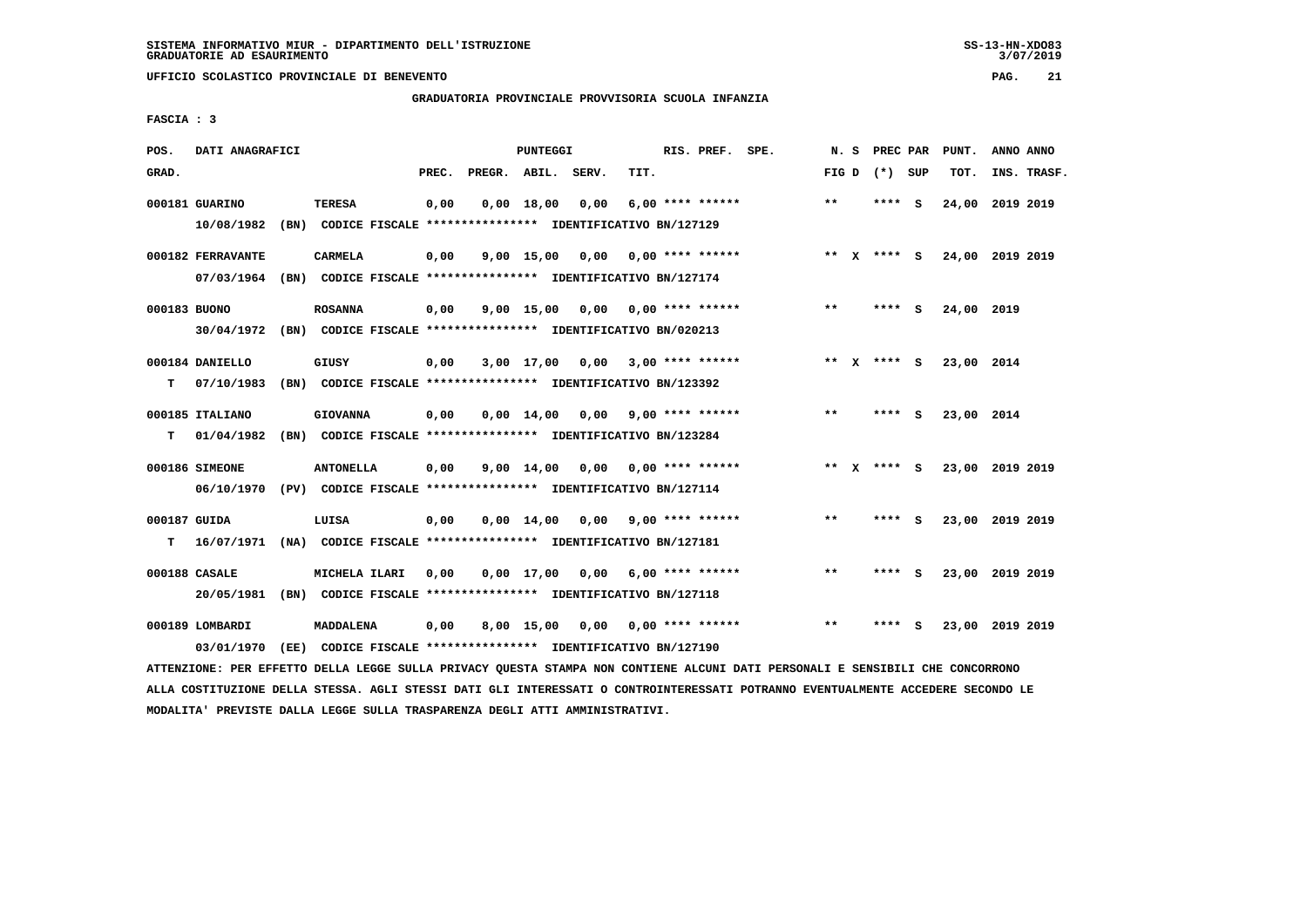# **GRADUATORIA PROVINCIALE PROVVISORIA SCUOLA INFANZIA**

 **FASCIA : 3**

| POS.         | DATI ANAGRAFICI   |                                                               |       |                    | PUNTEGGI           |                       |                    | RIS. PREF. SPE. | N.S          | PREC PAR        |     | PUNT.      | ANNO ANNO       |
|--------------|-------------------|---------------------------------------------------------------|-------|--------------------|--------------------|-----------------------|--------------------|-----------------|--------------|-----------------|-----|------------|-----------------|
| GRAD.        |                   |                                                               | PREC. | PREGR. ABIL. SERV. |                    |                       | TIT.               |                 |              | FIG D $(*)$ SUP |     | TOT.       | INS. TRASF.     |
|              | 000181 GUARINO    | <b>TERESA</b>                                                 | 0,00  |                    | $0,00$ 18,00       | 0,00                  | $6,00$ **** ****** |                 | $***$        | ****            | - S | 24,00      | 2019 2019       |
|              | 10/08/1982        | (BN) CODICE FISCALE **************** IDENTIFICATIVO BN/127129 |       |                    |                    |                       |                    |                 |              |                 |     |            |                 |
|              | 000182 FERRAVANTE | <b>CARMELA</b>                                                | 0,00  |                    | 9,00 15,00         | 0,00                  | $0.00$ **** ****** |                 | ** X         | **** S          |     |            | 24,00 2019 2019 |
|              | 07/03/1964        | (BN) CODICE FISCALE **************** IDENTIFICATIVO BN/127174 |       |                    |                    |                       |                    |                 |              |                 |     |            |                 |
|              |                   |                                                               |       |                    |                    |                       |                    |                 |              |                 |     |            |                 |
| 000183 BUONO |                   | <b>ROSANNA</b>                                                | 0,00  |                    | $9,00$ 15,00       | 0,00                  | 0,00 **** ******   |                 | $**$         | $***$ S         |     | 24,00 2019 |                 |
|              | 30/04/1972        | (BN) CODICE FISCALE **************** IDENTIFICATIVO BN/020213 |       |                    |                    |                       |                    |                 |              |                 |     |            |                 |
|              | 000184 DANIELLO   | GIUSY                                                         | 0,00  |                    | 3,00 17,00         | 0,00                  | $3,00$ **** ****** |                 |              | ** X **** S     |     | 23,00 2014 |                 |
| т            | 07/10/1983        | (BN) CODICE FISCALE **************** IDENTIFICATIVO BN/123392 |       |                    |                    |                       |                    |                 |              |                 |     |            |                 |
|              | 000185 ITALIANO   | <b>GIOVANNA</b>                                               | 0,00  |                    |                    | $0,00$ $14,00$ $0,00$ | 9,00 **** ******   |                 | **           | **** S          |     | 23,00 2014 |                 |
|              | 01/04/1982        | (BN) CODICE FISCALE **************** IDENTIFICATIVO BN/123284 |       |                    |                    |                       |                    |                 |              |                 |     |            |                 |
| т            |                   |                                                               |       |                    |                    |                       |                    |                 |              |                 |     |            |                 |
|              | 000186 SIMEONE    | <b>ANTONELLA</b>                                              | 0,00  |                    | $9,00 \quad 14,00$ | 0,00                  | 0,00 **** ******   |                 |              | ** X **** S     |     |            | 23,00 2019 2019 |
|              | 06/10/1970        | (PV) CODICE FISCALE **************** IDENTIFICATIVO BN/127114 |       |                    |                    |                       |                    |                 |              |                 |     |            |                 |
| 000187 GUIDA |                   | LUISA                                                         | 0,00  |                    | $0.00 \quad 14.00$ | 0,00                  | $9,00$ **** ****** |                 | $* *$        | **** S          |     |            | 23,00 2019 2019 |
| т            | 16/07/1971        | (NA) CODICE FISCALE **************** IDENTIFICATIVO BN/127181 |       |                    |                    |                       |                    |                 |              |                 |     |            |                 |
|              |                   |                                                               |       |                    |                    |                       |                    |                 |              |                 |     |            |                 |
|              | 000188 CASALE     | MICHELA ILARI                                                 | 0,00  |                    | $0,00 \quad 17,00$ | 0,00                  | $6,00$ **** ****** |                 | $* *$        | ****            | - S |            | 23,00 2019 2019 |
|              | 20/05/1981        | (BN) CODICE FISCALE **************** IDENTIFICATIVO BN/127118 |       |                    |                    |                       |                    |                 |              |                 |     |            |                 |
|              | 000189 LOMBARDI   | MADDALENA                                                     | 0,00  |                    |                    | 8,00 15,00 0,00       | 0,00 **** ******   |                 | $\star\star$ | ****            | - 5 |            | 23,00 2019 2019 |
|              | 03/01/1970        | (EE) CODICE FISCALE **************** IDENTIFICATIVO BN/127190 |       |                    |                    |                       |                    |                 |              |                 |     |            |                 |
|              |                   |                                                               |       |                    |                    |                       |                    |                 |              |                 |     |            |                 |

 **ATTENZIONE: PER EFFETTO DELLA LEGGE SULLA PRIVACY QUESTA STAMPA NON CONTIENE ALCUNI DATI PERSONALI E SENSIBILI CHE CONCORRONO ALLA COSTITUZIONE DELLA STESSA. AGLI STESSI DATI GLI INTERESSATI O CONTROINTERESSATI POTRANNO EVENTUALMENTE ACCEDERE SECONDO LE MODALITA' PREVISTE DALLA LEGGE SULLA TRASPARENZA DEGLI ATTI AMMINISTRATIVI.**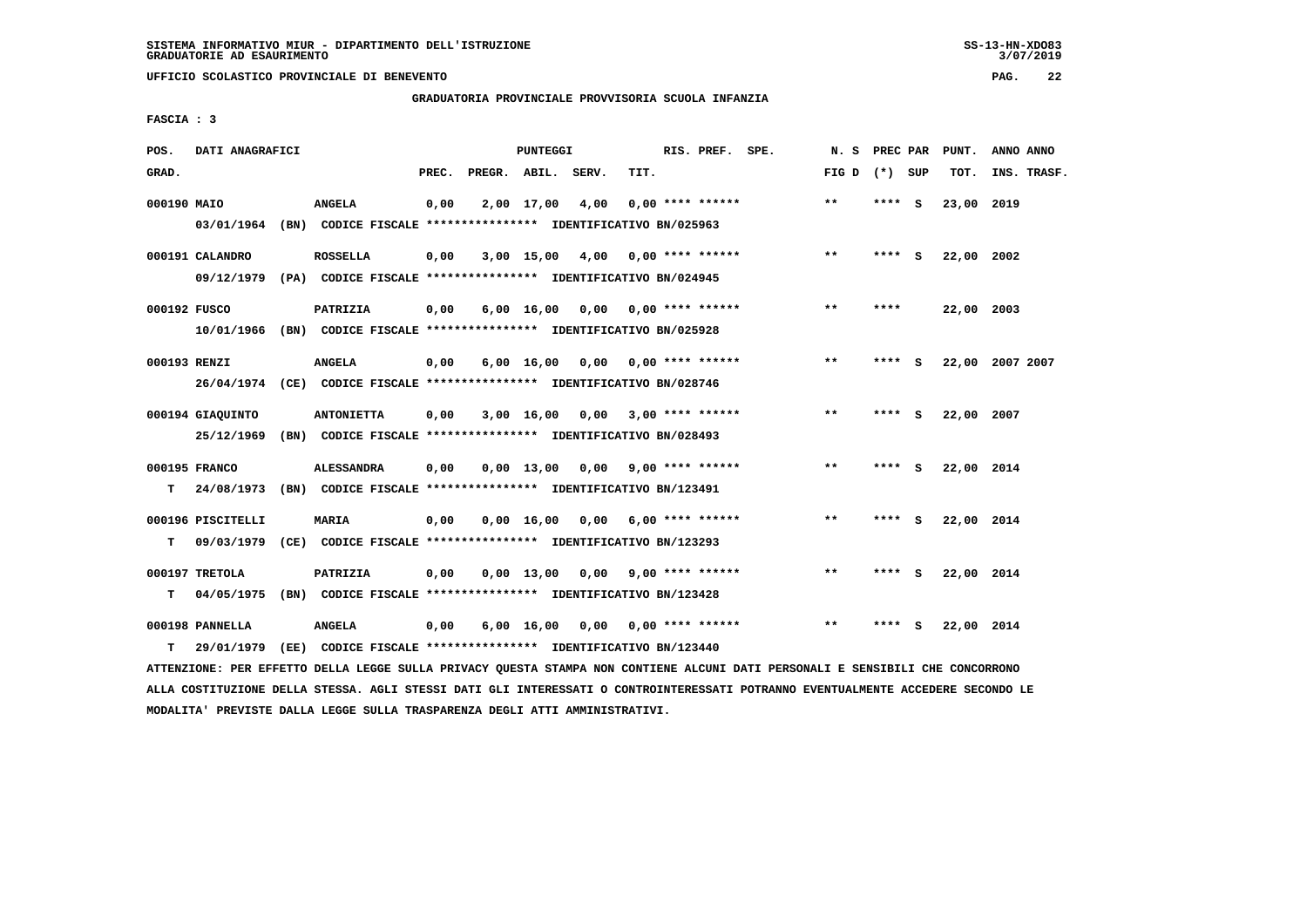$3/07/2019$ 

 **UFFICIO SCOLASTICO PROVINCIALE DI BENEVENTO PAG. 22**

# **GRADUATORIA PROVINCIALE PROVVISORIA SCUOLA INFANZIA**

 **FASCIA : 3**

| POS.         | DATI ANAGRAFICI   |                                                                          |       |                    | <b>PUNTEGGI</b> |                                    |      | RIS. PREF. SPE.           | N.S                      | PREC PAR |          | PUNT.           | ANNO ANNO   |  |
|--------------|-------------------|--------------------------------------------------------------------------|-------|--------------------|-----------------|------------------------------------|------|---------------------------|--------------------------|----------|----------|-----------------|-------------|--|
| GRAD.        |                   |                                                                          | PREC. | PREGR. ABIL. SERV. |                 |                                    | TIT. |                           | FIG D $(*)$ SUP          |          |          | TOT.            | INS. TRASF. |  |
| 000190 MAIO  |                   | <b>ANGELA</b>                                                            | 0,00  |                    | 2,00 17,00      | 4,00                               |      | $0.00$ **** ******        | $***$                    | $***$ S  |          | 23,00           | 2019        |  |
|              | 03/01/1964        | (BN) CODICE FISCALE *************** IDENTIFICATIVO BN/025963             |       |                    |                 |                                    |      |                           |                          |          |          |                 |             |  |
|              | 000191 CALANDRO   | <b>ROSSELLA</b>                                                          | 0,00  |                    |                 | $3,00$ 15,00 4,00 0,00 **** ****** |      |                           | $***$                    | ****     | - S      | 22,00 2002      |             |  |
|              |                   | 09/12/1979 (PA) CODICE FISCALE **************** IDENTIFICATIVO BN/024945 |       |                    |                 |                                    |      |                           |                          |          |          |                 |             |  |
| 000192 FUSCO |                   | PATRIZIA                                                                 | 0,00  |                    |                 | $6,00$ 16,00 0,00 0,00 **** ****** |      |                           | $***$                    | ****     |          | 22,00 2003      |             |  |
|              |                   | 10/01/1966 (BN) CODICE FISCALE *************** IDENTIFICATIVO BN/025928  |       |                    |                 |                                    |      |                           |                          |          |          |                 |             |  |
| 000193 RENZI |                   | <b>ANGELA</b>                                                            | 0,00  |                    | 6,00 16,00      |                                    |      | $0,00$ $0,00$ **** ****** | **                       | **** S   |          | 22,00 2007 2007 |             |  |
|              |                   | 26/04/1974 (CE) CODICE FISCALE *************** IDENTIFICATIVO BN/028746  |       |                    |                 |                                    |      |                           |                          |          |          |                 |             |  |
|              | 000194 GIAQUINTO  | <b>ANTONIETTA</b>                                                        | 0,00  |                    |                 | $3,00$ 16,00 0,00 3,00 **** ****** |      |                           | $* *$                    | **** S   |          | 22,00 2007      |             |  |
|              | 25/12/1969        | (BN) CODICE FISCALE **************** IDENTIFICATIVO BN/028493            |       |                    |                 |                                    |      |                           |                          |          |          |                 |             |  |
|              | 000195 FRANCO     | ALESSANDRA                                                               | 0,00  |                    | 0,00 13,00      |                                    |      | $0,00$ 9,00 **** ******   | **                       | ****     | <b>S</b> | 22,00 2014      |             |  |
| т            |                   | 24/08/1973 (BN) CODICE FISCALE *************** IDENTIFICATIVO BN/123491  |       |                    |                 |                                    |      |                           |                          |          |          |                 |             |  |
|              | 000196 PISCITELLI | <b>MARIA</b>                                                             | 0,00  |                    |                 | $0,00$ 16,00 0,00 6,00 **** ****** |      |                           | $\pmb{\star}\pmb{\star}$ | ****     | - S      | 22,00 2014      |             |  |
| т            | 09/03/1979        | (CE) CODICE FISCALE **************** IDENTIFICATIVO BN/123293            |       |                    |                 |                                    |      |                           |                          |          |          |                 |             |  |
|              | 000197 TRETOLA    | PATRIZIA                                                                 | 0,00  |                    |                 | $0.00$ 13.00 0.00 9.00 **** ****** |      |                           | $***$                    | **** S   |          | 22,00 2014      |             |  |
| т            | 04/05/1975        | (BN) CODICE FISCALE *************** IDENTIFICATIVO BN/123428             |       |                    |                 |                                    |      |                           |                          |          |          |                 |             |  |
|              | 000198 PANNELLA   | <b>ANGELA</b>                                                            | 0,00  |                    |                 | $6,00$ 16,00 0,00 0,00 **** ****** |      |                           | $* *$                    | ****     | - S      | 22,00 2014      |             |  |
| т            | 29/01/1979        | (EE) CODICE FISCALE **************** IDENTIFICATIVO BN/123440            |       |                    |                 |                                    |      |                           |                          |          |          |                 |             |  |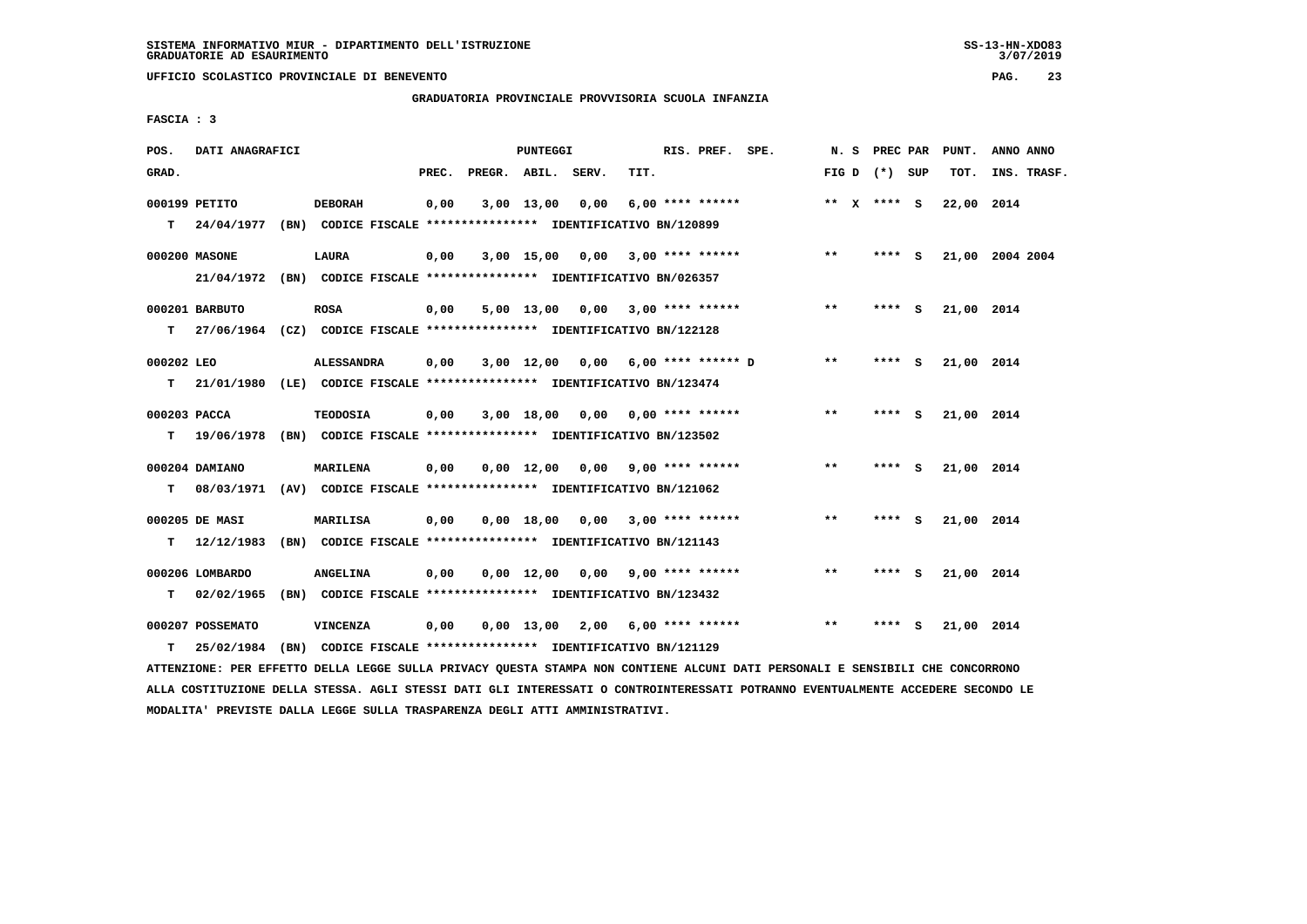$3/07/2019$ 

 **UFFICIO SCOLASTICO PROVINCIALE DI BENEVENTO PAG. 23**

# **GRADUATORIA PROVINCIALE PROVVISORIA SCUOLA INFANZIA**

 **FASCIA : 3**

| POS.         | DATI ANAGRAFICI  |                                                                           |       |                    | PUNTEGGI           |                                    |      | RIS. PREF. SPE.    |              | N. S PREC PAR   |   | PUNT.           | ANNO ANNO   |  |
|--------------|------------------|---------------------------------------------------------------------------|-------|--------------------|--------------------|------------------------------------|------|--------------------|--------------|-----------------|---|-----------------|-------------|--|
| GRAD.        |                  |                                                                           | PREC. | PREGR. ABIL. SERV. |                    |                                    | TIT. |                    |              | FIG D $(*)$ SUP |   | TOT.            | INS. TRASF. |  |
|              | 000199 PETITO    | <b>DEBORAH</b>                                                            | 0,00  |                    | 3,00 13,00         | 0,00                               |      | $6.00$ **** ****** |              | ** $X$ **** S   |   | 22,00 2014      |             |  |
|              |                  | T 24/04/1977 (BN) CODICE FISCALE *************** IDENTIFICATIVO BN/120899 |       |                    |                    |                                    |      |                    |              |                 |   |                 |             |  |
|              | 000200 MASONE    | LAURA                                                                     | 0,00  |                    |                    | $3,00$ 15,00 0,00 3,00 **** ****** |      |                    | $***$        | $***$ S         |   | 21,00 2004 2004 |             |  |
|              |                  | 21/04/1972 (BN) CODICE FISCALE *************** IDENTIFICATIVO BN/026357   |       |                    |                    |                                    |      |                    |              |                 |   |                 |             |  |
|              | 000201 BARBUTO   | <b>ROSA</b>                                                               | 0,00  |                    |                    | $5,00$ 13,00 0,00 3,00 **** ****** |      |                    | $* *$        | **** S          |   | 21,00 2014      |             |  |
|              |                  | T 27/06/1964 (CZ) CODICE FISCALE *************** IDENTIFICATIVO BN/122128 |       |                    |                    |                                    |      |                    |              |                 |   |                 |             |  |
| 000202 LEO   |                  | <b>ALESSANDRA</b>                                                         | 0,00  |                    |                    | 3,00 12,00 0,00 6,00 **** ****** D |      |                    | $* *$        | **** S          |   | 21,00 2014      |             |  |
|              | $T = 21/01/1980$ | (LE) CODICE FISCALE *************** IDENTIFICATIVO BN/123474              |       |                    |                    |                                    |      |                    |              |                 |   |                 |             |  |
| 000203 PACCA |                  | <b>TEODOSIA</b>                                                           | 0,00  |                    |                    | $3,00$ 18,00 0,00 0,00 **** ****** |      |                    | $\star\star$ | **** S          |   | 21,00 2014      |             |  |
|              |                  | T 19/06/1978 (BN) CODICE FISCALE *************** IDENTIFICATIVO BN/123502 |       |                    |                    |                                    |      |                    |              |                 |   |                 |             |  |
|              | 000204 DAMIANO   | <b>MARILENA</b>                                                           | 0,00  |                    |                    | $0,00$ 12,00 0,00 9,00 **** ****** |      |                    | $***$        | $***$ S         |   | 21,00 2014      |             |  |
| т            |                  | 08/03/1971 (AV) CODICE FISCALE **************** IDENTIFICATIVO BN/121062  |       |                    |                    |                                    |      |                    |              |                 |   |                 |             |  |
|              | 000205 DE MASI   | <b>MARILISA</b>                                                           | 0,00  |                    |                    | $0,00$ 18,00 0,00 3,00 **** ****** |      |                    | **           | **** S          |   | 21,00 2014      |             |  |
| т            |                  | 12/12/1983 (BN) CODICE FISCALE *************** IDENTIFICATIVO BN/121143   |       |                    |                    |                                    |      |                    |              |                 |   |                 |             |  |
|              | 000206 LOMBARDO  | <b>ANGELINA</b>                                                           | 0,00  |                    | $0.00 \quad 12.00$ | 0,00 9,00 **** ******              |      |                    | $* *$        | **** S          |   | 21,00 2014      |             |  |
| т            | 02/02/1965       | (BN) CODICE FISCALE **************** IDENTIFICATIVO BN/123432             |       |                    |                    |                                    |      |                    |              |                 |   |                 |             |  |
|              | 000207 POSSEMATO | <b>VINCENZA</b>                                                           | 0,00  |                    | 0,00 13,00         | 2,00                               |      | 6,00 **** ******   | $**$         | ****            | s | 21,00 2014      |             |  |
| т            |                  | 25/02/1984 (BN) CODICE FISCALE *************** IDENTIFICATIVO BN/121129   |       |                    |                    |                                    |      |                    |              |                 |   |                 |             |  |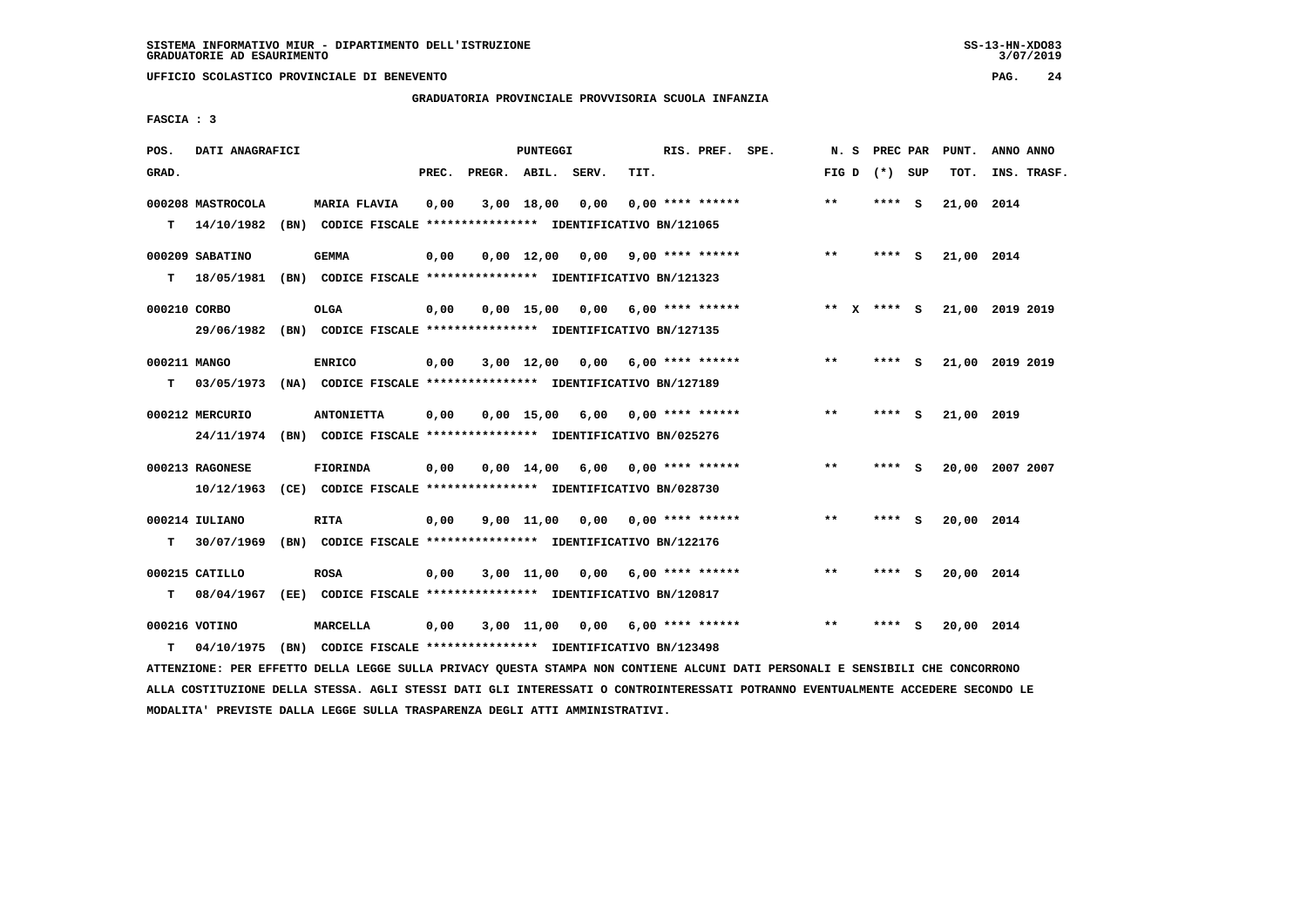# **GRADUATORIA PROVINCIALE PROVVISORIA SCUOLA INFANZIA**

 **FASCIA : 3**

| POS.         | DATI ANAGRAFICI              |                                                                              |       |                    | PUNTEGGI            |      |                                    | RIS. PREF. SPE.    | N.S             | PREC PAR |          | PUNT.      | ANNO ANNO       |
|--------------|------------------------------|------------------------------------------------------------------------------|-------|--------------------|---------------------|------|------------------------------------|--------------------|-----------------|----------|----------|------------|-----------------|
| GRAD.        |                              |                                                                              | PREC. | PREGR. ABIL. SERV. |                     |      | TIT.                               |                    | FIG D $(*)$ SUP |          |          | TOT.       | INS. TRASF.     |
|              | 000208 MASTROCOLA            | <b>MARIA FLAVIA</b>                                                          | 0,00  |                    | 3,00 18,00          | 0,00 |                                    | $0.00$ **** ****** | $***$           | ****     | <b>S</b> | 21,00 2014 |                 |
| т            | 14/10/1982                   | (BN) CODICE FISCALE **************** IDENTIFICATIVO BN/121065                |       |                    |                     |      |                                    |                    |                 |          |          |            |                 |
|              | 000209 SABATINO              | <b>GEMMA</b>                                                                 | 0,00  |                    |                     |      | $0,00$ 12,00 0,00 9,00 **** ****** |                    | $* *$           | $***$ S  |          | 21,00 2014 |                 |
| т            | 18/05/1981                   | (BN) CODICE FISCALE **************** IDENTIFICATIVO BN/121323                |       |                    |                     |      |                                    |                    |                 |          |          |            |                 |
| 000210 CORBO |                              | OLGA                                                                         | 0,00  |                    |                     |      | $0.00$ 15.00 0.00 6.00 **** ****** |                    | ** X **** S     |          |          |            | 21,00 2019 2019 |
|              | 29/06/1982                   | (BN) CODICE FISCALE **************** IDENTIFICATIVO BN/127135                |       |                    |                     |      |                                    |                    |                 |          |          |            |                 |
| 000211 MANGO |                              | <b>ENRICO</b>                                                                | 0,00  |                    | $3,00$ 12,00        | 0.00 |                                    | $6,00$ **** ****** | $***$           | $***5$   |          |            | 21,00 2019 2019 |
| т            | 03/05/1973                   | (NA) CODICE FISCALE **************** IDENTIFICATIVO BN/127189                |       |                    |                     |      |                                    |                    |                 |          |          |            |                 |
|              | 000212 MERCURIO              | <b>ANTONIETTA</b>                                                            | 0,00  |                    |                     |      | $0,00$ 15,00 6,00 0,00 **** ****** |                    | $***$           | **** S   |          | 21,00 2019 |                 |
|              | 24/11/1974                   | (BN) CODICE FISCALE *************** IDENTIFICATIVO BN/025276                 |       |                    |                     |      |                                    |                    |                 |          |          |            |                 |
|              | 000213 RAGONESE              | FIORINDA                                                                     | 0,00  |                    |                     |      | $0,00$ 14,00 6,00 0,00 **** ****** |                    | $***$           | **** S   |          |            | 20,00 2007 2007 |
|              | 10/12/1963                   | (CE) CODICE FISCALE **************** IDENTIFICATIVO BN/028730                |       |                    |                     |      |                                    |                    |                 |          |          |            |                 |
|              |                              |                                                                              |       |                    |                     |      |                                    |                    | $***$           |          |          |            |                 |
| т            | 000214 IULIANO<br>30/07/1969 | <b>RITA</b><br>(BN) CODICE FISCALE **************** IDENTIFICATIVO BN/122176 | 0,00  |                    | $9,00$ $11,00$ 0,00 |      | 0,00 **** ******                   |                    |                 | **** S   |          | 20,00 2014 |                 |
|              |                              |                                                                              |       |                    |                     |      |                                    |                    |                 |          |          |            |                 |
|              | 000215 CATILLO               | <b>ROSA</b>                                                                  | 0.00  |                    |                     |      | $3,00$ 11,00 0,00 6,00 **** ****** |                    | $***$           | ****     | - S      | 20,00 2014 |                 |
| т            | 08/04/1967                   | (EE) CODICE FISCALE **************** IDENTIFICATIVO BN/120817                |       |                    |                     |      |                                    |                    |                 |          |          |            |                 |
|              | 000216 VOTINO                | MARCELLA                                                                     | 0,00  |                    | 3,00 11,00          |      | $0,00$ 6,00 **** ******            |                    | $* *$           |          |          | 20,00 2014 |                 |
| т            | 04/10/1975                   | (BN) CODICE FISCALE **************** IDENTIFICATIVO BN/123498                |       |                    |                     |      |                                    |                    |                 |          |          |            |                 |

 **ATTENZIONE: PER EFFETTO DELLA LEGGE SULLA PRIVACY QUESTA STAMPA NON CONTIENE ALCUNI DATI PERSONALI E SENSIBILI CHE CONCORRONO ALLA COSTITUZIONE DELLA STESSA. AGLI STESSI DATI GLI INTERESSATI O CONTROINTERESSATI POTRANNO EVENTUALMENTE ACCEDERE SECONDO LE MODALITA' PREVISTE DALLA LEGGE SULLA TRASPARENZA DEGLI ATTI AMMINISTRATIVI.**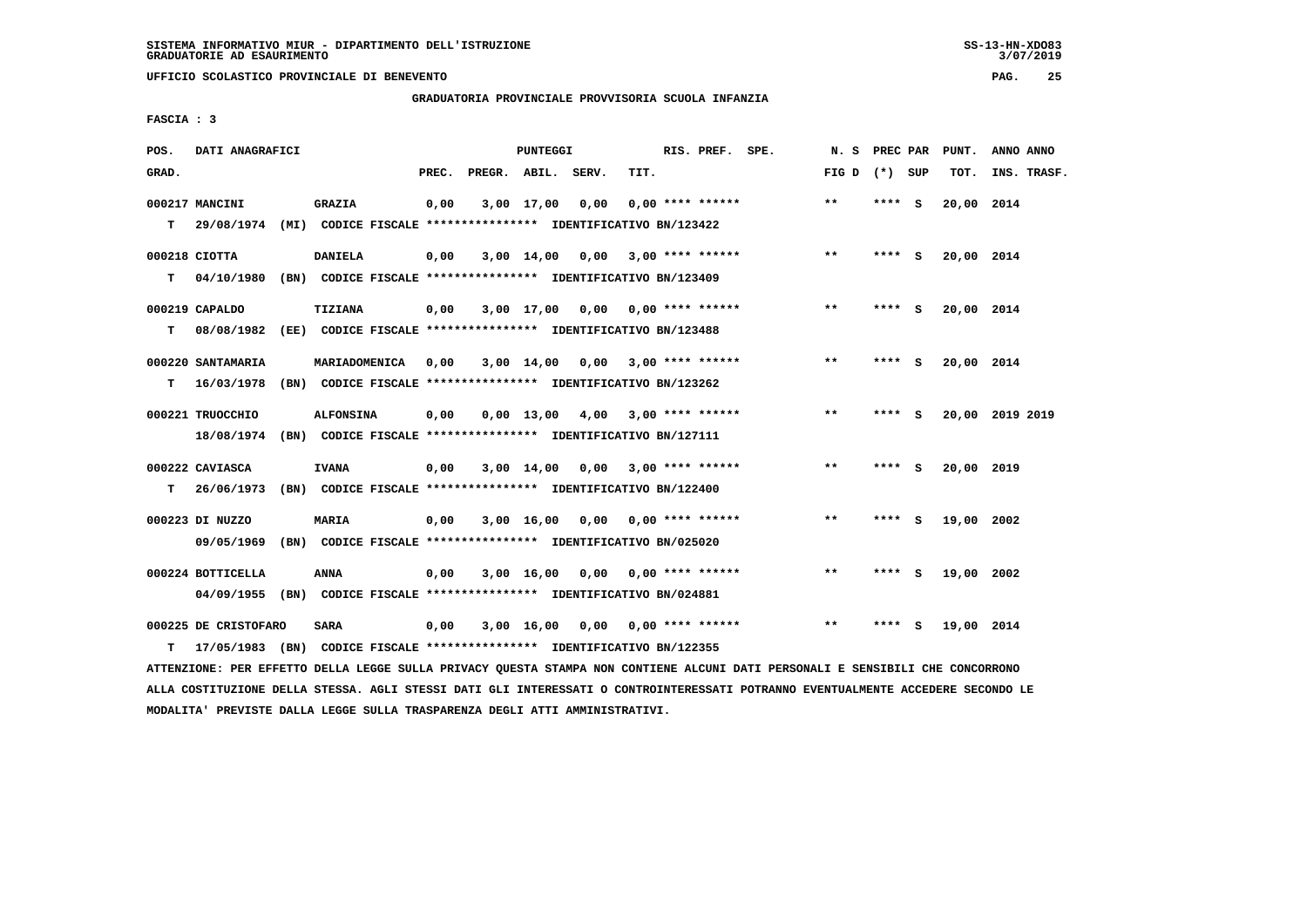# **GRADUATORIA PROVINCIALE PROVVISORIA SCUOLA INFANZIA**

 **FASCIA : 3**

| POS.  | DATI ANAGRAFICI      |      |                                                               |       |                    | PUNTEGGI       |                                    |                         | RIS. PREF. SPE. | N.S             | PREC PAR |     | PUNT.      | ANNO ANNO       |
|-------|----------------------|------|---------------------------------------------------------------|-------|--------------------|----------------|------------------------------------|-------------------------|-----------------|-----------------|----------|-----|------------|-----------------|
| GRAD. |                      |      |                                                               | PREC. | PREGR. ABIL. SERV. |                |                                    | TIT.                    |                 | FIG D $(*)$ SUP |          |     | TOT.       | INS. TRASF.     |
|       | 000217 MANCINI       |      | <b>GRAZIA</b>                                                 | 0,00  |                    | 3,00 17,00     | 0,00                               | $0.00$ **** ******      |                 | **              | **** S   |     | 20,00 2014 |                 |
| т     | 29/08/1974           |      | (MI) CODICE FISCALE **************** IDENTIFICATIVO BN/123422 |       |                    |                |                                    |                         |                 |                 |          |     |            |                 |
|       | 000218 CIOTTA        |      | <b>DANIELA</b>                                                | 0,00  |                    | $3,00$ $14,00$ | 0.00                               | $3,00$ **** ******      |                 | $***$           | **** S   |     | 20,00 2014 |                 |
| т     | 04/10/1980           |      | (BN) CODICE FISCALE **************** IDENTIFICATIVO BN/123409 |       |                    |                |                                    |                         |                 |                 |          |     |            |                 |
|       | 000219 CAPALDO       |      | TIZIANA                                                       | 0,00  |                    | 3,00 17,00     | $0,00$ $0,00$ **** ******          |                         |                 | $* *$           | **** S   |     | 20,00 2014 |                 |
| т     | 08/08/1982           |      | (EE) CODICE FISCALE **************** IDENTIFICATIVO BN/123488 |       |                    |                |                                    |                         |                 |                 |          |     |            |                 |
|       | 000220 SANTAMARIA    |      | MARIADOMENICA                                                 | 0,00  |                    | 3,00 14,00     |                                    | $0,00$ 3,00 **** ****** |                 | $***$           | ****     | - S | 20,00 2014 |                 |
| т     | 16/03/1978           |      | (BN) CODICE FISCALE **************** IDENTIFICATIVO BN/123262 |       |                    |                |                                    |                         |                 |                 |          |     |            |                 |
|       | 000221 TRUOCCHIO     |      | <b>ALFONSINA</b>                                              | 0,00  |                    | $0.00$ 13,00   | 4,00 3,00 **** ******              |                         |                 | $* *$           | ****     | - S |            | 20,00 2019 2019 |
|       | 18/08/1974           |      | (BN) CODICE FISCALE **************** IDENTIFICATIVO BN/127111 |       |                    |                |                                    |                         |                 |                 |          |     |            |                 |
|       |                      |      |                                                               |       |                    |                |                                    |                         |                 |                 |          |     |            |                 |
|       | 000222 CAVIASCA      |      | <b>IVANA</b>                                                  | 0,00  |                    | 3,00 14,00     |                                    | $0,00$ 3,00 **** ****** |                 | $* *$           | **** S   |     | 20,00 2019 |                 |
| T.    | 26/06/1973           |      | (BN) CODICE FISCALE **************** IDENTIFICATIVO BN/122400 |       |                    |                |                                    |                         |                 |                 |          |     |            |                 |
|       | 000223 DI NUZZO      |      | MARIA                                                         | 0,00  |                    | 3,00 16,00     | 0,00                               | $0.00$ **** ******      |                 | $* *$           | ****     | - S | 19,00      | 2002            |
|       | 09/05/1969           |      | (BN) CODICE FISCALE **************** IDENTIFICATIVO BN/025020 |       |                    |                |                                    |                         |                 |                 |          |     |            |                 |
|       | 000224 BOTTICELLA    |      | <b>ANNA</b>                                                   | 0,00  |                    | 3,00 16,00     | 0,00                               | 0,00 **** ******        |                 | $* *$           | ****     | - S | 19,00 2002 |                 |
|       | 04/09/1955           |      | (BN) CODICE FISCALE **************** IDENTIFICATIVO BN/024881 |       |                    |                |                                    |                         |                 |                 |          |     |            |                 |
|       | 000225 DE CRISTOFARO |      | <b>SARA</b>                                                   | 0,00  |                    |                | $3,00$ 16,00 0,00 0,00 **** ****** |                         |                 | $**$            | **** S   |     | 19,00 2014 |                 |
| т     | 17/05/1983           | (BN) | CODICE FISCALE **************** IDENTIFICATIVO BN/122355      |       |                    |                |                                    |                         |                 |                 |          |     |            |                 |

 **ATTENZIONE: PER EFFETTO DELLA LEGGE SULLA PRIVACY QUESTA STAMPA NON CONTIENE ALCUNI DATI PERSONALI E SENSIBILI CHE CONCORRONO ALLA COSTITUZIONE DELLA STESSA. AGLI STESSI DATI GLI INTERESSATI O CONTROINTERESSATI POTRANNO EVENTUALMENTE ACCEDERE SECONDO LE MODALITA' PREVISTE DALLA LEGGE SULLA TRASPARENZA DEGLI ATTI AMMINISTRATIVI.**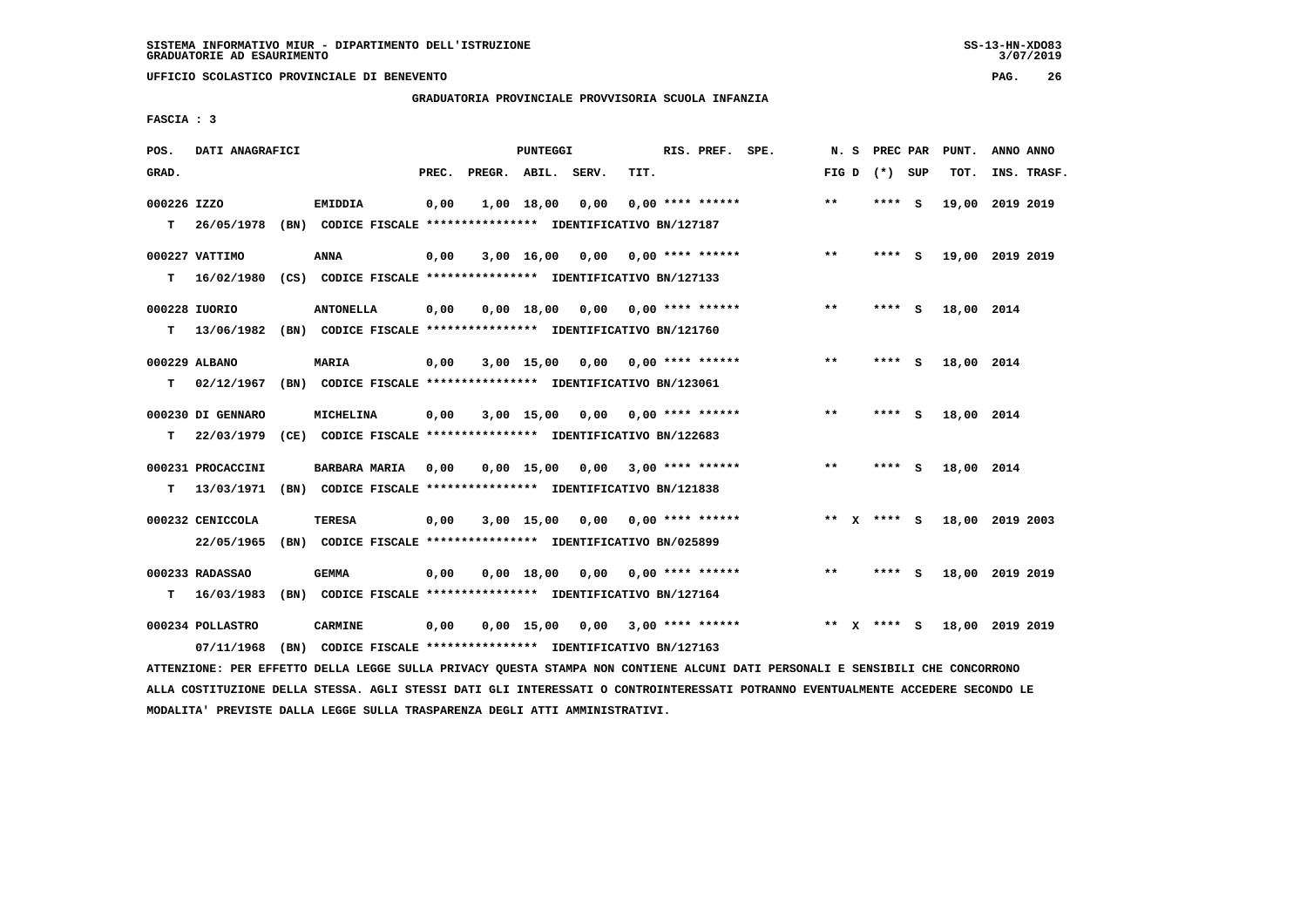# **GRADUATORIA PROVINCIALE PROVVISORIA SCUOLA INFANZIA**

 **FASCIA : 3**

| POS.        | DATI ANAGRAFICI   |                                                               |       |                    | PUNTEGGI     |                                    |      | RIS. PREF. SPE.           | N.S   |              | PREC PAR        |     | PUNT.           | ANNO ANNO |             |
|-------------|-------------------|---------------------------------------------------------------|-------|--------------------|--------------|------------------------------------|------|---------------------------|-------|--------------|-----------------|-----|-----------------|-----------|-------------|
| GRAD.       |                   |                                                               | PREC. | PREGR. ABIL. SERV. |              |                                    | TIT. |                           |       |              | FIG D $(*)$ SUP |     | TOT.            |           | INS. TRASF. |
| 000226 IZZO |                   | <b>EMIDDIA</b>                                                | 0,00  |                    | 1,00 18,00   | 0,00                               |      | $0.00$ **** ******        | $* *$ |              | ****            | - S | 19,00           | 2019 2019 |             |
| т           | 26/05/1978        | (BN) CODICE FISCALE **************** IDENTIFICATIVO BN/127187 |       |                    |              |                                    |      |                           |       |              |                 |     |                 |           |             |
|             | 000227 VATTIMO    | <b>ANNA</b>                                                   | 0,00  |                    | 3,00 16,00   | 0,00                               |      | 0,00 **** ******          | $* *$ |              | **** S          |     | 19,00 2019 2019 |           |             |
| т           | 16/02/1980        | (CS) CODICE FISCALE **************** IDENTIFICATIVO BN/127133 |       |                    |              |                                    |      |                           |       |              |                 |     |                 |           |             |
|             | 000228 IUORIO     | <b>ANTONELLA</b>                                              | 0,00  |                    | 0.00 18.00   |                                    |      | $0.00$ $0.00$ **** ****** | $* *$ |              | ****            | - S | 18,00 2014      |           |             |
| T.          | 13/06/1982        | (BN) CODICE FISCALE **************** IDENTIFICATIVO BN/121760 |       |                    |              |                                    |      |                           |       |              |                 |     |                 |           |             |
|             |                   |                                                               |       |                    |              |                                    |      |                           | $* *$ |              |                 |     |                 |           |             |
|             | 000229 ALBANO     | MARIA                                                         | 0,00  |                    | $3,00$ 15,00 | 0,00                               |      | 0,00 **** ******          |       |              | **** S          |     | 18,00 2014      |           |             |
| т           | 02/12/1967        | (BN) CODICE FISCALE **************** IDENTIFICATIVO BN/123061 |       |                    |              |                                    |      |                           |       |              |                 |     |                 |           |             |
|             | 000230 DI GENNARO | MICHELINA                                                     | 0,00  |                    |              | $3,00$ 15,00 0,00 0,00 **** ****** |      |                           | **    |              | **** S          |     | 18,00 2014      |           |             |
| т           | 22/03/1979        | (CE) CODICE FISCALE **************** IDENTIFICATIVO BN/122683 |       |                    |              |                                    |      |                           |       |              |                 |     |                 |           |             |
|             | 000231 PROCACCINI | <b>BARBARA MARIA</b>                                          | 0,00  |                    |              | $0,00$ 15,00 0,00 3,00 **** ****** |      |                           | $***$ |              | **** S          |     | 18,00 2014      |           |             |
| т           | 13/03/1971        | (BN) CODICE FISCALE **************** IDENTIFICATIVO BN/121838 |       |                    |              |                                    |      |                           |       |              |                 |     |                 |           |             |
|             | 000232 CENICCOLA  | <b>TERESA</b>                                                 | 0,00  |                    | 3,00 15,00   |                                    |      | $0,00$ $0,00$ **** ****** |       |              | ** X **** S     |     | 18,00 2019 2003 |           |             |
|             | 22/05/1965        | (BN) CODICE FISCALE **************** IDENTIFICATIVO BN/025899 |       |                    |              |                                    |      |                           |       |              |                 |     |                 |           |             |
|             |                   |                                                               |       |                    |              |                                    |      |                           |       |              |                 |     |                 |           |             |
|             | 000233 RADASSAO   | <b>GEMMA</b>                                                  | 0,00  |                    | $0.00$ 18.00 |                                    |      | $0.00$ $0.00$ **** ****** | **    |              | ****            | - S | 18,00 2019 2019 |           |             |
| т           | 16/03/1983        | (BN) CODICE FISCALE **************** IDENTIFICATIVO BN/127164 |       |                    |              |                                    |      |                           |       |              |                 |     |                 |           |             |
|             | 000234 POLLASTRO  | <b>CARMINE</b>                                                | 0,00  |                    | $0,00$ 15,00 | 0,00                               |      | $3,00$ **** ******        | $* *$ | $\mathbf{x}$ | **** S          |     | 18,00 2019 2019 |           |             |
|             | 07/11/1968        | (BN) CODICE FISCALE **************** IDENTIFICATIVO BN/127163 |       |                    |              |                                    |      |                           |       |              |                 |     |                 |           |             |
|             |                   |                                                               |       |                    |              |                                    |      |                           |       |              |                 |     |                 |           |             |

 **ATTENZIONE: PER EFFETTO DELLA LEGGE SULLA PRIVACY QUESTA STAMPA NON CONTIENE ALCUNI DATI PERSONALI E SENSIBILI CHE CONCORRONO ALLA COSTITUZIONE DELLA STESSA. AGLI STESSI DATI GLI INTERESSATI O CONTROINTERESSATI POTRANNO EVENTUALMENTE ACCEDERE SECONDO LE MODALITA' PREVISTE DALLA LEGGE SULLA TRASPARENZA DEGLI ATTI AMMINISTRATIVI.**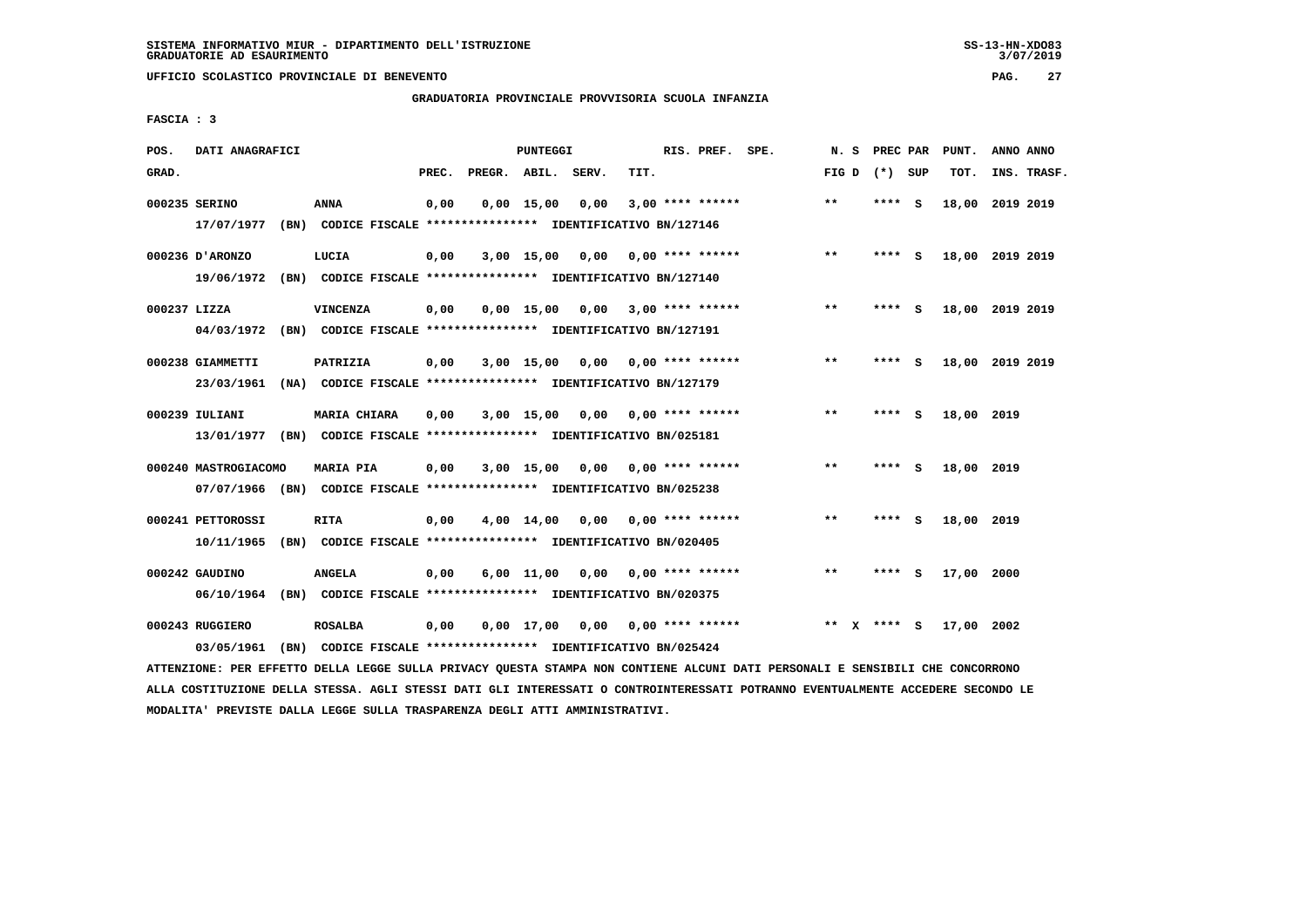# **GRADUATORIA PROVINCIALE PROVVISORIA SCUOLA INFANZIA**

 **FASCIA : 3**

| POS.         | DATI ANAGRAFICI      |      |                                                                         |       |              | <b>PUNTEGGI</b> |       |                           | RIS. PREF. SPE. | N.S   |              | PREC PAR |     | PUNT.      | ANNO ANNO       |
|--------------|----------------------|------|-------------------------------------------------------------------------|-------|--------------|-----------------|-------|---------------------------|-----------------|-------|--------------|----------|-----|------------|-----------------|
| GRAD.        |                      |      |                                                                         | PREC. | PREGR. ABIL. |                 | SERV. | TIT.                      |                 | FIG D |              | $(*)$    | SUP | TOT.       | INS. TRASF.     |
|              | 000235 SERINO        |      | <b>ANNA</b>                                                             | 0,00  |              | $0,00$ 15,00    | 0,00  | $3,00$ **** ******        |                 | $* *$ |              | ****     | - S |            | 18,00 2019 2019 |
|              | 17/07/1977           |      | (BN) CODICE FISCALE **************** IDENTIFICATIVO BN/127146           |       |              |                 |       |                           |                 |       |              |          |     |            |                 |
|              | 000236 D'ARONZO      |      | LUCIA                                                                   | 0,00  |              | 3,00 15,00      | 0,00  | 0,00 **** ******          |                 | $* *$ |              | **** S   |     |            | 18,00 2019 2019 |
|              | 19/06/1972           |      | (BN) CODICE FISCALE **************** IDENTIFICATIVO BN/127140           |       |              |                 |       |                           |                 |       |              |          |     |            |                 |
| 000237 LIZZA |                      |      | <b>VINCENZA</b>                                                         | 0,00  |              | $0.00$ 15.00    | 0,00  | 3,00 **** ******          |                 | **    |              | ****     | - S | 18,00      | 2019 2019       |
|              | 04/03/1972           |      | (BN) CODICE FISCALE **************** IDENTIFICATIVO BN/127191           |       |              |                 |       |                           |                 |       |              |          |     |            |                 |
|              | 000238 GIAMMETTI     |      | PATRIZIA                                                                | 0,00  |              | $3,00$ 15,00    | 0.00  | $0.00$ **** ******        |                 | $**$  |              |          | S.  |            | 18,00 2019 2019 |
|              | 23/03/1961           |      | (NA) CODICE FISCALE **************** IDENTIFICATIVO BN/127179           |       |              |                 |       |                           |                 |       |              |          |     |            |                 |
|              | 000239 IULIANI       |      | <b>MARIA CHIARA</b>                                                     | 0.00  |              | $3,00$ 15,00    |       | $0.00$ $0.00$ **** ****** |                 | $* *$ |              | ****     | - S | 18,00 2019 |                 |
|              | 13/01/1977           |      | (BN) CODICE FISCALE *************** IDENTIFICATIVO BN/025181            |       |              |                 |       |                           |                 |       |              |          |     |            |                 |
|              | 000240 MASTROGIACOMO |      | <b>MARIA PIA</b>                                                        | 0,00  |              | 3,00 15,00      | 0,00  | $0.00$ **** ******        |                 | $***$ |              | ****     | - S | 18,00      | 2019            |
|              |                      |      | 07/07/1966 (BN) CODICE FISCALE *************** IDENTIFICATIVO BN/025238 |       |              |                 |       |                           |                 |       |              |          |     |            |                 |
|              | 000241 PETTOROSSI    |      | <b>RITA</b>                                                             | 0,00  |              | 4,00 14,00      | 0,00  | $0.00$ **** ******        |                 | $**$  |              | ****     | - 5 | 18,00 2019 |                 |
|              | 10/11/1965           |      | (BN) CODICE FISCALE **************** IDENTIFICATIVO BN/020405           |       |              |                 |       |                           |                 |       |              |          |     |            |                 |
|              | 000242 GAUDINO       |      | <b>ANGELA</b>                                                           | 0,00  |              | $6,00$ 11,00    | 0,00  | 0,00 **** ******          |                 | $* *$ |              | ****     | - S | 17,00 2000 |                 |
|              | 06/10/1964           |      | (BN) CODICE FISCALE **************** IDENTIFICATIVO BN/020375           |       |              |                 |       |                           |                 |       |              |          |     |            |                 |
|              | 000243 RUGGIERO      |      | <b>ROSALBA</b>                                                          | 0,00  |              | $0,00$ 17,00    | 0,00  | 0,00 **** ******          |                 | $* *$ | $\mathbf{x}$ | **** S   |     | 17,00      | 2002            |
|              | 03/05/1961           | (BN) | CODICE FISCALE **************** IDENTIFICATIVO BN/025424                |       |              |                 |       |                           |                 |       |              |          |     |            |                 |

 **ATTENZIONE: PER EFFETTO DELLA LEGGE SULLA PRIVACY QUESTA STAMPA NON CONTIENE ALCUNI DATI PERSONALI E SENSIBILI CHE CONCORRONO ALLA COSTITUZIONE DELLA STESSA. AGLI STESSI DATI GLI INTERESSATI O CONTROINTERESSATI POTRANNO EVENTUALMENTE ACCEDERE SECONDO LE MODALITA' PREVISTE DALLA LEGGE SULLA TRASPARENZA DEGLI ATTI AMMINISTRATIVI.**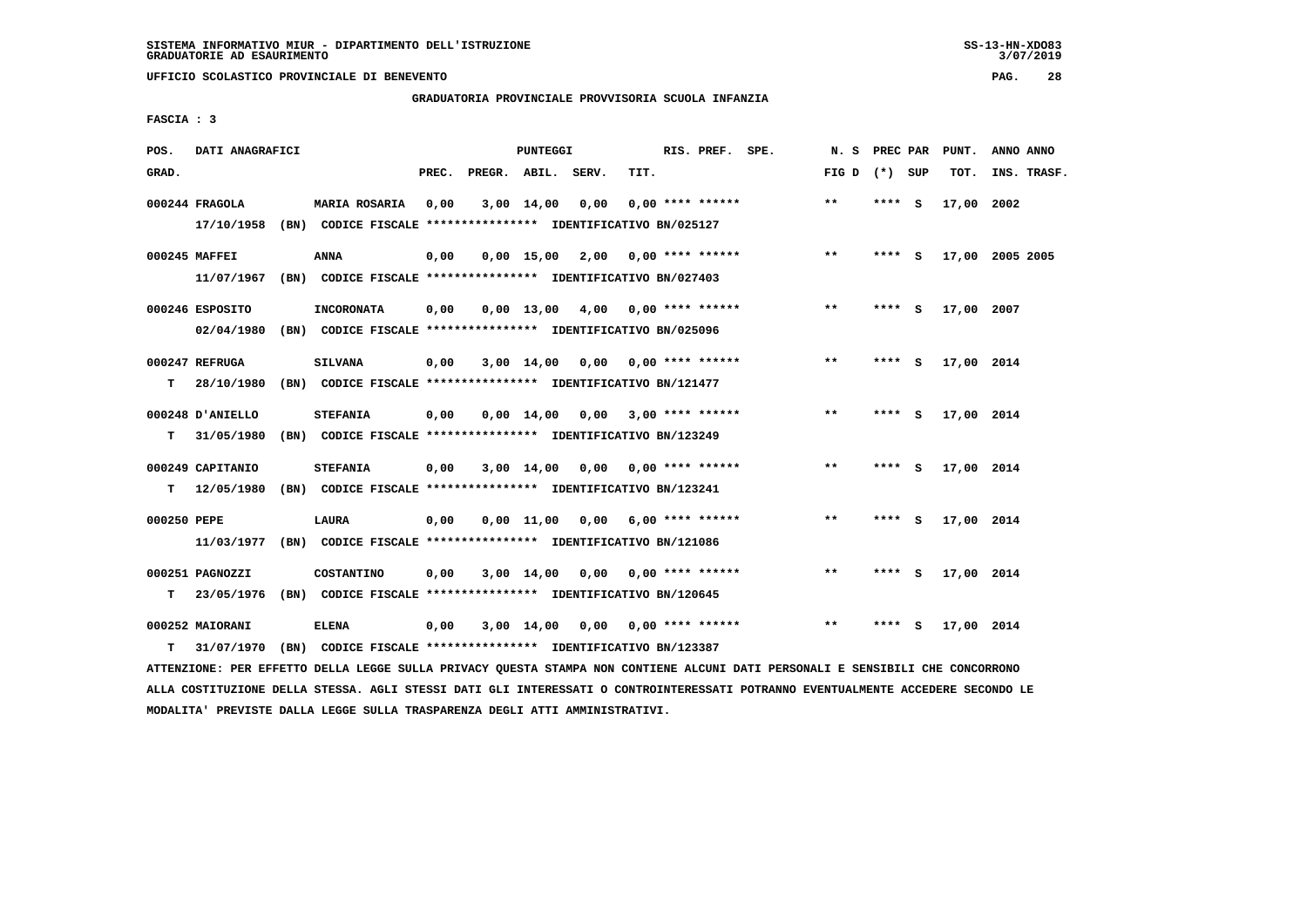$3/07/2019$ 

 **UFFICIO SCOLASTICO PROVINCIALE DI BENEVENTO PAG. 28**

### **GRADUATORIA PROVINCIALE PROVVISORIA SCUOLA INFANZIA**

 **FASCIA : 3**

| POS.        | DATI ANAGRAFICI  |                                                               |       |                    | PUNTEGGI           |                       |      | RIS. PREF. SPE.           | N.S   | PREC PAR |          | PUNT.      | ANNO ANNO       |
|-------------|------------------|---------------------------------------------------------------|-------|--------------------|--------------------|-----------------------|------|---------------------------|-------|----------|----------|------------|-----------------|
| GRAD.       |                  |                                                               | PREC. | PREGR. ABIL. SERV. |                    |                       | TIT. |                           | FIG D | (*) SUP  |          | TOT.       | INS. TRASF.     |
|             | 000244 FRAGOLA   | <b>MARIA ROSARIA</b>                                          | 0.00  |                    | $3,00$ 14,00       | 0.00                  |      | $0.00$ **** ******        | $***$ | **** S   |          | 17,00      | 2002            |
|             | 17/10/1958       | (BN) CODICE FISCALE **************** IDENTIFICATIVO BN/025127 |       |                    |                    |                       |      |                           |       |          |          |            |                 |
|             | 000245 MAFFEI    | <b>ANNA</b>                                                   | 0,00  |                    |                    | $0,00$ 15,00 2,00     |      | $0.00$ **** ******        | $***$ | **** S   |          |            | 17,00 2005 2005 |
|             | 11/07/1967       | (BN) CODICE FISCALE **************** IDENTIFICATIVO BN/027403 |       |                    |                    |                       |      |                           |       |          |          |            |                 |
|             | 000246 ESPOSITO  | <b>INCORONATA</b>                                             | 0,00  |                    | $0.00$ 13.00       |                       |      | $4,00$ 0,00 **** ******   | $***$ | **** S   |          | 17,00 2007 |                 |
|             | 02/04/1980       | (BN) CODICE FISCALE **************** IDENTIFICATIVO BN/025096 |       |                    |                    |                       |      |                           |       |          |          |            |                 |
|             | 000247 REFRUGA   | SILVANA                                                       | 0,00  |                    | $3,00 \quad 14,00$ |                       |      | $0,00$ $0,00$ **** ****** | $**$  | ****     | - S      | 17,00 2014 |                 |
| т           | 28/10/1980       | (BN) CODICE FISCALE **************** IDENTIFICATIVO BN/121477 |       |                    |                    |                       |      |                           |       |          |          |            |                 |
|             | 000248 D'ANIELLO | <b>STEFANIA</b>                                               | 0,00  |                    | $0.00 \quad 14.00$ |                       |      | $0,00$ 3,00 **** ******   | **    | **** S   |          | 17,00 2014 |                 |
| т           | 31/05/1980       | (BN) CODICE FISCALE **************** IDENTIFICATIVO BN/123249 |       |                    |                    |                       |      |                           |       |          |          |            |                 |
|             | 000249 CAPITANIO | <b>STEFANIA</b>                                               | 0,00  |                    | 3,00 14,00         | 0,00                  |      | $0.00$ **** ******        | $***$ | ****     | <b>S</b> | 17,00 2014 |                 |
| т           | 12/05/1980       | (BN) CODICE FISCALE **************** IDENTIFICATIVO BN/123241 |       |                    |                    |                       |      |                           |       |          |          |            |                 |
| 000250 PEPE |                  | LAURA                                                         | 0,00  |                    |                    | $0,00$ $11,00$ $0,00$ |      | $6,00$ **** ******        | $**$  | ****     | - S      | 17,00 2014 |                 |
|             | 11/03/1977       | (BN) CODICE FISCALE **************** IDENTIFICATIVO BN/121086 |       |                    |                    |                       |      |                           |       |          |          |            |                 |
|             | 000251 PAGNOZZI  | COSTANTINO                                                    | 0,00  |                    | $3,00$ 14,00       | 0,00                  |      | 0,00 **** ******          | **    | **** S   |          | 17,00 2014 |                 |
| т           | 23/05/1976       | (BN) CODICE FISCALE **************** IDENTIFICATIVO BN/120645 |       |                    |                    |                       |      |                           |       |          |          |            |                 |
|             | 000252 MAIORANI  | <b>ELENA</b>                                                  |       |                    | $3,00$ 14,00       |                       |      | $0.00$ **** ******        | $* *$ | ****     | s        | 17,00 2014 |                 |
|             |                  |                                                               | 0,00  |                    |                    | 0.00                  |      |                           |       |          |          |            |                 |
| т           | 31/07/1970       | (BN) CODICE FISCALE **************** IDENTIFICATIVO BN/123387 |       |                    |                    |                       |      |                           |       |          |          |            |                 |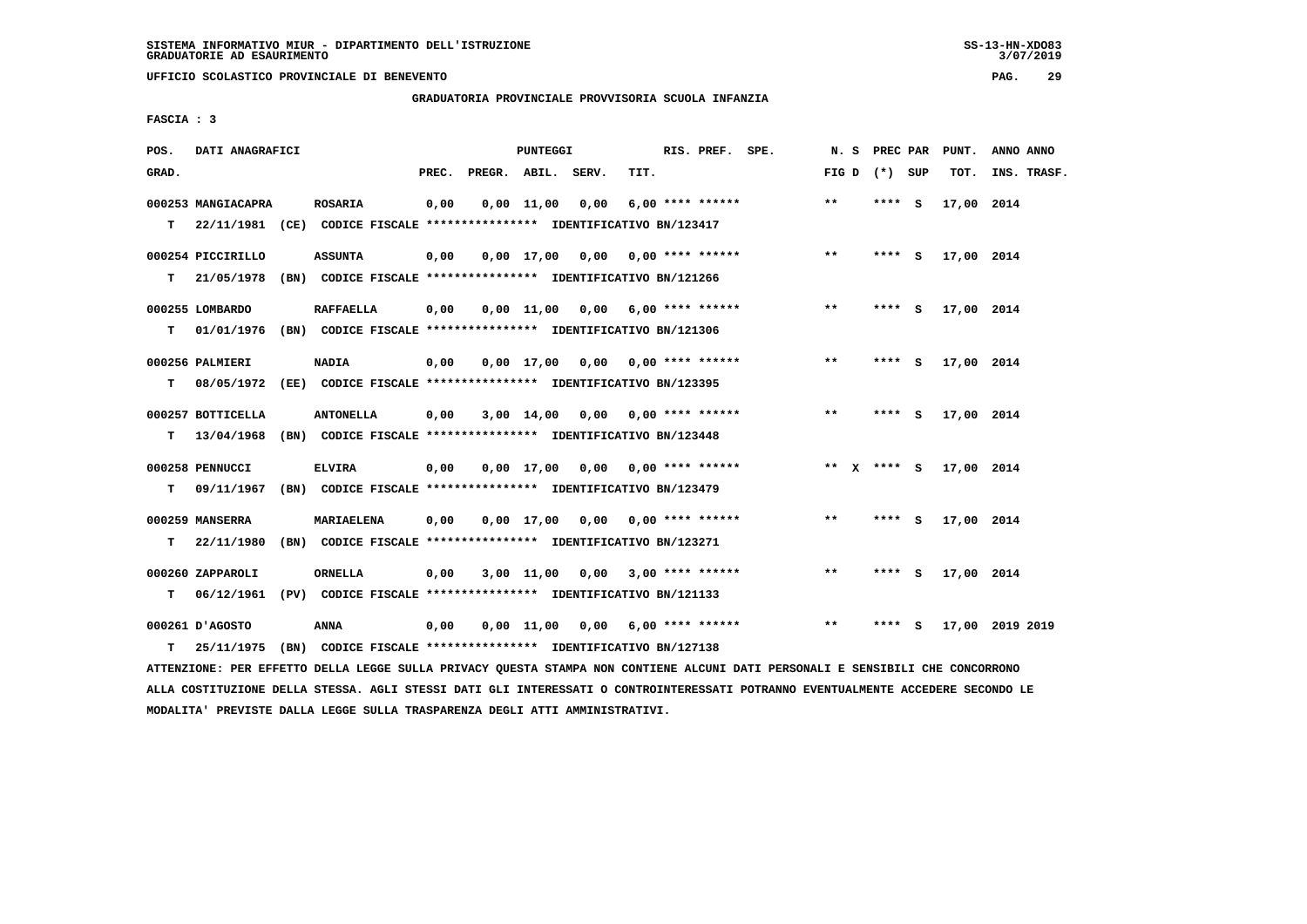# **GRADUATORIA PROVINCIALE PROVVISORIA SCUOLA INFANZIA**

 **FASCIA : 3**

| POS.  | DATI ANAGRAFICI    |                                                                                                                               |       |                    | PUNTEGGI           |      |                                    | RIS. PREF. SPE. | N. S              | <b>PREC PAR</b> | PUNT.      | ANNO ANNO       |
|-------|--------------------|-------------------------------------------------------------------------------------------------------------------------------|-------|--------------------|--------------------|------|------------------------------------|-----------------|-------------------|-----------------|------------|-----------------|
| GRAD. |                    |                                                                                                                               | PREC. | PREGR. ABIL. SERV. |                    |      | TIT.                               |                 | FIG $D$ $(*)$ SUP |                 | TOT.       | INS. TRASF.     |
|       | 000253 MANGIACAPRA | ROSARIA                                                                                                                       | 0,00  |                    | $0,00 \quad 11,00$ | 0,00 | $6,00$ **** ******                 |                 | $***$             | **** S          | 17,00 2014 |                 |
| T.    |                    | 22/11/1981 (CE) CODICE FISCALE **************** IDENTIFICATIVO BN/123417                                                      |       |                    |                    |      |                                    |                 |                   |                 |            |                 |
|       | 000254 PICCIRILLO  | <b>ASSUNTA</b>                                                                                                                | 0,00  |                    |                    |      | $0,00$ 17,00 0,00 0,00 **** ****** |                 | $***$             | **** S          | 17,00 2014 |                 |
| т     | 21/05/1978         | (BN) CODICE FISCALE *************** IDENTIFICATIVO BN/121266                                                                  |       |                    |                    |      |                                    |                 |                   |                 |            |                 |
|       | 000255 LOMBARDO    | <b>RAFFAELLA</b>                                                                                                              | 0,00  |                    |                    |      | $0,00$ 11,00 0,00 6,00 **** ****** |                 | $***$             | **** S          | 17,00 2014 |                 |
|       |                    | T 01/01/1976 (BN) CODICE FISCALE *************** IDENTIFICATIVO BN/121306                                                     |       |                    |                    |      |                                    |                 |                   |                 |            |                 |
|       | 000256 PALMIERI    | <b>NADIA</b>                                                                                                                  | 0,00  |                    |                    |      | $0,00$ 17,00 0,00 0,00 **** ****** |                 | $***$             | **** S          | 17,00 2014 |                 |
| T.    |                    | 08/05/1972 (EE) CODICE FISCALE *************** IDENTIFICATIVO BN/123395                                                       |       |                    |                    |      |                                    |                 |                   |                 |            |                 |
|       | 000257 BOTTICELLA  | <b>ANTONELLA</b>                                                                                                              | 0,00  |                    |                    |      | $3,00$ 14,00 0,00 0,00 **** ****** |                 | $***$             | $***$ S         | 17,00 2014 |                 |
| т     | 13/04/1968         | (BN) CODICE FISCALE **************** IDENTIFICATIVO BN/123448                                                                 |       |                    |                    |      |                                    |                 |                   |                 |            |                 |
|       | 000258 PENNUCCI    | <b>ELVIRA</b>                                                                                                                 | 0,00  |                    |                    |      | $0,00$ 17,00 0,00 0,00 **** ****** |                 | ** x **** S       |                 | 17,00 2014 |                 |
| т     | 09/11/1967         | (BN) CODICE FISCALE **************** IDENTIFICATIVO BN/123479                                                                 |       |                    |                    |      |                                    |                 |                   |                 |            |                 |
|       | 000259 MANSERRA    | MARIAELENA                                                                                                                    | 0,00  |                    |                    |      | $0,00$ 17,00 0,00 0,00 **** ****** |                 | $***$             | $***$ S         | 17,00 2014 |                 |
|       | $T = 22/11/1980$   | (BN) CODICE FISCALE **************** IDENTIFICATIVO BN/123271                                                                 |       |                    |                    |      |                                    |                 |                   |                 |            |                 |
|       | 000260 ZAPPAROLI   | <b>ORNELLA</b>                                                                                                                | 0,00  |                    |                    |      | $3,00$ 11,00 0,00 3,00 **** ****** |                 | $***$             | **** S          | 17,00 2014 |                 |
| т     | 06/12/1961         | (PV) CODICE FISCALE **************** IDENTIFICATIVO BN/121133                                                                 |       |                    |                    |      |                                    |                 |                   |                 |            |                 |
|       | 000261 D'AGOSTO    | <b>ANNA</b>                                                                                                                   | 0,00  |                    |                    |      | $0,00$ 11,00 0,00 6,00 **** ****** |                 | $**$              | $***$ S         |            | 17,00 2019 2019 |
| T.    | 25/11/1975         | (BN) CODICE FISCALE *************** IDENTIFICATIVO BN/127138                                                                  |       |                    |                    |      |                                    |                 |                   |                 |            |                 |
|       |                    | ATTENZIONE: PER EFFETTO DELLA LEGGE SULLA PRIVACY QUESTA STAMPA NON CONTIENE ALCUNI DATI PERSONALI E SENSIBILI CHE CONCORRONO |       |                    |                    |      |                                    |                 |                   |                 |            |                 |

 **ALLA COSTITUZIONE DELLA STESSA. AGLI STESSI DATI GLI INTERESSATI O CONTROINTERESSATI POTRANNO EVENTUALMENTE ACCEDERE SECONDO LE MODALITA' PREVISTE DALLA LEGGE SULLA TRASPARENZA DEGLI ATTI AMMINISTRATIVI.**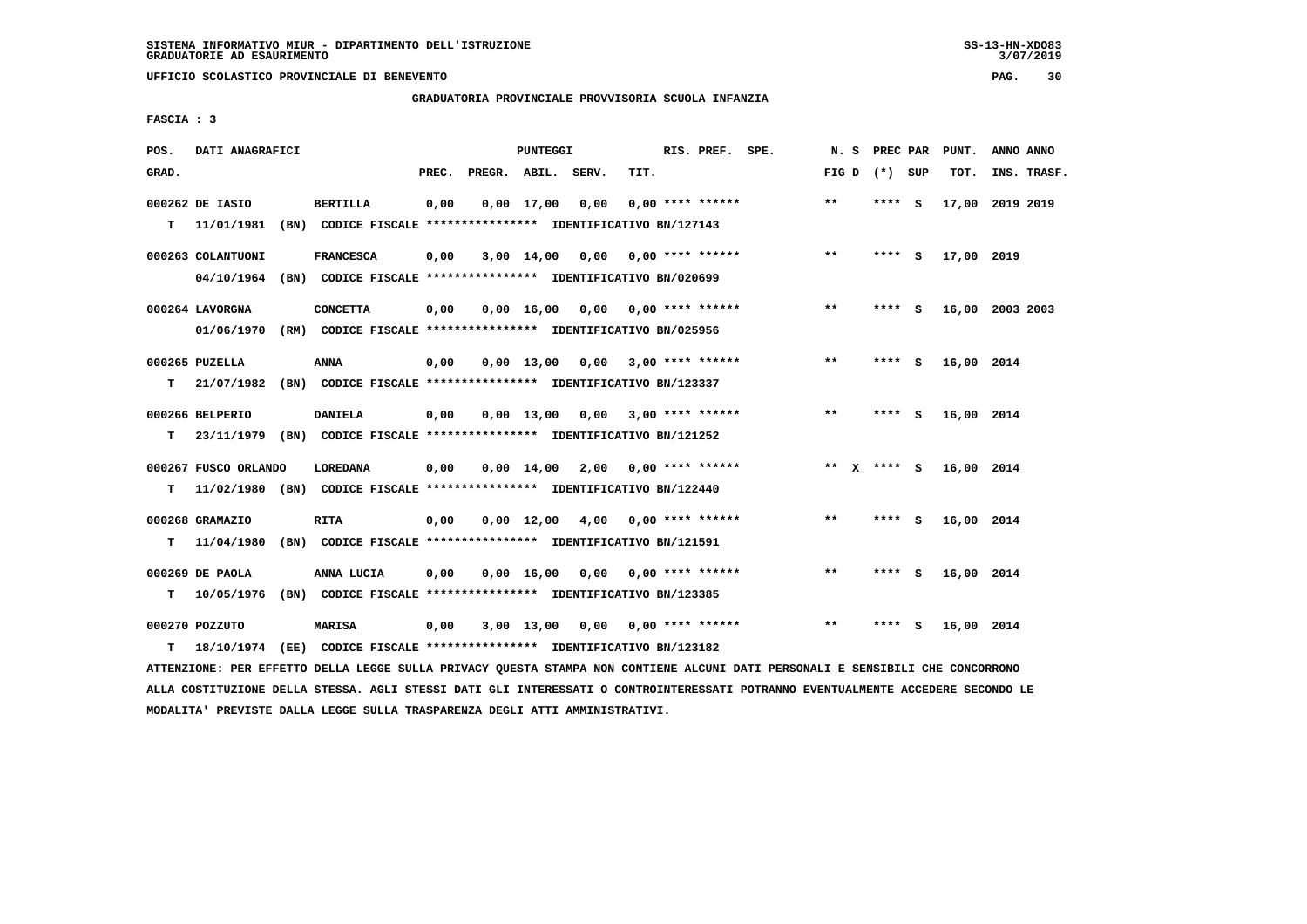# **GRADUATORIA PROVINCIALE PROVVISORIA SCUOLA INFANZIA**

 **FASCIA : 3**

| POS.  | DATI ANAGRAFICI      |                                                                          |       |                    | PUNTEGGI     |                                    |      | RIS. PREF. SPE.           |                 |         |     | N. S PREC PAR PUNT. | ANNO ANNO       |
|-------|----------------------|--------------------------------------------------------------------------|-------|--------------------|--------------|------------------------------------|------|---------------------------|-----------------|---------|-----|---------------------|-----------------|
| GRAD. |                      |                                                                          | PREC. | PREGR. ABIL. SERV. |              |                                    | TIT. |                           | FIG D $(*)$ SUP |         |     | TOT.                | INS. TRASF.     |
|       | 000262 DE IASIO      | <b>BERTILLA</b>                                                          | 0,00  |                    | $0,00$ 17,00 | 0,00                               |      | $0.00$ **** ******        | $***$           | **** S  |     |                     | 17,00 2019 2019 |
| т     | 11/01/1981           | (BN) CODICE FISCALE **************** IDENTIFICATIVO BN/127143            |       |                    |              |                                    |      |                           |                 |         |     |                     |                 |
|       | 000263 COLANTUONI    | <b>FRANCESCA</b>                                                         | 0,00  |                    |              | 3,00 14,00 0,00                    |      | 0,00 **** ******          | $***$           | $***$ S |     | 17,00 2019          |                 |
|       |                      | 04/10/1964 (BN) CODICE FISCALE *************** IDENTIFICATIVO BN/020699  |       |                    |              |                                    |      |                           |                 |         |     |                     |                 |
|       | 000264 LAVORGNA      | <b>CONCETTA</b>                                                          | 0,00  |                    | 0,00 16,00   |                                    |      | $0,00$ $0,00$ **** ****** | $***$           | **** S  |     |                     | 16,00 2003 2003 |
|       | 01/06/1970           | (RM) CODICE FISCALE **************** IDENTIFICATIVO BN/025956            |       |                    |              |                                    |      |                           |                 |         |     |                     |                 |
|       | 000265 PUZELLA       | ANNA                                                                     | 0,00  |                    | 0,00 13,00   |                                    |      | $0.00$ 3.00 **** ******   | $* *$           | ****    | - S | 16,00 2014          |                 |
| т     |                      | 21/07/1982 (BN) CODICE FISCALE **************** IDENTIFICATIVO BN/123337 |       |                    |              |                                    |      |                           |                 |         |     |                     |                 |
|       | 000266 BELPERIO      | <b>DANIELA</b>                                                           | 0,00  |                    |              | $0,00$ 13,00 0,00 3,00 **** ****** |      |                           | $**$            | $***5$  |     | 16,00 2014          |                 |
| т     |                      | 23/11/1979 (BN) CODICE FISCALE *************** IDENTIFICATIVO BN/121252  |       |                    |              |                                    |      |                           |                 |         |     |                     |                 |
|       | 000267 FUSCO ORLANDO | <b>LOREDANA</b>                                                          | 0,00  |                    |              | $0,00$ 14,00 2,00 0,00 **** ****** |      |                           | ** $X$ **** S   |         |     | 16,00 2014          |                 |
| T.    |                      | 11/02/1980 (BN) CODICE FISCALE **************** IDENTIFICATIVO BN/122440 |       |                    |              |                                    |      |                           |                 |         |     |                     |                 |
|       | 000268 GRAMAZIO      | <b>RITA</b>                                                              | 0,00  |                    |              | $0.00 \quad 12.00 \quad 4.00$      |      | 0,00 **** ******          | $***$           | **** S  |     | 16,00 2014          |                 |
| т     | 11/04/1980           | (BN) CODICE FISCALE **************** IDENTIFICATIVO BN/121591            |       |                    |              |                                    |      |                           |                 |         |     |                     |                 |
|       | 000269 DE PAOLA      | ANNA LUCIA                                                               | 0,00  |                    |              | $0,00$ 16,00 0,00 0,00 **** ****** |      |                           | $* *$           | $***$ S |     | 16,00 2014          |                 |
| т     | 10/05/1976           | (BN) CODICE FISCALE **************** IDENTIFICATIVO BN/123385            |       |                    |              |                                    |      |                           |                 |         |     |                     |                 |
|       | 000270 POZZUTO       | <b>MARISA</b>                                                            | 0,00  |                    | 3,00 13,00   |                                    |      | $0,00$ $0,00$ **** ****** | $* *$           |         | S   | 16,00 2014          |                 |
| т     | 18/10/1974           | (EE) CODICE FISCALE **************** IDENTIFICATIVO BN/123182            |       |                    |              |                                    |      |                           |                 |         |     |                     |                 |

 **ATTENZIONE: PER EFFETTO DELLA LEGGE SULLA PRIVACY QUESTA STAMPA NON CONTIENE ALCUNI DATI PERSONALI E SENSIBILI CHE CONCORRONO ALLA COSTITUZIONE DELLA STESSA. AGLI STESSI DATI GLI INTERESSATI O CONTROINTERESSATI POTRANNO EVENTUALMENTE ACCEDERE SECONDO LE MODALITA' PREVISTE DALLA LEGGE SULLA TRASPARENZA DEGLI ATTI AMMINISTRATIVI.**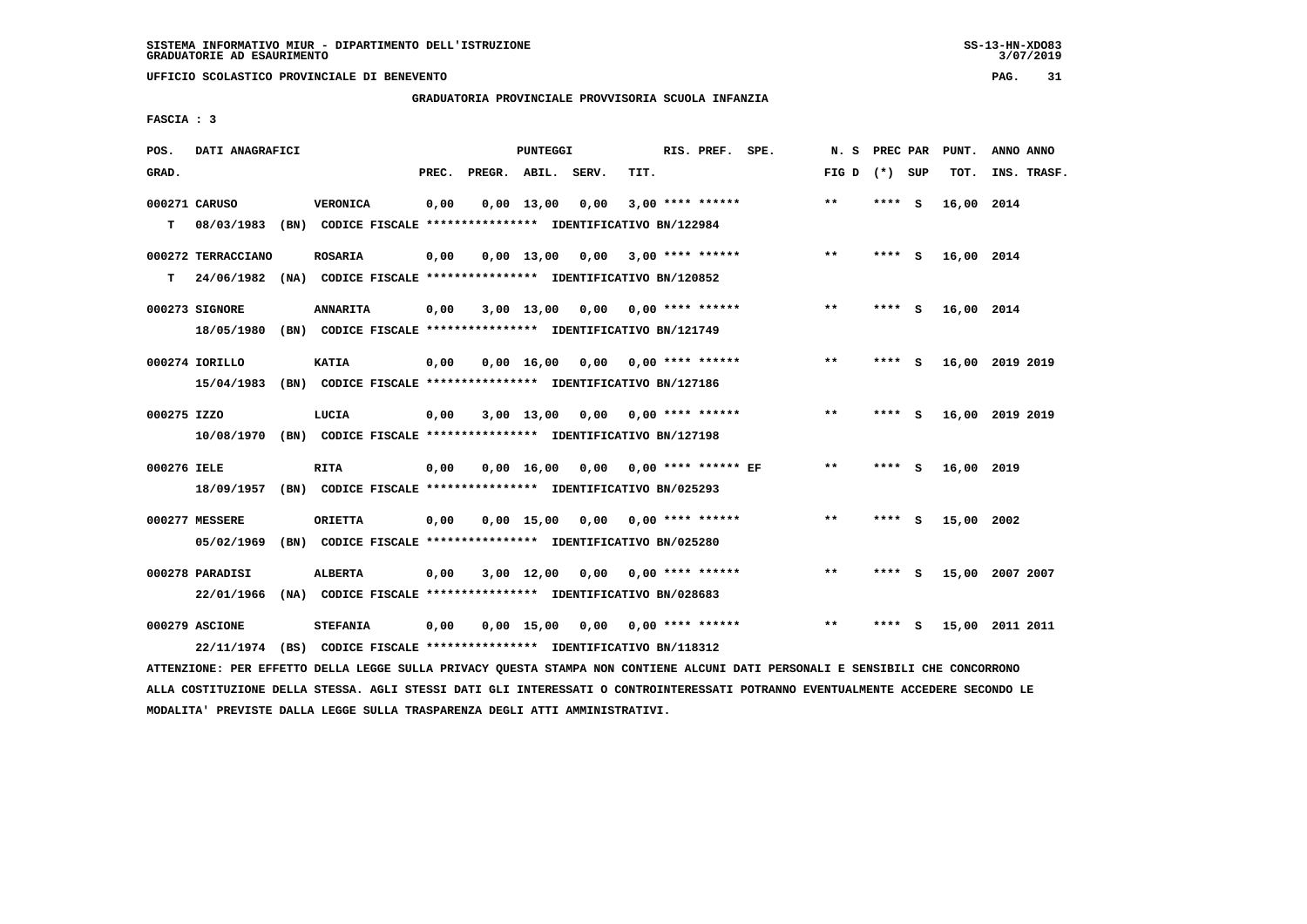# **GRADUATORIA PROVINCIALE PROVVISORIA SCUOLA INFANZIA**

 $3/07/2019$ 

 **FASCIA : 3**

| POS.        | DATI ANAGRAFICI    |                                                                                                                               |       |                    | PUNTEGGI |                                     |      | RIS. PREF. SPE.    | N.S               |         | PREC PAR PUNT. | ANNO ANNO       |
|-------------|--------------------|-------------------------------------------------------------------------------------------------------------------------------|-------|--------------------|----------|-------------------------------------|------|--------------------|-------------------|---------|----------------|-----------------|
| GRAD.       |                    |                                                                                                                               | PREC. | PREGR. ABIL. SERV. |          |                                     | TIT. |                    | FIG $D$ $(*)$ SUP |         | TOT.           | INS. TRASF.     |
|             | 000271 CARUSO      | VERONICA                                                                                                                      | 0,00  |                    |          | $0,00$ 13,00 0,00                   |      | $3,00$ **** ****** | $* *$             | **** S  | 16,00 2014     |                 |
| т           |                    | 08/03/1983 (BN) CODICE FISCALE **************** IDENTIFICATIVO BN/122984                                                      |       |                    |          |                                     |      |                    |                   |         |                |                 |
|             | 000272 TERRACCIANO | <b>ROSARIA</b>                                                                                                                | 0,00  |                    |          | $0.00$ 13.00 0.00 3.00 **** ******  |      |                    | **                | $***$ S | 16,00 2014     |                 |
| т           |                    | 24/06/1982 (NA) CODICE FISCALE *************** IDENTIFICATIVO BN/120852                                                       |       |                    |          |                                     |      |                    |                   |         |                |                 |
|             | 000273 SIGNORE     | <b>ANNARITA</b>                                                                                                               | 0,00  |                    |          | $3,00$ 13,00 0,00 0,00 **** ******  |      |                    | **                | **** S  | 16,00 2014     |                 |
|             |                    | 18/05/1980 (BN) CODICE FISCALE *************** IDENTIFICATIVO BN/121749                                                       |       |                    |          |                                     |      |                    |                   |         |                |                 |
|             | 000274 IORILLO     | <b>KATIA</b>                                                                                                                  | 0,00  |                    |          | $0,00$ 16,00 0,00 0,00 **** ******  |      |                    | $***$             | $***$ S |                | 16,00 2019 2019 |
|             | 15/04/1983         | (BN) CODICE FISCALE *************** IDENTIFICATIVO BN/127186                                                                  |       |                    |          |                                     |      |                    |                   |         |                |                 |
| 000275 IZZO |                    | LUCIA                                                                                                                         | 0,00  |                    |          | $3,00$ 13,00 0,00 0,00 **** ******  |      |                    | $***$             | **** S  |                | 16,00 2019 2019 |
|             |                    | 10/08/1970 (BN) CODICE FISCALE *************** IDENTIFICATIVO BN/127198                                                       |       |                    |          |                                     |      |                    |                   |         |                |                 |
| 000276 IELE |                    | <b>RITA</b>                                                                                                                   | 0,00  |                    |          | 0,00 16,00 0,00 0,00 **** ****** EF |      |                    | $* *$             | **** S  | 16,00 2019     |                 |
|             |                    | 18/09/1957 (BN) CODICE FISCALE *************** IDENTIFICATIVO BN/025293                                                       |       |                    |          |                                     |      |                    |                   |         |                |                 |
|             | 000277 MESSERE     | <b>ORIETTA</b>                                                                                                                | 0,00  |                    |          | $0,00$ 15,00 0,00 0,00 **** ******  |      |                    | $***$             | **** S  | 15,00 2002     |                 |
|             | 05/02/1969         | (BN) CODICE FISCALE **************** IDENTIFICATIVO BN/025280                                                                 |       |                    |          |                                     |      |                    |                   |         |                |                 |
|             | 000278 PARADISI    | <b>ALBERTA</b>                                                                                                                | 0,00  |                    |          | $3,00$ 12,00 0,00 0,00 **** ******  |      |                    | $***$             | **** S  |                | 15,00 2007 2007 |
|             | 22/01/1966         | (NA) CODICE FISCALE **************** IDENTIFICATIVO BN/028683                                                                 |       |                    |          |                                     |      |                    |                   |         |                |                 |
|             | 000279 ASCIONE     | <b>STEFANIA</b>                                                                                                               | 0,00  |                    |          | 0,00 15,00 0,00 0,00 **** ******    |      |                    | $***$             | **** S  |                | 15,00 2011 2011 |
|             |                    | 22/11/1974 (BS) CODICE FISCALE *************** IDENTIFICATIVO BN/118312                                                       |       |                    |          |                                     |      |                    |                   |         |                |                 |
|             |                    | ATTENZIONE: PER EFFETTO DELLA LEGGE SULLA PRIVACY QUESTA STAMPA NON CONTIENE ALCUNI DATI PERSONALI E SENSIBILI CHE CONCORRONO |       |                    |          |                                     |      |                    |                   |         |                |                 |

 **ALLA COSTITUZIONE DELLA STESSA. AGLI STESSI DATI GLI INTERESSATI O CONTROINTERESSATI POTRANNO EVENTUALMENTE ACCEDERE SECONDO LE MODALITA' PREVISTE DALLA LEGGE SULLA TRASPARENZA DEGLI ATTI AMMINISTRATIVI.**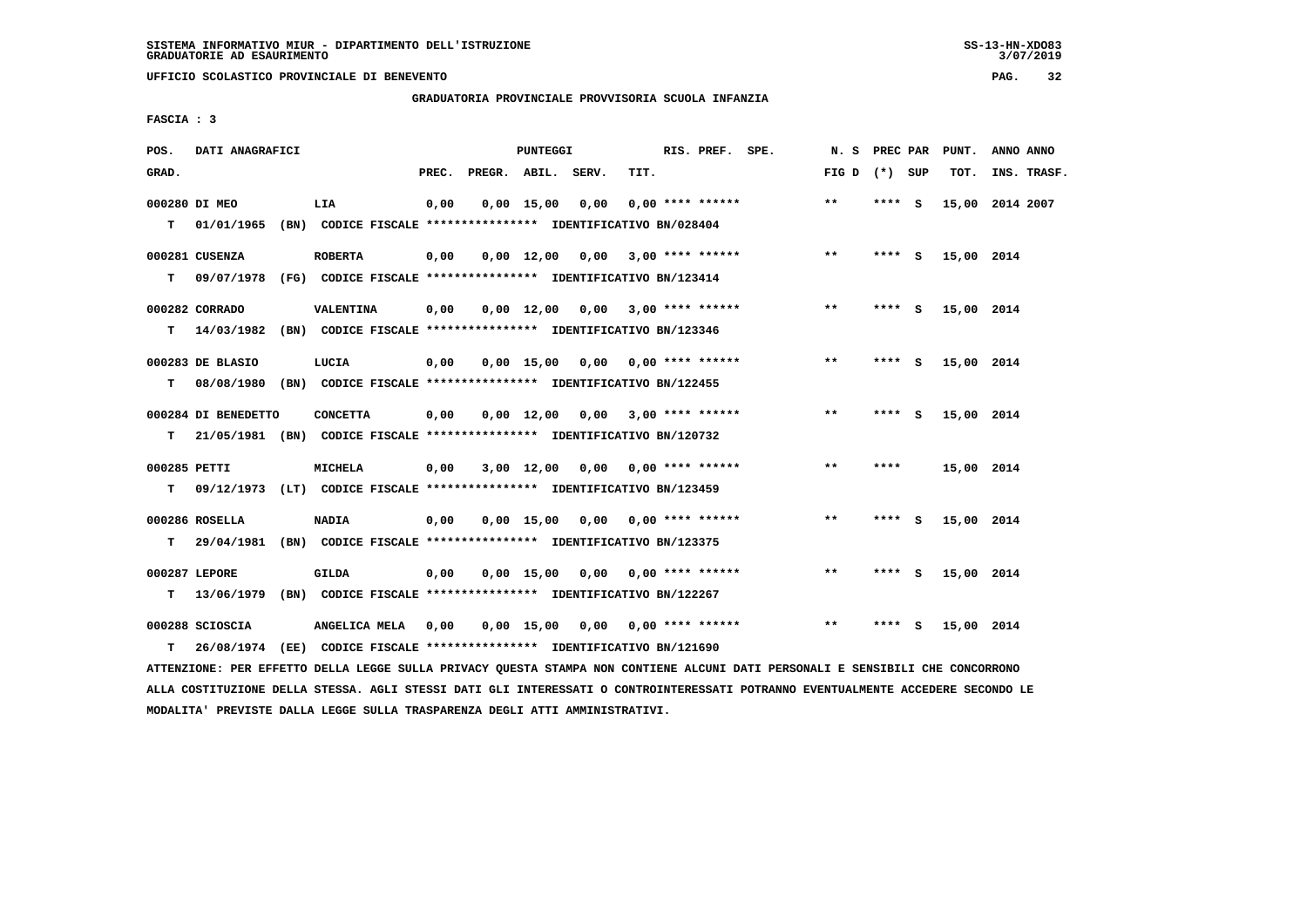# **GRADUATORIA PROVINCIALE PROVVISORIA SCUOLA INFANZIA**

 **FASCIA : 3**

| POS.         | DATI ANAGRAFICI     |                                                                          |       |                    | <b>PUNTEGGI</b>    |      |                                    | RIS. PREF. SPE.    | N.S             | PREC PAR |          | PUNT.      | ANNO ANNO       |
|--------------|---------------------|--------------------------------------------------------------------------|-------|--------------------|--------------------|------|------------------------------------|--------------------|-----------------|----------|----------|------------|-----------------|
| GRAD.        |                     |                                                                          | PREC. | PREGR. ABIL. SERV. |                    |      | TIT.                               |                    | FIG D $(*)$ SUP |          |          | TOT.       | INS. TRASF.     |
|              | 000280 DI MEO       | LIA                                                                      | 0,00  |                    | $0,00$ 15,00       | 0,00 |                                    | $0.00$ **** ****** | $* *$           | ****     | - S      |            | 15,00 2014 2007 |
| т            | 01/01/1965          | (BN) CODICE FISCALE **************** IDENTIFICATIVO BN/028404            |       |                    |                    |      |                                    |                    |                 |          |          |            |                 |
|              | 000281 CUSENZA      | <b>ROBERTA</b>                                                           | 0,00  |                    | $0,00 \quad 12,00$ |      | $0,00$ $3,00$ **** ******          |                    | $**$            | **** S   |          | 15,00 2014 |                 |
| т            | 09/07/1978          | (FG) CODICE FISCALE **************** IDENTIFICATIVO BN/123414            |       |                    |                    |      |                                    |                    |                 |          |          |            |                 |
|              | 000282 CORRADO      | VALENTINA                                                                | 0,00  |                    |                    |      | $0,00$ 12,00 0,00 3,00 **** ****** |                    | **              | ****     | - S      | 15,00 2014 |                 |
| т            | 14/03/1982          | (BN) CODICE FISCALE **************** IDENTIFICATIVO BN/123346            |       |                    |                    |      |                                    |                    |                 |          |          |            |                 |
|              | 000283 DE BLASIO    | LUCIA                                                                    | 0,00  |                    | $0,00$ 15,00       |      | $0,00$ $0,00$ **** ******          |                    | $* *$           | ****     | <b>S</b> | 15,00 2014 |                 |
| т            |                     | 08/08/1980 (BN) CODICE FISCALE **************** IDENTIFICATIVO BN/122455 |       |                    |                    |      |                                    |                    |                 |          |          |            |                 |
|              | 000284 DI BENEDETTO | <b>CONCETTA</b>                                                          | 0,00  |                    |                    |      | $0,00$ 12,00 0,00 3,00 **** ****** |                    | $* *$           | **** S   |          | 15,00 2014 |                 |
| т            |                     | 21/05/1981 (BN) CODICE FISCALE *************** IDENTIFICATIVO BN/120732  |       |                    |                    |      |                                    |                    |                 |          |          |            |                 |
| 000285 PETTI |                     | MICHELA                                                                  | 0,00  |                    | 3,00 12,00         |      | $0,00$ $0,00$ **** ******          |                    | $* *$           | ****     |          | 15,00 2014 |                 |
| т            |                     | 09/12/1973 (LT) CODICE FISCALE **************** IDENTIFICATIVO BN/123459 |       |                    |                    |      |                                    |                    |                 |          |          |            |                 |
|              | 000286 ROSELLA      | <b>NADIA</b>                                                             | 0,00  |                    |                    |      | $0,00$ 15,00 0,00 0,00 **** ****** |                    | $* *$           | ****     | <b>S</b> | 15,00 2014 |                 |
| т            | 29/04/1981          | (BN) CODICE FISCALE **************** IDENTIFICATIVO BN/123375            |       |                    |                    |      |                                    |                    |                 |          |          |            |                 |
|              | 000287 LEPORE       | <b>GILDA</b>                                                             | 0,00  |                    |                    |      | $0,00$ 15,00 0,00 0,00 **** ****** |                    | $* *$           | **** S   |          | 15,00 2014 |                 |
| т            | 13/06/1979          | (BN) CODICE FISCALE **************** IDENTIFICATIVO BN/122267            |       |                    |                    |      |                                    |                    |                 |          |          |            |                 |
|              | 000288 SCIOSCIA     | ANGELICA MELA                                                            | 0,00  |                    | 0,00 15,00         |      | $0,00$ $0,00$ **** ******          |                    | $* *$           | ****     | - S      | 15,00 2014 |                 |
| т            | 26/08/1974          | (EE) CODICE FISCALE **************** IDENTIFICATIVO BN/121690            |       |                    |                    |      |                                    |                    |                 |          |          |            |                 |

 **ATTENZIONE: PER EFFETTO DELLA LEGGE SULLA PRIVACY QUESTA STAMPA NON CONTIENE ALCUNI DATI PERSONALI E SENSIBILI CHE CONCORRONO ALLA COSTITUZIONE DELLA STESSA. AGLI STESSI DATI GLI INTERESSATI O CONTROINTERESSATI POTRANNO EVENTUALMENTE ACCEDERE SECONDO LE MODALITA' PREVISTE DALLA LEGGE SULLA TRASPARENZA DEGLI ATTI AMMINISTRATIVI.**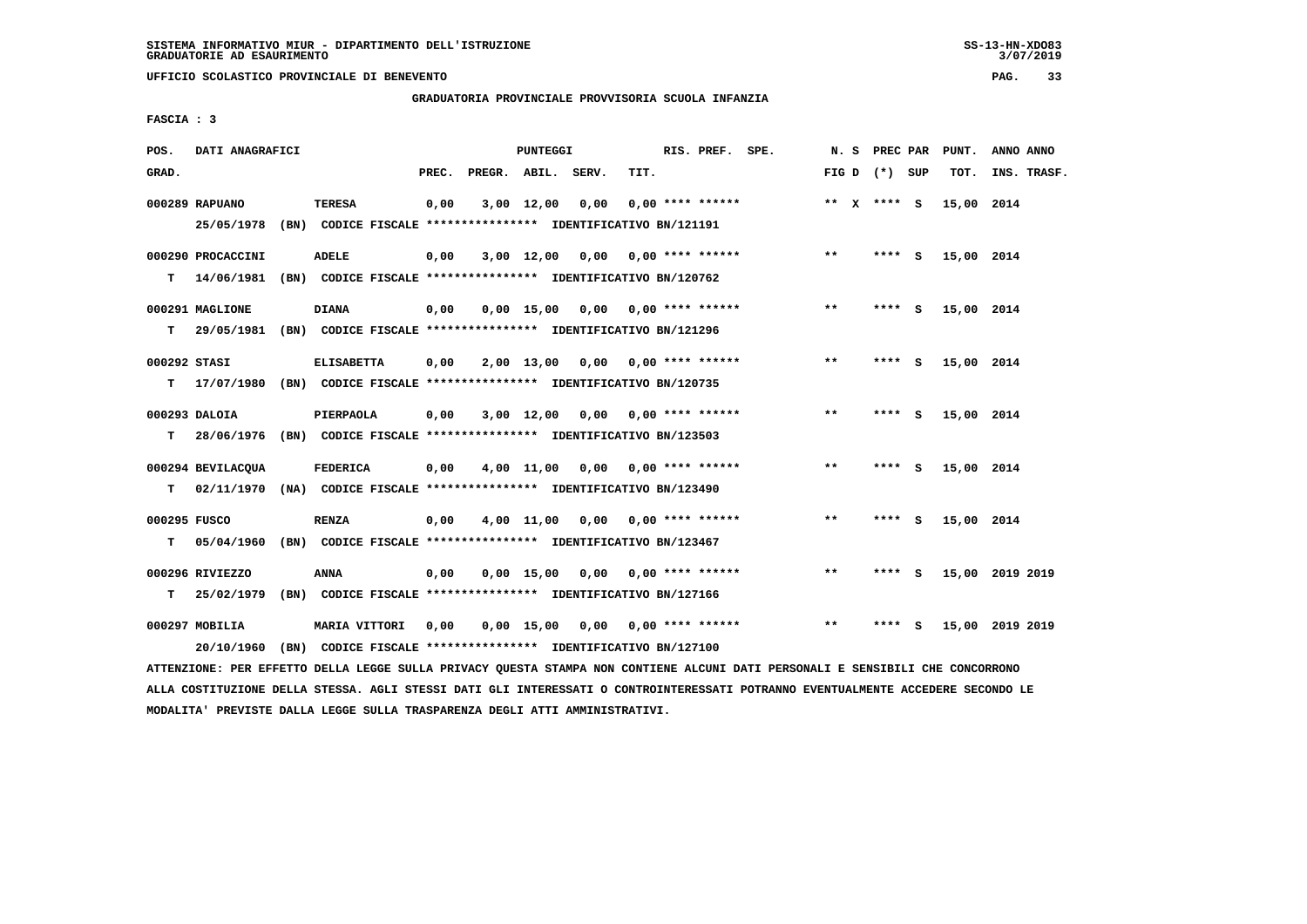# **GRADUATORIA PROVINCIALE PROVVISORIA SCUOLA INFANZIA**

 **FASCIA : 3**

| POS.         | DATI ANAGRAFICI   |                                                                                                                               |      |                          | PUNTEGGI |                                    |      | RIS. PREF. SPE.  |                 |         | N. S PREC PAR PUNT. | ANNO ANNO       |
|--------------|-------------------|-------------------------------------------------------------------------------------------------------------------------------|------|--------------------------|----------|------------------------------------|------|------------------|-----------------|---------|---------------------|-----------------|
| GRAD.        |                   |                                                                                                                               |      | PREC. PREGR. ABIL. SERV. |          |                                    | TIT. |                  | FIG D $(*)$ SUP |         | TOT.                | INS. TRASF.     |
|              | 000289 RAPUANO    | <b>TERESA</b>                                                                                                                 | 0,00 |                          |          | $3,00$ $12,00$ $0,00$              |      | 0,00 **** ****** | ** $X$ **** S   |         | 15,00 2014          |                 |
|              | 25/05/1978        | (BN) CODICE FISCALE *************** IDENTIFICATIVO BN/121191                                                                  |      |                          |          |                                    |      |                  |                 |         |                     |                 |
|              | 000290 PROCACCINI | <b>ADELE</b>                                                                                                                  | 0,00 |                          |          | $3,00$ 12,00 0,00 0,00 **** ****** |      |                  | $***$           | **** S  | 15,00 2014          |                 |
| т            | 14/06/1981        | (BN) CODICE FISCALE *************** IDENTIFICATIVO BN/120762                                                                  |      |                          |          |                                    |      |                  |                 |         |                     |                 |
|              | 000291 MAGLIONE   | <b>DIANA</b>                                                                                                                  | 0,00 |                          |          | $0,00$ 15,00 0,00 0,00 **** ****** |      |                  | $* *$           | **** S  | 15,00 2014          |                 |
| T.           | 29/05/1981        | (BN) CODICE FISCALE *************** IDENTIFICATIVO BN/121296                                                                  |      |                          |          |                                    |      |                  |                 |         |                     |                 |
| 000292 STASI |                   | <b>ELISABETTA</b>                                                                                                             | 0,00 |                          |          | $2,00$ 13,00 0,00 0,00 **** ****** |      |                  | $***$           | **** S  | 15,00 2014          |                 |
|              |                   | T 17/07/1980 (BN) CODICE FISCALE **************** IDENTIFICATIVO BN/120735                                                    |      |                          |          |                                    |      |                  |                 |         |                     |                 |
|              | 000293 DALOIA     | PIERPAOLA                                                                                                                     | 0,00 |                          |          | $3,00$ 12,00 0,00 0,00 **** ****** |      |                  | $***$           | $***$ S | 15,00 2014          |                 |
|              |                   | T 28/06/1976 (BN) CODICE FISCALE *************** IDENTIFICATIVO BN/123503                                                     |      |                          |          |                                    |      |                  |                 |         |                     |                 |
|              | 000294 BEVILACQUA | <b>FEDERICA</b>                                                                                                               | 0,00 |                          |          | 4,00 11,00 0,00 0,00 **** ******   |      |                  | $* *$           | **** S  | 15,00 2014          |                 |
| T.           |                   | 02/11/1970 (NA) CODICE FISCALE *************** IDENTIFICATIVO BN/123490                                                       |      |                          |          |                                    |      |                  |                 |         |                     |                 |
| 000295 FUSCO |                   | <b>RENZA</b>                                                                                                                  | 0,00 |                          |          | $4,00$ 11,00 0,00 0,00 **** ****** |      |                  | $***$           | **** S  | 15,00 2014          |                 |
| т            | 05/04/1960        | (BN) CODICE FISCALE **************** IDENTIFICATIVO BN/123467                                                                 |      |                          |          |                                    |      |                  |                 |         |                     |                 |
|              | 000296 RIVIEZZO   | <b>ANNA</b>                                                                                                                   | 0,00 |                          |          | $0,00$ 15,00 0,00 0,00 **** ****** |      |                  | $***$           | **** S  |                     | 15,00 2019 2019 |
| т            |                   | 25/02/1979 (BN) CODICE FISCALE **************** IDENTIFICATIVO BN/127166                                                      |      |                          |          |                                    |      |                  |                 |         |                     |                 |
|              | 000297 MOBILIA    | MARIA VITTORI                                                                                                                 | 0,00 |                          |          | $0,00$ 15,00 0,00 0,00 **** ****** |      |                  | $***$           | $***$ S |                     | 15,00 2019 2019 |
|              | 20/10/1960        | (BN) CODICE FISCALE **************** IDENTIFICATIVO BN/127100                                                                 |      |                          |          |                                    |      |                  |                 |         |                     |                 |
|              |                   | ATTENZIONE: PER EFFETTO DELLA LEGGE SULLA PRIVACY QUESTA STAMPA NON CONTIENE ALCUNI DATI PERSONALI E SENSIBILI CHE CONCORRONO |      |                          |          |                                    |      |                  |                 |         |                     |                 |

 **ALLA COSTITUZIONE DELLA STESSA. AGLI STESSI DATI GLI INTERESSATI O CONTROINTERESSATI POTRANNO EVENTUALMENTE ACCEDERE SECONDO LE MODALITA' PREVISTE DALLA LEGGE SULLA TRASPARENZA DEGLI ATTI AMMINISTRATIVI.**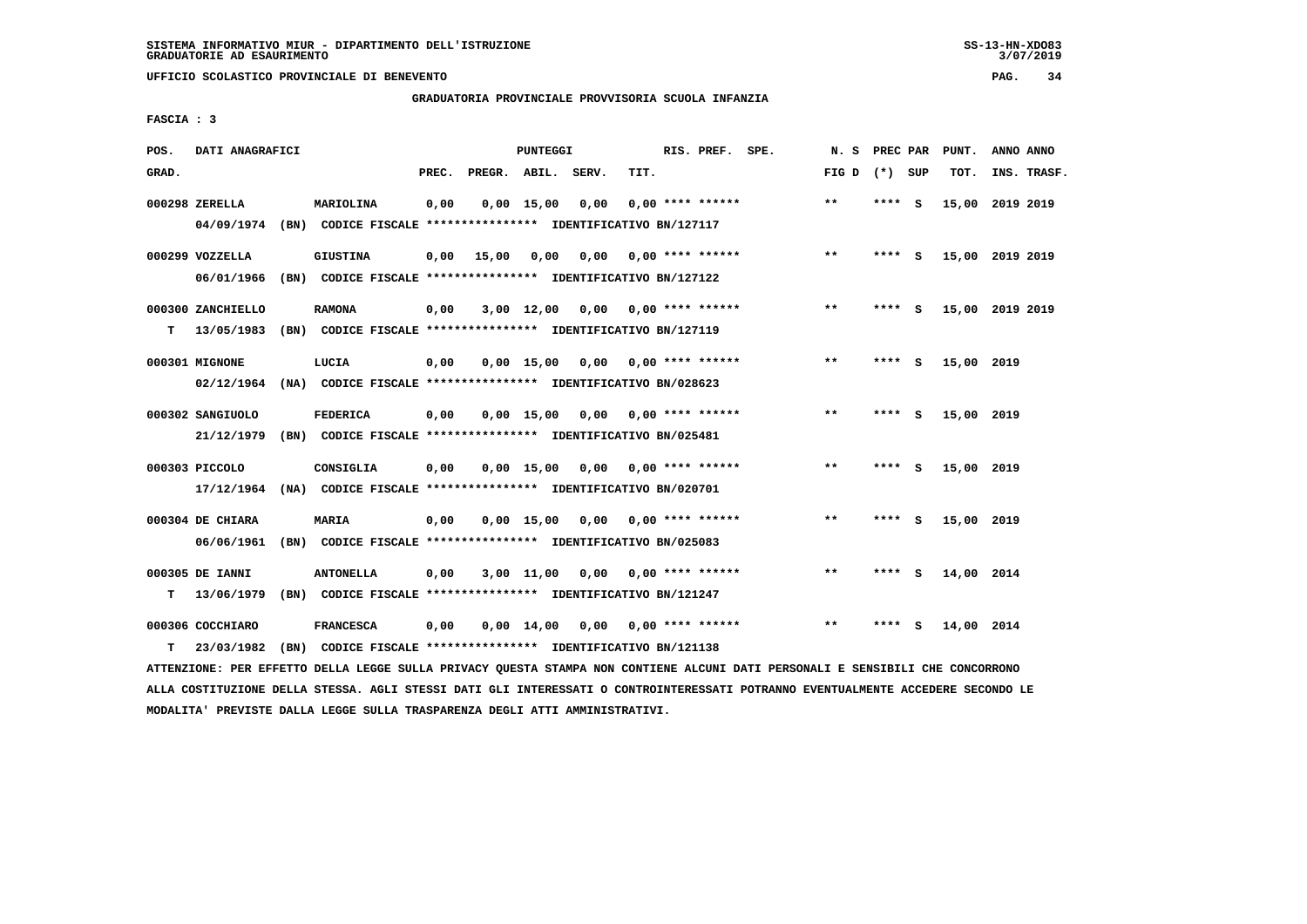$3/07/2019$ 

 **UFFICIO SCOLASTICO PROVINCIALE DI BENEVENTO PAG. 34**

### **GRADUATORIA PROVINCIALE PROVVISORIA SCUOLA INFANZIA**

 **FASCIA : 3**

| POS.  | DATI ANAGRAFICI                 |      |                                                                                   |       |              | PUNTEGGI           |       |      | RIS. PREF. SPE.    | N.S   | PREC PAR |          | PUNT.           | ANNO ANNO       |  |
|-------|---------------------------------|------|-----------------------------------------------------------------------------------|-------|--------------|--------------------|-------|------|--------------------|-------|----------|----------|-----------------|-----------------|--|
| GRAD. |                                 |      |                                                                                   | PREC. | PREGR. ABIL. |                    | SERV. | TIT. |                    | FIG D | (*) SUP  |          | TOT.            | INS. TRASF.     |  |
|       | 000298 ZERELLA<br>04/09/1974    |      | MARIOLINA<br>(BN) CODICE FISCALE **************** IDENTIFICATIVO BN/127117        | 0,00  |              | $0,00$ 15,00       | 0,00  |      | $0.00$ **** ****** | $* *$ | **** S   |          | 15,00           | 2019 2019       |  |
|       | 000299 VOZZELLA<br>06/01/1966   | (BN) | <b>GIUSTINA</b><br>CODICE FISCALE **************** IDENTIFICATIVO BN/127122       | 0,00  | 15,00        | 0,00               | 0,00  |      | $0.00$ **** ****** | $* *$ | ****     | - S      |                 | 15,00 2019 2019 |  |
| т     | 000300 ZANCHIELLO<br>13/05/1983 |      | <b>RAMONA</b><br>(BN) CODICE FISCALE **************** IDENTIFICATIVO BN/127119    | 0,00  |              | $3,00$ 12,00       | 0,00  |      | $0.00$ **** ****** | $***$ | ****     | - S      | 15,00 2019 2019 |                 |  |
|       | 000301 MIGNONE<br>02/12/1964    |      | LUCIA<br>(NA) CODICE FISCALE **************** IDENTIFICATIVO BN/028623            | 0,00  |              | $0,00$ 15,00       | 0,00  |      | $0.00$ **** ****** | $***$ | ****     | - S      | 15,00 2019      |                 |  |
|       | 000302 SANGIUOLO<br>21/12/1979  |      | <b>FEDERICA</b><br>(BN) CODICE FISCALE **************** IDENTIFICATIVO BN/025481  | 0,00  |              | $0,00 \quad 15,00$ | 0.00  |      | $0.00$ **** ****** | $**$  | ****     | S.       | 15,00 2019      |                 |  |
|       | 000303 PICCOLO<br>17/12/1964    |      | CONSIGLIA<br>(NA) CODICE FISCALE **************** IDENTIFICATIVO BN/020701        | 0,00  |              | $0,00$ 15,00       | 0,00  |      | $0.00$ **** ****** | $***$ | ****     | <b>S</b> | 15,00 2019      |                 |  |
|       | 000304 DE CHIARA<br>06/06/1961  |      | MARIA<br>(BN) CODICE FISCALE **************** IDENTIFICATIVO BN/025083            | 0,00  |              | $0,00$ 15,00       | 0,00  |      | $0.00$ **** ****** | $***$ | ****     | - 5      | 15,00 2019      |                 |  |
| т     | 000305 DE IANNI<br>13/06/1979   | (BN) | <b>ANTONELLA</b><br>CODICE FISCALE **************** IDENTIFICATIVO BN/121247      | 0,00  |              | 3,00 11,00         | 0,00  |      | $0.00$ **** ****** | $**$  | ****     | - S      | 14,00 2014      |                 |  |
| т     | 000306 COCCHIARO<br>23/03/1982  |      | <b>FRANCESCA</b><br>(BN) CODICE FISCALE **************** IDENTIFICATIVO BN/121138 | 0,00  |              | $0,00$ 14,00       | 0,00  |      | $0.00$ **** ****** | $***$ | ****     | S        | 14,00 2014      |                 |  |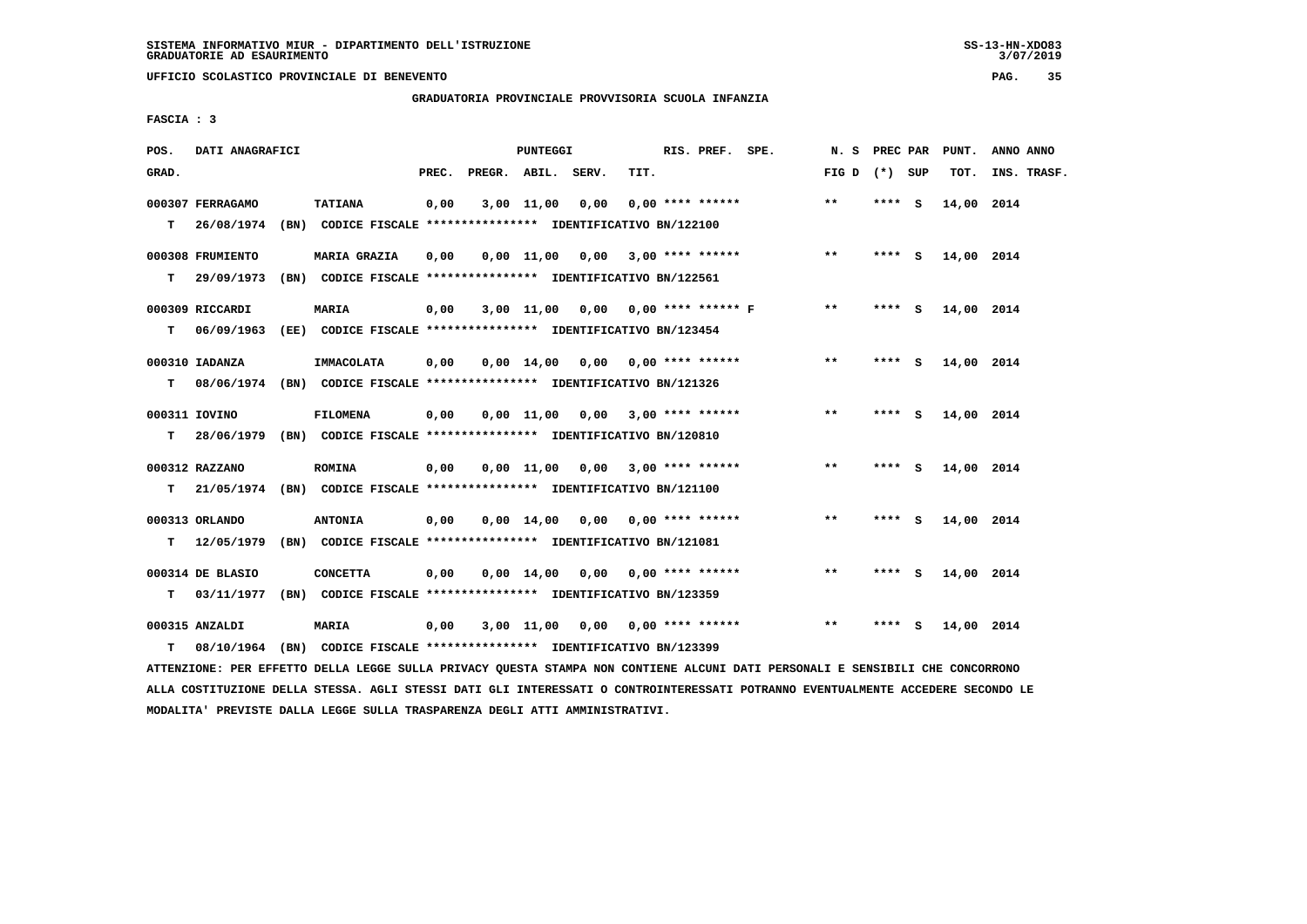# **GRADUATORIA PROVINCIALE PROVVISORIA SCUOLA INFANZIA**

 **FASCIA : 3**

| POS.  | DATI ANAGRAFICI  |                                                                          |       |                    | <b>PUNTEGGI</b>    |                                      |      | RIS. PREF. SPE.           |  | N.S             | PREC PAR |     | PUNT.      | ANNO ANNO   |
|-------|------------------|--------------------------------------------------------------------------|-------|--------------------|--------------------|--------------------------------------|------|---------------------------|--|-----------------|----------|-----|------------|-------------|
| GRAD. |                  |                                                                          | PREC. | PREGR. ABIL. SERV. |                    |                                      | TIT. |                           |  | FIG D $(*)$ SUP |          |     | TOT.       | INS. TRASF. |
|       | 000307 FERRAGAMO | <b>TATIANA</b>                                                           | 0,00  |                    | $3,00$ $11,00$     | 0,00                                 |      | $0.00$ **** ******        |  | $***$           | ****     | - S | 14,00 2014 |             |
| т     | 26/08/1974       | (BN) CODICE FISCALE **************** IDENTIFICATIVO BN/122100            |       |                    |                    |                                      |      |                           |  |                 |          |     |            |             |
|       | 000308 FRUMIENTO | MARIA GRAZIA                                                             | 0,00  |                    |                    | $0,00$ 11,00 0,00 3,00 **** ******   |      |                           |  | $***$           | $***$ S  |     | 14,00 2014 |             |
| т     | 29/09/1973       | (BN) CODICE FISCALE **************** IDENTIFICATIVO BN/122561            |       |                    |                    |                                      |      |                           |  |                 |          |     |            |             |
|       | 000309 RICCARDI  | <b>MARIA</b>                                                             | 0,00  |                    | 3,00 11,00         |                                      |      | 0,00 0,00 **** ****** F   |  | $***$           | **** S   |     | 14,00 2014 |             |
| т     | 06/09/1963       | (EE) CODICE FISCALE **************** IDENTIFICATIVO BN/123454            |       |                    |                    |                                      |      |                           |  |                 |          |     |            |             |
|       | 000310 IADANZA   | IMMACOLATA                                                               | 0,00  |                    |                    | $0.00$ 14.00 0.00 0.00 **** ******   |      |                           |  | $***$           | **** S   |     | 14,00 2014 |             |
| т     |                  | 08/06/1974 (BN) CODICE FISCALE **************** IDENTIFICATIVO BN/121326 |       |                    |                    |                                      |      |                           |  |                 |          |     |            |             |
|       | 000311 IOVINO    | <b>FILOMENA</b>                                                          | 0,00  |                    |                    | $0.00$ 11.00 $0.00$ 3.00 **** ****** |      |                           |  | **              | **** S   |     | 14,00 2014 |             |
| т     |                  | 28/06/1979 (BN) CODICE FISCALE *************** IDENTIFICATIVO BN/120810  |       |                    |                    |                                      |      |                           |  |                 |          |     |            |             |
|       | 000312 RAZZANO   | <b>ROMINA</b>                                                            | 0,00  |                    |                    | $0,00$ 11,00 0,00 3,00 **** ******   |      |                           |  | $***$           | **** S   |     | 14,00 2014 |             |
| т     |                  | 21/05/1974 (BN) CODICE FISCALE **************** IDENTIFICATIVO BN/121100 |       |                    |                    |                                      |      |                           |  |                 |          |     |            |             |
|       | 000313 ORLANDO   | <b>ANTONIA</b>                                                           | 0,00  |                    |                    | $0,00$ 14,00 0,00 0,00 **** ******   |      |                           |  | $***$           | **** S   |     | 14,00 2014 |             |
| т     | 12/05/1979       | (BN) CODICE FISCALE **************** IDENTIFICATIVO BN/121081            |       |                    |                    |                                      |      |                           |  |                 |          |     |            |             |
|       | 000314 DE BLASIO | <b>CONCETTA</b>                                                          | 0,00  |                    | $0,00 \quad 14,00$ |                                      |      | $0,00$ $0,00$ **** ****** |  | $* *$           | ****     | - S | 14,00 2014 |             |
| т     | 03/11/1977       | (BN) CODICE FISCALE **************** IDENTIFICATIVO BN/123359            |       |                    |                    |                                      |      |                           |  |                 |          |     |            |             |
|       | 000315 ANZALDI   | <b>MARIA</b>                                                             | 0,00  |                    | 3,00 11,00         |                                      |      | $0,00$ $0,00$ **** ****** |  | $* *$           | ****     | - 5 | 14,00 2014 |             |
| т     |                  | 08/10/1964 (BN) CODICE FISCALE **************** IDENTIFICATIVO BN/123399 |       |                    |                    |                                      |      |                           |  |                 |          |     |            |             |

 **ATTENZIONE: PER EFFETTO DELLA LEGGE SULLA PRIVACY QUESTA STAMPA NON CONTIENE ALCUNI DATI PERSONALI E SENSIBILI CHE CONCORRONO ALLA COSTITUZIONE DELLA STESSA. AGLI STESSI DATI GLI INTERESSATI O CONTROINTERESSATI POTRANNO EVENTUALMENTE ACCEDERE SECONDO LE MODALITA' PREVISTE DALLA LEGGE SULLA TRASPARENZA DEGLI ATTI AMMINISTRATIVI.**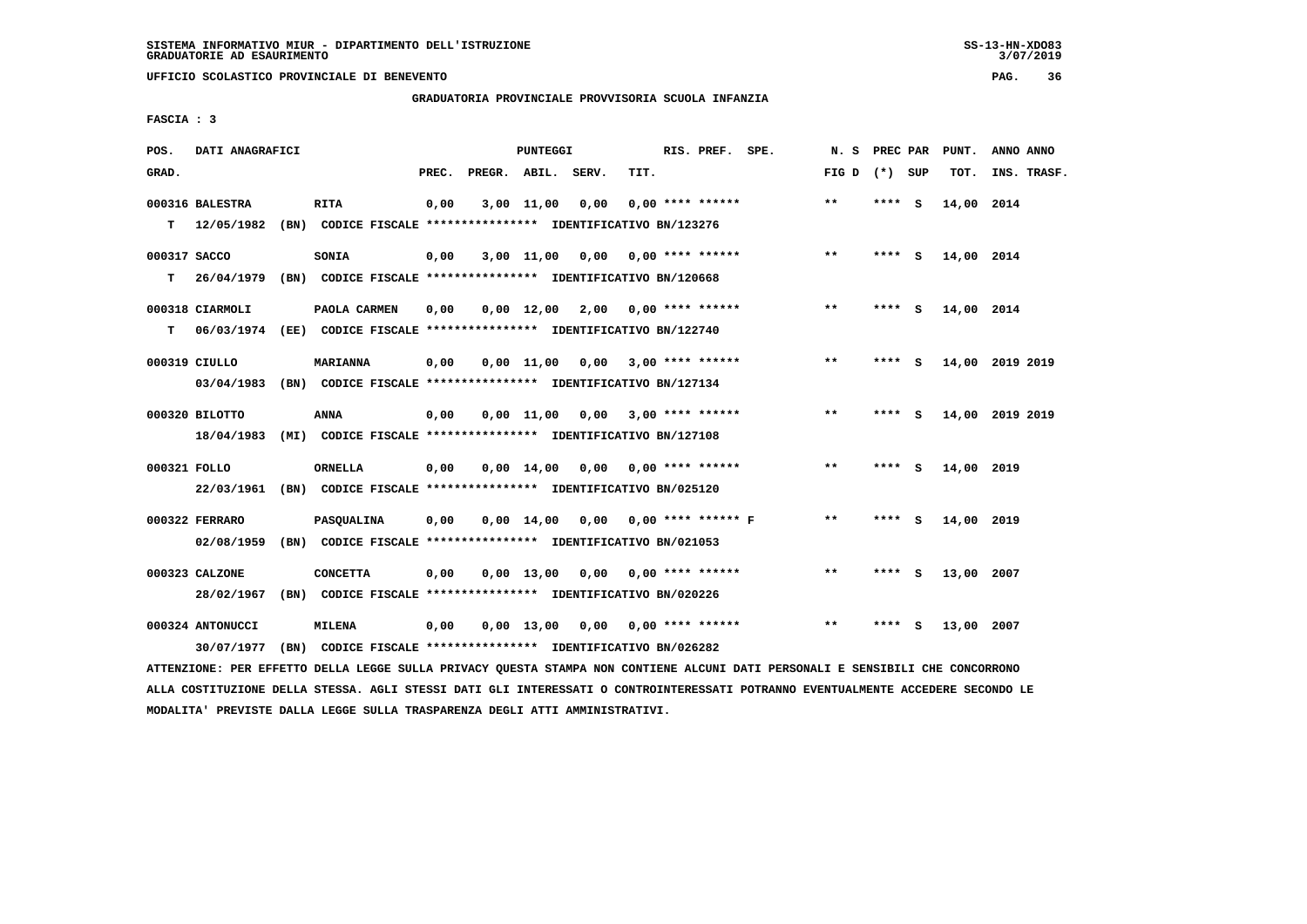# **GRADUATORIA PROVINCIALE PROVVISORIA SCUOLA INFANZIA**

 **FASCIA : 3**

| POS.         | DATI ANAGRAFICI  |      |                                                                          |       |              | <b>PUNTEGGI</b> |       |      | RIS. PREF.                                                   | SPE. | N.S   | PREC PAR |     | PUNT.      | ANNO ANNO       |
|--------------|------------------|------|--------------------------------------------------------------------------|-------|--------------|-----------------|-------|------|--------------------------------------------------------------|------|-------|----------|-----|------------|-----------------|
| GRAD.        |                  |      |                                                                          | PREC. | PREGR. ABIL. |                 | SERV. | TIT. |                                                              |      | FIG D | (*) SUP  |     | TOT.       | INS. TRASF.     |
|              | 000316 BALESTRA  |      | <b>RITA</b>                                                              | 0,00  |              | 3,00 11,00      | 0,00  |      | $0.00$ **** ******                                           |      | $* *$ | ****     | - S | 14,00 2014 |                 |
| т            | 12/05/1982       |      | (BN) CODICE FISCALE **************** IDENTIFICATIVO BN/123276            |       |              |                 |       |      |                                                              |      |       |          |     |            |                 |
| 000317 SACCO |                  |      | <b>SONIA</b>                                                             | 0,00  |              | 3,00 11,00      |       |      | $0.00$ $0.00$ $***$ **** *****                               |      | $* *$ | **** S   |     | 14,00 2014 |                 |
| т            | 26/04/1979       |      | (BN) CODICE FISCALE **************** IDENTIFICATIVO BN/120668            |       |              |                 |       |      |                                                              |      |       |          |     |            |                 |
|              | 000318 CIARMOLI  |      | PAOLA CARMEN                                                             | 0,00  |              | $0.00$ 12.00    |       |      | $2,00$ 0,00 **** ******                                      |      | **    | ****     | - S | 14,00 2014 |                 |
| т            |                  |      | 06/03/1974 (EE) CODICE FISCALE **************** IDENTIFICATIVO BN/122740 |       |              |                 |       |      |                                                              |      |       |          |     |            |                 |
|              | 000319 CIULLO    |      | <b>MARIANNA</b>                                                          | 0,00  |              | $0.00$ 11.00    |       |      | $0.00$ 3.00 **** ******                                      |      | $* *$ | ****     | - S |            | 14,00 2019 2019 |
|              | 03/04/1983       |      | (BN) CODICE FISCALE **************** IDENTIFICATIVO BN/127134            |       |              |                 |       |      |                                                              |      |       |          |     |            |                 |
|              | 000320 BILOTTO   |      | <b>ANNA</b>                                                              | 0,00  |              |                 |       |      | $0,00$ 11,00 0,00 3,00 **** ******                           |      | $***$ | **** S   |     |            | 14,00 2019 2019 |
|              | 18/04/1983       |      | (MI) CODICE FISCALE **************** IDENTIFICATIVO BN/127108            |       |              |                 |       |      |                                                              |      |       |          |     |            |                 |
| 000321 FOLLO |                  |      | ORNELLA                                                                  | 0,00  |              | 0,00 14,00      | 0,00  |      | 0,00 **** ******                                             |      | $* *$ | **** S   |     | 14,00 2019 |                 |
|              | 22/03/1961       |      | (BN) CODICE FISCALE **************** IDENTIFICATIVO BN/025120            |       |              |                 |       |      |                                                              |      |       |          |     |            |                 |
|              | 000322 FERRARO   |      | PASQUALINA                                                               | 0,00  |              |                 |       |      | $0.00 \quad 14.00 \quad 0.00 \quad 0.00 \quad$ **** ****** F |      | $* *$ | ****     | - S | 14,00 2019 |                 |
|              | 02/08/1959       |      | (BN) CODICE FISCALE **************** IDENTIFICATIVO BN/021053            |       |              |                 |       |      |                                                              |      |       |          |     |            |                 |
|              | 000323 CALZONE   |      | <b>CONCETTA</b>                                                          | 0,00  |              | $0,00$ 13,00    |       |      | $0,00$ $0,00$ **** ******                                    |      | $**$  | **** S   |     | 13,00 2007 |                 |
|              | 28/02/1967       |      | (BN) CODICE FISCALE **************** IDENTIFICATIVO BN/020226            |       |              |                 |       |      |                                                              |      |       |          |     |            |                 |
|              | 000324 ANTONUCCI |      | <b>MILENA</b>                                                            | 0,00  |              | 0,00 13,00      |       |      | $0.00$ $0.00$ **** ******                                    |      | $* *$ | ****     | - S | 13,00 2007 |                 |
|              | 30/07/1977       | (BN) | CODICE FISCALE **************** IDENTIFICATIVO BN/026282                 |       |              |                 |       |      |                                                              |      |       |          |     |            |                 |

 **ATTENZIONE: PER EFFETTO DELLA LEGGE SULLA PRIVACY QUESTA STAMPA NON CONTIENE ALCUNI DATI PERSONALI E SENSIBILI CHE CONCORRONO ALLA COSTITUZIONE DELLA STESSA. AGLI STESSI DATI GLI INTERESSATI O CONTROINTERESSATI POTRANNO EVENTUALMENTE ACCEDERE SECONDO LE MODALITA' PREVISTE DALLA LEGGE SULLA TRASPARENZA DEGLI ATTI AMMINISTRATIVI.**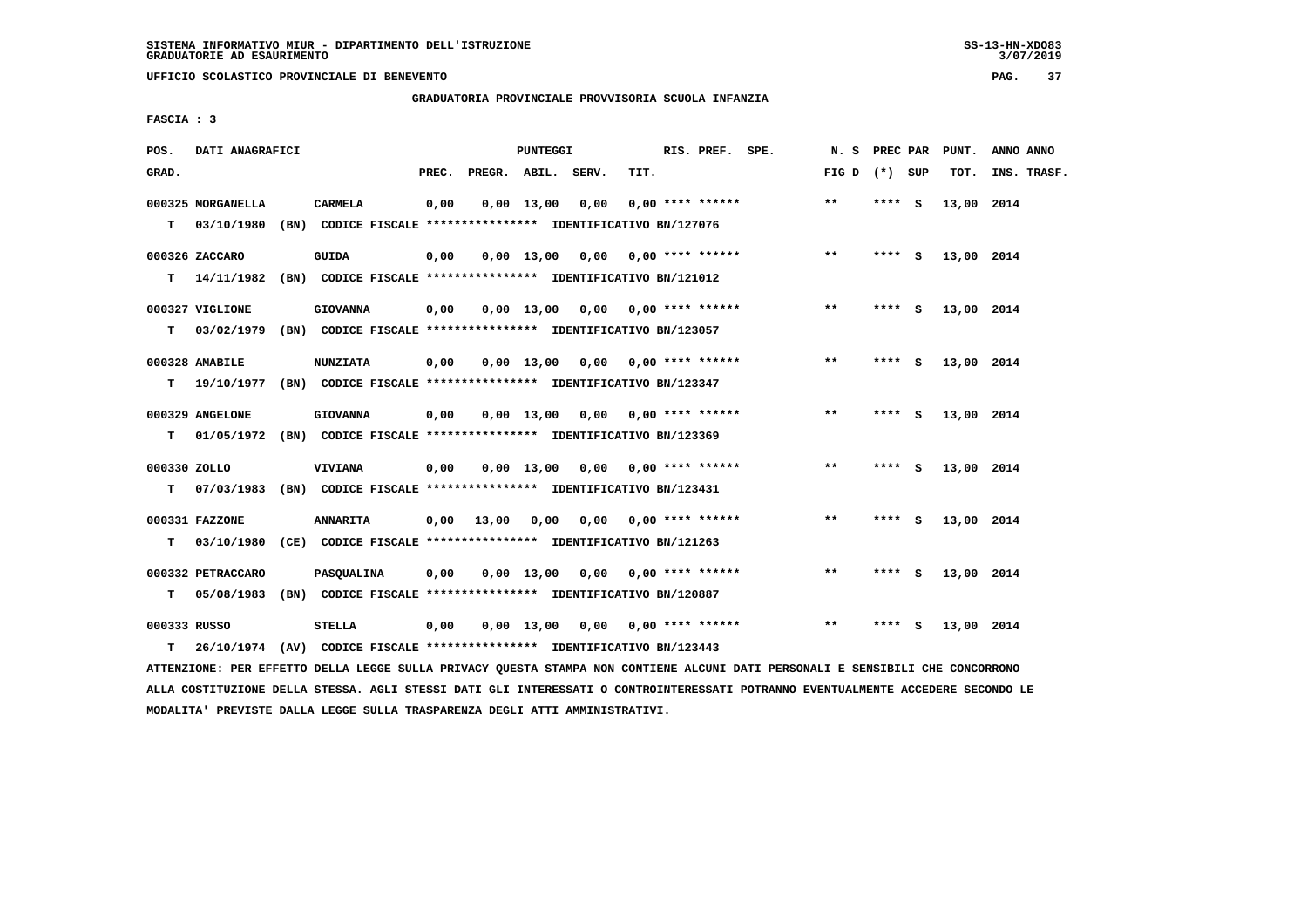# **GRADUATORIA PROVINCIALE PROVVISORIA SCUOLA INFANZIA**

 **FASCIA : 3**

| POS.         | DATI ANAGRAFICI   |                                                               |       |                    | PUNTEGGI     |                                    |                           | RIS. PREF. | SPE. | N.S             | PREC PAR |     | PUNT.      | ANNO ANNO   |
|--------------|-------------------|---------------------------------------------------------------|-------|--------------------|--------------|------------------------------------|---------------------------|------------|------|-----------------|----------|-----|------------|-------------|
| GRAD.        |                   |                                                               | PREC. | PREGR. ABIL. SERV. |              |                                    | TIT.                      |            |      | FIG D $(*)$ SUP |          |     | TOT.       | INS. TRASF. |
|              | 000325 MORGANELLA | <b>CARMELA</b>                                                | 0,00  |                    | $0,00$ 13,00 | 0,00                               | $0.00$ **** ******        |            |      | $***$           | ****     | - S | 13,00 2014 |             |
| т            | 03/10/1980        | (BN) CODICE FISCALE **************** IDENTIFICATIVO BN/127076 |       |                    |              |                                    |                           |            |      |                 |          |     |            |             |
|              | 000326 ZACCARO    | <b>GUIDA</b>                                                  | 0,00  |                    |              | $0,00$ 13,00 0,00 0,00 **** ****** |                           |            |      | $***$           | **** S   |     | 13,00 2014 |             |
| т            | 14/11/1982        | (BN) CODICE FISCALE **************** IDENTIFICATIVO BN/121012 |       |                    |              |                                    |                           |            |      |                 |          |     |            |             |
|              |                   |                                                               |       |                    |              |                                    |                           |            |      | $* *$           |          |     |            |             |
|              | 000327 VIGLIONE   | <b>GIOVANNA</b>                                               | 0,00  |                    |              | $0,00$ 13,00 0,00 0,00 **** ****** |                           |            |      |                 | **** S   |     | 13,00 2014 |             |
| T.           | 03/02/1979        | (BN) CODICE FISCALE **************** IDENTIFICATIVO BN/123057 |       |                    |              |                                    |                           |            |      |                 |          |     |            |             |
|              | 000328 AMABILE    | <b>NUNZIATA</b>                                               | 0,00  |                    | $0.00$ 13,00 |                                    | $0,00$ 0,00 **** ******   |            |      | $***$           | $***$ S  |     | 13,00 2014 |             |
| т            | 19/10/1977        | (BN) CODICE FISCALE **************** IDENTIFICATIVO BN/123347 |       |                    |              |                                    |                           |            |      |                 |          |     |            |             |
|              | 000329 ANGELONE   | <b>GIOVANNA</b>                                               | 0,00  |                    |              | $0,00$ 13,00 0,00 0,00 **** ****** |                           |            |      | $* *$           | $***$ S  |     | 13,00 2014 |             |
| т            | 01/05/1972        | (BN) CODICE FISCALE **************** IDENTIFICATIVO BN/123369 |       |                    |              |                                    |                           |            |      |                 |          |     |            |             |
|              |                   |                                                               |       |                    |              |                                    |                           |            |      |                 |          |     |            |             |
| 000330 ZOLLO |                   | <b>VIVIANA</b>                                                | 0,00  |                    |              | $0.00$ 13.00 0.00 0.00 **** ****** |                           |            |      | $\star\star$    | $***$ S  |     | 13,00 2014 |             |
| т            | 07/03/1983        | (BN) CODICE FISCALE **************** IDENTIFICATIVO BN/123431 |       |                    |              |                                    |                           |            |      |                 |          |     |            |             |
|              | 000331 FAZZONE    | <b>ANNARITA</b>                                               | 0,00  | 13,00              | 0,00         |                                    | $0.00$ $0.00$ **** ****** |            |      | $***$           | $***$ S  |     | 13,00 2014 |             |
| т            | 03/10/1980        | (CE) CODICE FISCALE **************** IDENTIFICATIVO BN/121263 |       |                    |              |                                    |                           |            |      |                 |          |     |            |             |
|              |                   |                                                               |       |                    |              |                                    |                           |            |      |                 |          |     |            |             |
|              | 000332 PETRACCARO | <b>PASOUALINA</b>                                             | 0.00  |                    |              | $0.00$ 13.00 0.00 0.00 **** ****** |                           |            |      | $***$           | **** S   |     | 13,00 2014 |             |
| т            | 05/08/1983        | (BN) CODICE FISCALE **************** IDENTIFICATIVO BN/120887 |       |                    |              |                                    |                           |            |      |                 |          |     |            |             |
| 000333 RUSSO |                   | <b>STELLA</b>                                                 | 0,00  |                    |              | $0,00$ 13,00 0,00 0,00 **** ****** |                           |            |      | $* *$           | ****     | - S | 13,00 2014 |             |
| т            | 26/10/1974        | (AV) CODICE FISCALE **************** IDENTIFICATIVO BN/123443 |       |                    |              |                                    |                           |            |      |                 |          |     |            |             |

 **ATTENZIONE: PER EFFETTO DELLA LEGGE SULLA PRIVACY QUESTA STAMPA NON CONTIENE ALCUNI DATI PERSONALI E SENSIBILI CHE CONCORRONO ALLA COSTITUZIONE DELLA STESSA. AGLI STESSI DATI GLI INTERESSATI O CONTROINTERESSATI POTRANNO EVENTUALMENTE ACCEDERE SECONDO LE MODALITA' PREVISTE DALLA LEGGE SULLA TRASPARENZA DEGLI ATTI AMMINISTRATIVI.**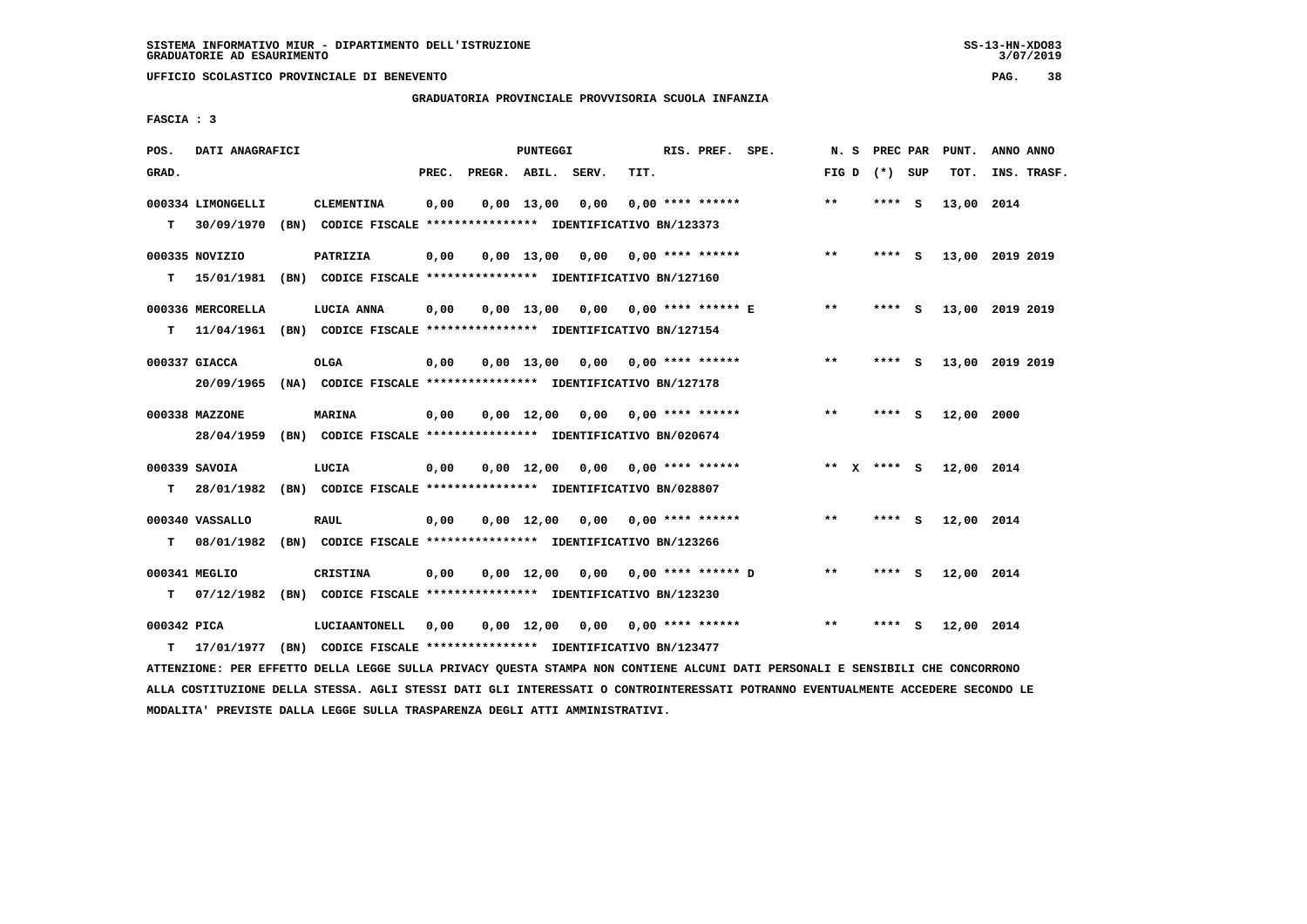**GRADUATORIA PROVINCIALE PROVVISORIA SCUOLA INFANZIA**

 **FASCIA : 3**

| POS.        | DATI ANAGRAFICI              | <b>PUNTEGGI</b>                                               |       |                    |                               |                                    |                           | RIS. PREF.           | SPE. | N. S  | PREC PAR    |     | PUNT.           | ANNO ANNO |             |
|-------------|------------------------------|---------------------------------------------------------------|-------|--------------------|-------------------------------|------------------------------------|---------------------------|----------------------|------|-------|-------------|-----|-----------------|-----------|-------------|
| GRAD.       |                              |                                                               | PREC. | PREGR. ABIL. SERV. |                               |                                    | TIT.                      |                      |      | FIG D | (*) SUP     |     | TOT.            |           | INS. TRASF. |
|             | 000334 LIMONGELLI            | <b>CLEMENTINA</b>                                             | 0,00  |                    | $0,00 \quad 13,00$            | 0,00                               |                           | $0.00$ **** ******   |      | $***$ | $***$ S     |     | 13,00 2014      |           |             |
| т           | 30/09/1970                   | (BN) CODICE FISCALE **************** IDENTIFICATIVO BN/123373 |       |                    |                               |                                    |                           |                      |      |       |             |     |                 |           |             |
|             |                              | PATRIZIA                                                      |       |                    |                               |                                    |                           |                      |      | $* *$ | ****        |     |                 |           |             |
| т           | 000335 NOVIZIO<br>15/01/1981 | (BN) CODICE FISCALE **************** IDENTIFICATIVO BN/127160 | 0,00  |                    | $0.00$ 13,00                  | 0,00                               | 0,00 **** ******          |                      |      |       |             | - S | 13,00 2019 2019 |           |             |
|             |                              |                                                               |       |                    |                               |                                    |                           |                      |      |       |             |     |                 |           |             |
|             | 000336 MERCORELLA            | LUCIA ANNA                                                    | 0,00  |                    | $0.00$ 13.00                  | 0,00                               | 0,00 **** ****** E        |                      |      | $***$ | **** S      |     | 13,00 2019 2019 |           |             |
| т           | 11/04/1961                   | (BN) CODICE FISCALE **************** IDENTIFICATIVO BN/127154 |       |                    |                               |                                    |                           |                      |      |       |             |     |                 |           |             |
|             | 000337 GIACCA                | OLGA                                                          | 0,00  |                    | 0,00 13,00                    | 0,00                               | 0,00 **** ******          |                      |      | $***$ | ****        | - S | 13,00 2019 2019 |           |             |
|             | 20/09/1965                   | (NA) CODICE FISCALE **************** IDENTIFICATIVO BN/127178 |       |                    |                               |                                    |                           |                      |      |       |             |     |                 |           |             |
|             |                              |                                                               |       |                    |                               |                                    |                           |                      |      |       |             |     |                 |           |             |
|             | 000338 MAZZONE               | <b>MARINA</b>                                                 | 0,00  |                    | $0,00 \quad 12,00 \quad 0,00$ |                                    | 0,00 **** ******          |                      |      | $***$ | **** S      |     | 12,00 2000      |           |             |
|             | 28/04/1959                   | (BN) CODICE FISCALE **************** IDENTIFICATIVO BN/020674 |       |                    |                               |                                    |                           |                      |      |       |             |     |                 |           |             |
|             | 000339 SAVOIA                | LUCIA                                                         | 0,00  |                    | $0.00 \quad 12.00$            |                                    | $0,00$ $0,00$ **** ****** |                      |      |       | ** X **** S |     | 12,00 2014      |           |             |
| т           | 28/01/1982                   | (BN) CODICE FISCALE **************** IDENTIFICATIVO BN/028807 |       |                    |                               |                                    |                           |                      |      |       |             |     |                 |           |             |
|             | 000340 VASSALLO              | <b>RAUL</b>                                                   | 0,00  |                    | $0,00$ 12,00                  | 0,00                               | 0,00 **** ******          |                      |      | **    | ****        | - 5 | 12,00 2014      |           |             |
| т           | 08/01/1982                   | (BN) CODICE FISCALE **************** IDENTIFICATIVO BN/123266 |       |                    |                               |                                    |                           |                      |      |       |             |     |                 |           |             |
|             |                              |                                                               |       |                    |                               |                                    |                           |                      |      |       |             |     |                 |           |             |
|             | 000341 MEGLIO                | CRISTINA                                                      | 0,00  |                    | $0,00 \quad 12,00$            | 0.00                               |                           | $0.00$ **** ****** D |      | $* *$ | ****        | - S | 12,00 2014      |           |             |
| т           | 07/12/1982                   | (BN) CODICE FISCALE **************** IDENTIFICATIVO BN/123230 |       |                    |                               |                                    |                           |                      |      |       |             |     |                 |           |             |
| 000342 PICA |                              | LUCIAANTONELL                                                 | 0,00  |                    |                               | $0,00$ 12,00 0,00 0,00 **** ****** |                           |                      |      | $* *$ | **** S      |     | 12,00 2014      |           |             |
| т           | 17/01/1977                   | (BN) CODICE FISCALE **************** IDENTIFICATIVO BN/123477 |       |                    |                               |                                    |                           |                      |      |       |             |     |                 |           |             |
|             |                              |                                                               |       |                    |                               |                                    |                           |                      |      |       |             |     |                 |           |             |

 **ATTENZIONE: PER EFFETTO DELLA LEGGE SULLA PRIVACY QUESTA STAMPA NON CONTIENE ALCUNI DATI PERSONALI E SENSIBILI CHE CONCORRONO ALLA COSTITUZIONE DELLA STESSA. AGLI STESSI DATI GLI INTERESSATI O CONTROINTERESSATI POTRANNO EVENTUALMENTE ACCEDERE SECONDO LE MODALITA' PREVISTE DALLA LEGGE SULLA TRASPARENZA DEGLI ATTI AMMINISTRATIVI.**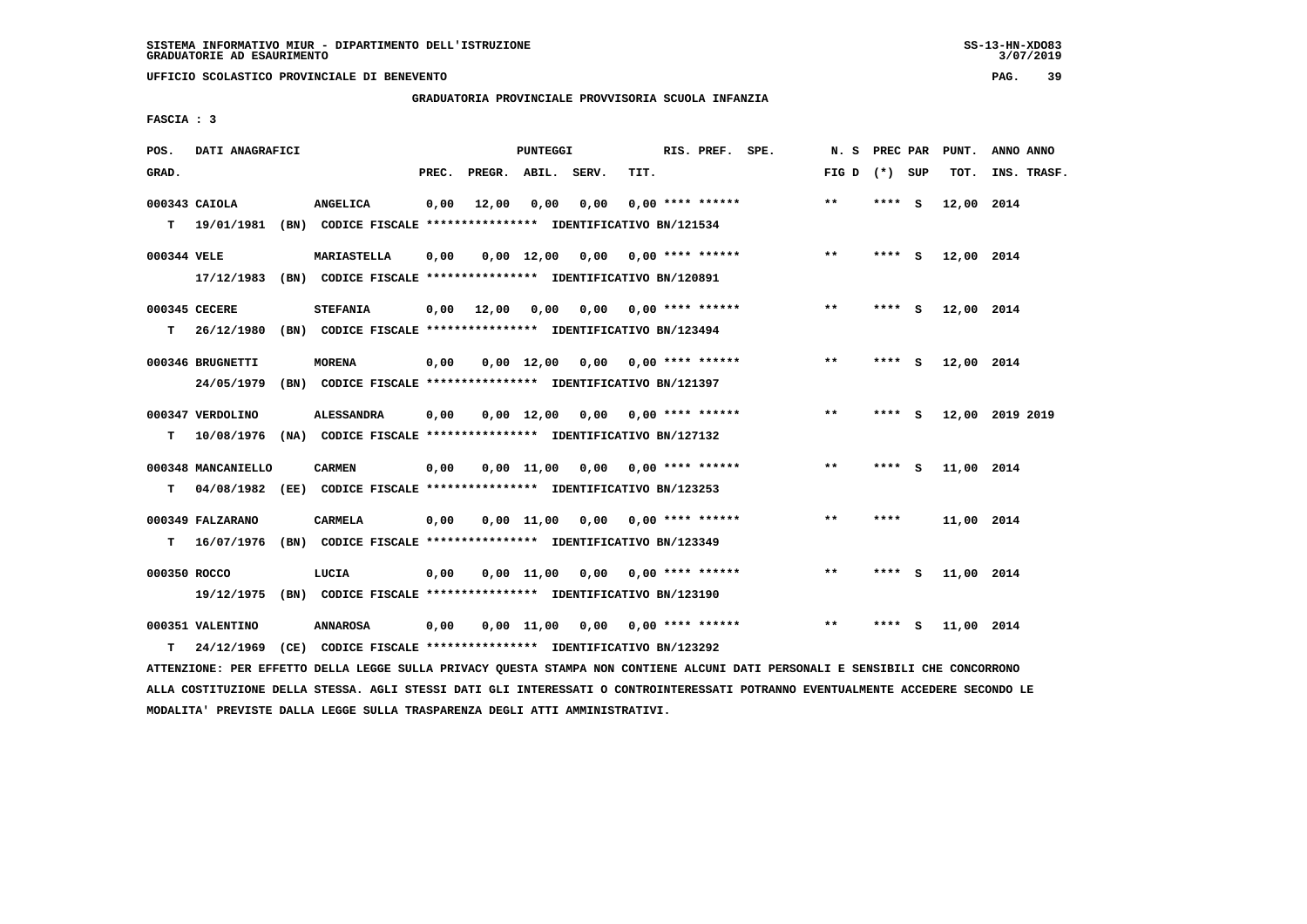# **GRADUATORIA PROVINCIALE PROVVISORIA SCUOLA INFANZIA**

 **FASCIA : 3**

| POS.         | DATI ANAGRAFICI    |      | PUNTEGGI                                                      |       |                    |                    |                       |                           | RIS. PREF. | SPE. | N.S   | PREC PAR |          | PUNT.      | ANNO ANNO       |
|--------------|--------------------|------|---------------------------------------------------------------|-------|--------------------|--------------------|-----------------------|---------------------------|------------|------|-------|----------|----------|------------|-----------------|
| GRAD.        |                    |      |                                                               | PREC. | PREGR. ABIL. SERV. |                    |                       | TIT.                      |            |      | FIG D | (*) SUP  |          | TOT.       | INS. TRASF.     |
|              | 000343 CAIOLA      |      | ANGELICA                                                      | 0,00  | 12,00              | 0,00               | 0,00                  | $0,00$ **** ******        |            |      | $* *$ | **** S   |          | 12,00 2014 |                 |
| т            | 19/01/1981         |      | (BN) CODICE FISCALE **************** IDENTIFICATIVO BN/121534 |       |                    |                    |                       |                           |            |      |       |          |          |            |                 |
| 000344 VELE  |                    |      | <b>MARIASTELLA</b>                                            | 0,00  |                    | $0,00 \quad 12,00$ | 0,00                  | 0,00 **** ******          |            |      | $***$ | **** S   |          | 12,00 2014 |                 |
|              | 17/12/1983         |      | (BN) CODICE FISCALE **************** IDENTIFICATIVO BN/120891 |       |                    |                    |                       |                           |            |      |       |          |          |            |                 |
|              | 000345 CECERE      |      | <b>STEFANIA</b>                                               | 0,00  | 12,00              | 0,00               |                       | $0,00$ $0,00$ **** ****** |            |      | **    | ****     | - S      | 12,00 2014 |                 |
| т            | 26/12/1980         |      | (BN) CODICE FISCALE **************** IDENTIFICATIVO BN/123494 |       |                    |                    |                       |                           |            |      |       |          |          |            |                 |
|              | 000346 BRUGNETTI   |      | <b>MORENA</b>                                                 | 0,00  |                    | $0,00 \quad 12,00$ |                       | $0,00$ $0,00$ **** ****** |            |      | $* *$ | ****     | <b>S</b> | 12,00 2014 |                 |
|              | 24/05/1979         |      | (BN) CODICE FISCALE **************** IDENTIFICATIVO BN/121397 |       |                    |                    |                       |                           |            |      |       |          |          |            |                 |
|              | 000347 VERDOLINO   |      | <b>ALESSANDRA</b>                                             | 0,00  |                    | $0,00$ 12,00       |                       | $0.00$ $0.00$ **** ****** |            |      | **    | ****     | - S      |            | 12,00 2019 2019 |
| т            | 10/08/1976         |      | (NA) CODICE FISCALE **************** IDENTIFICATIVO BN/127132 |       |                    |                    |                       |                           |            |      |       |          |          |            |                 |
|              | 000348 MANCANIELLO |      | <b>CARMEN</b>                                                 | 0,00  |                    |                    | $0.00$ $11.00$ $0.00$ | 0,00 **** ******          |            |      | $***$ | ****     | - S      | 11,00 2014 |                 |
| т            | 04/08/1982         |      | (EE) CODICE FISCALE **************** IDENTIFICATIVO BN/123253 |       |                    |                    |                       |                           |            |      |       |          |          |            |                 |
|              | 000349 FALZARANO   |      | <b>CARMELA</b>                                                | 0,00  |                    | 0,00 11,00         | 0,00                  | $0.00$ **** ******        |            |      | $* *$ | ****     |          | 11,00 2014 |                 |
| т            | 16/07/1976         |      | (BN) CODICE FISCALE **************** IDENTIFICATIVO BN/123349 |       |                    |                    |                       |                           |            |      |       |          |          |            |                 |
| 000350 ROCCO |                    |      | LUCIA                                                         | 0,00  |                    | 0.00 11.00         | 0,00                  | 0,00 **** ******          |            |      | $***$ | ****     | - 5      | 11,00 2014 |                 |
|              | 19/12/1975         |      | (BN) CODICE FISCALE **************** IDENTIFICATIVO BN/123190 |       |                    |                    |                       |                           |            |      |       |          |          |            |                 |
|              | 000351 VALENTINO   |      | <b>ANNAROSA</b>                                               | 0.00  |                    | $0,00$ 11,00       |                       | $0,00$ $0,00$ **** ****** |            |      | $***$ | ****     | - S      | 11,00 2014 |                 |
| т            | 24/12/1969         | (CE) | CODICE FISCALE **************** IDENTIFICATIVO BN/123292      |       |                    |                    |                       |                           |            |      |       |          |          |            |                 |

 **ATTENZIONE: PER EFFETTO DELLA LEGGE SULLA PRIVACY QUESTA STAMPA NON CONTIENE ALCUNI DATI PERSONALI E SENSIBILI CHE CONCORRONO ALLA COSTITUZIONE DELLA STESSA. AGLI STESSI DATI GLI INTERESSATI O CONTROINTERESSATI POTRANNO EVENTUALMENTE ACCEDERE SECONDO LE MODALITA' PREVISTE DALLA LEGGE SULLA TRASPARENZA DEGLI ATTI AMMINISTRATIVI.**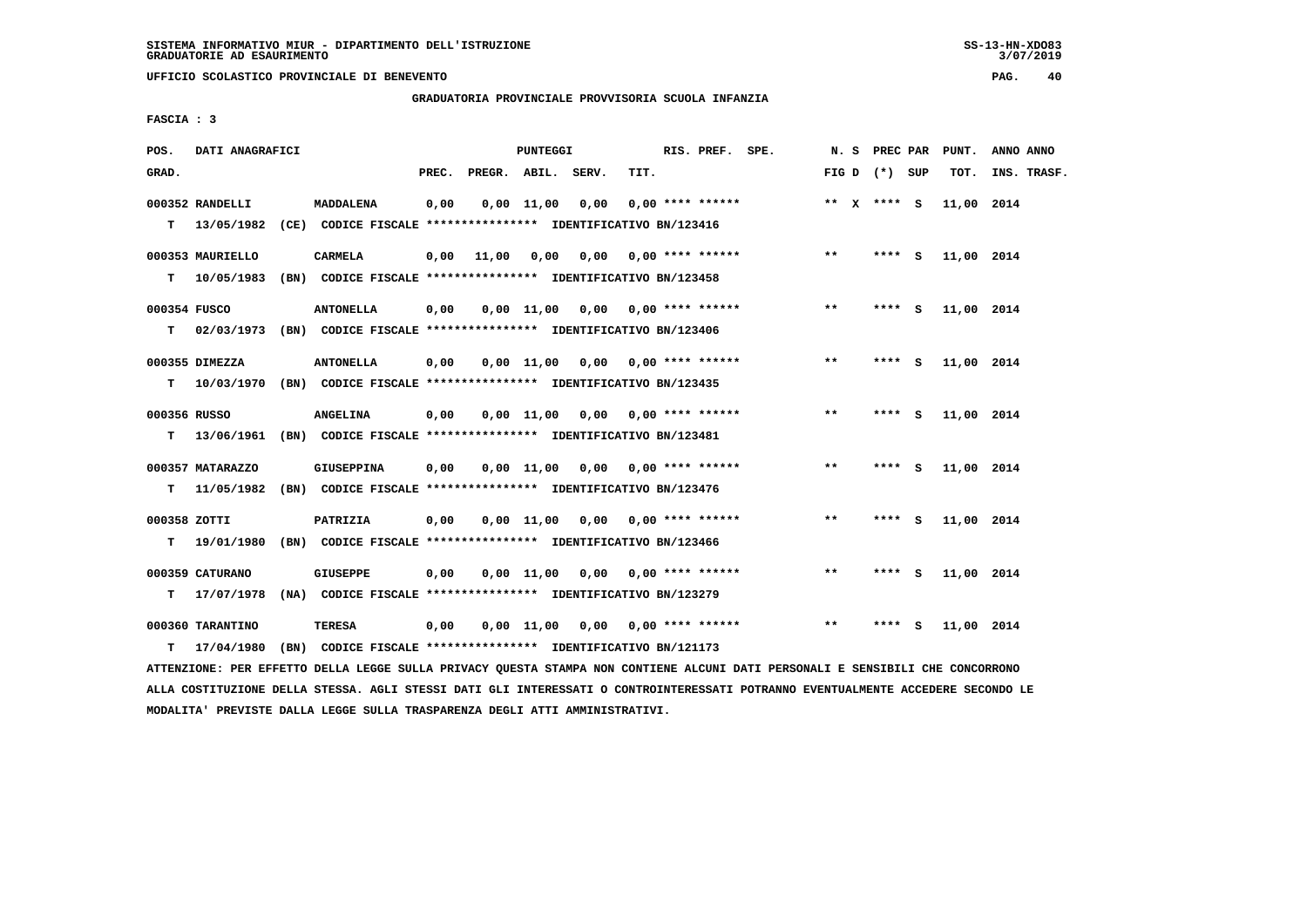**GRADUATORIA PROVINCIALE PROVVISORIA SCUOLA INFANZIA**

 **FASCIA : 3**

| POS.         | DATI ANAGRAFICI               | <b>PUNTEGGI</b>                                                           |       |                    |                       |                                    |      | RIS. PREF. SPE.    |  | N. S  | <b>PREC PAR</b> |     | PUNT.      | ANNO ANNO   |
|--------------|-------------------------------|---------------------------------------------------------------------------|-------|--------------------|-----------------------|------------------------------------|------|--------------------|--|-------|-----------------|-----|------------|-------------|
| GRAD.        |                               |                                                                           | PREC. | PREGR. ABIL. SERV. |                       |                                    | TIT. |                    |  |       | FIG D $(*)$ SUP |     | TOT.       | INS. TRASF. |
|              | 000352 RANDELLI               | <b>MADDALENA</b>                                                          | 0,00  |                    | $0,00$ $11,00$ $0,00$ |                                    |      | $0.00$ **** ****** |  |       | ** $X$ **** S   |     | 11,00 2014 |             |
| т            | 13/05/1982                    | (CE) CODICE FISCALE **************** IDENTIFICATIVO BN/123416             |       |                    |                       |                                    |      |                    |  |       |                 |     |            |             |
|              | 000353 MAURIELLO              | <b>CARMELA</b>                                                            | 0,00  | 11,00              |                       | 0,00 0,00 0,00 **** ******         |      |                    |  | $* *$ | $***$ S         |     | 11,00 2014 |             |
| т            | 10/05/1983                    | (BN) CODICE FISCALE **************** IDENTIFICATIVO BN/123458             |       |                    |                       |                                    |      |                    |  |       |                 |     |            |             |
| 000354 FUSCO |                               | <b>ANTONELLA</b>                                                          | 0,00  |                    |                       | $0.00$ 11.00 0.00 0.00 **** ****** |      |                    |  | $* *$ | **** S          |     | 11,00 2014 |             |
| т            | 02/03/1973                    | (BN) CODICE FISCALE *************** IDENTIFICATIVO BN/123406              |       |                    |                       |                                    |      |                    |  |       |                 |     |            |             |
|              | 000355 DIMEZZA                | <b>ANTONELLA</b>                                                          | 0,00  |                    |                       | $0.00$ 11.00 0.00 0.00 **** ****** |      |                    |  | $**$  | **** S          |     | 11,00 2014 |             |
| T.           | 10/03/1970                    | (BN) CODICE FISCALE *************** IDENTIFICATIVO BN/123435              |       |                    |                       |                                    |      |                    |  |       |                 |     |            |             |
| 000356 RUSSO |                               | <b>ANGELINA</b>                                                           | 0,00  |                    |                       | $0.00$ 11.00 0.00 0.00 **** ****** |      |                    |  | $***$ | **** S          |     | 11,00 2014 |             |
| т            | 13/06/1961                    | (BN) CODICE FISCALE **************** IDENTIFICATIVO BN/123481             |       |                    |                       |                                    |      |                    |  |       |                 |     |            |             |
|              | 000357 MATARAZZO              | <b>GIUSEPPINA</b>                                                         | 0,00  |                    |                       | $0,00$ 11,00 0,00 0,00 **** ****** |      |                    |  | $* *$ | **** S          |     | 11,00 2014 |             |
| т            | 11/05/1982                    | (BN) CODICE FISCALE **************** IDENTIFICATIVO BN/123476             |       |                    |                       |                                    |      |                    |  |       |                 |     |            |             |
| 000358 ZOTTI |                               | PATRIZIA                                                                  | 0,00  |                    |                       | $0,00$ 11,00 0,00 0,00 **** ****** |      |                    |  | $***$ | **** S          |     | 11,00 2014 |             |
| T.           | 19/01/1980                    | (BN) CODICE FISCALE **************** IDENTIFICATIVO BN/123466             |       |                    |                       |                                    |      |                    |  |       |                 |     |            |             |
|              |                               |                                                                           |       |                    |                       |                                    |      |                    |  |       |                 |     |            |             |
| т            | 000359 CATURANO<br>17/07/1978 | GIUSEPPE<br>(NA) CODICE FISCALE **************** IDENTIFICATIVO BN/123279 | 0,00  |                    |                       | $0,00$ 11,00 0,00 0,00 **** ****** |      |                    |  | **    | **** S          |     | 11,00 2014 |             |
|              |                               |                                                                           |       |                    |                       |                                    |      |                    |  |       |                 |     |            |             |
|              | 000360 TARANTINO              | <b>TERESA</b>                                                             | 0,00  |                    |                       | $0,00$ 11,00 0,00 0,00 **** ****** |      |                    |  | $**$  | ****            | - S | 11,00 2014 |             |
| т            | 17/04/1980                    | (BN) CODICE FISCALE **************** IDENTIFICATIVO BN/121173             |       |                    |                       |                                    |      |                    |  |       |                 |     |            |             |

 **ATTENZIONE: PER EFFETTO DELLA LEGGE SULLA PRIVACY QUESTA STAMPA NON CONTIENE ALCUNI DATI PERSONALI E SENSIBILI CHE CONCORRONO ALLA COSTITUZIONE DELLA STESSA. AGLI STESSI DATI GLI INTERESSATI O CONTROINTERESSATI POTRANNO EVENTUALMENTE ACCEDERE SECONDO LE MODALITA' PREVISTE DALLA LEGGE SULLA TRASPARENZA DEGLI ATTI AMMINISTRATIVI.**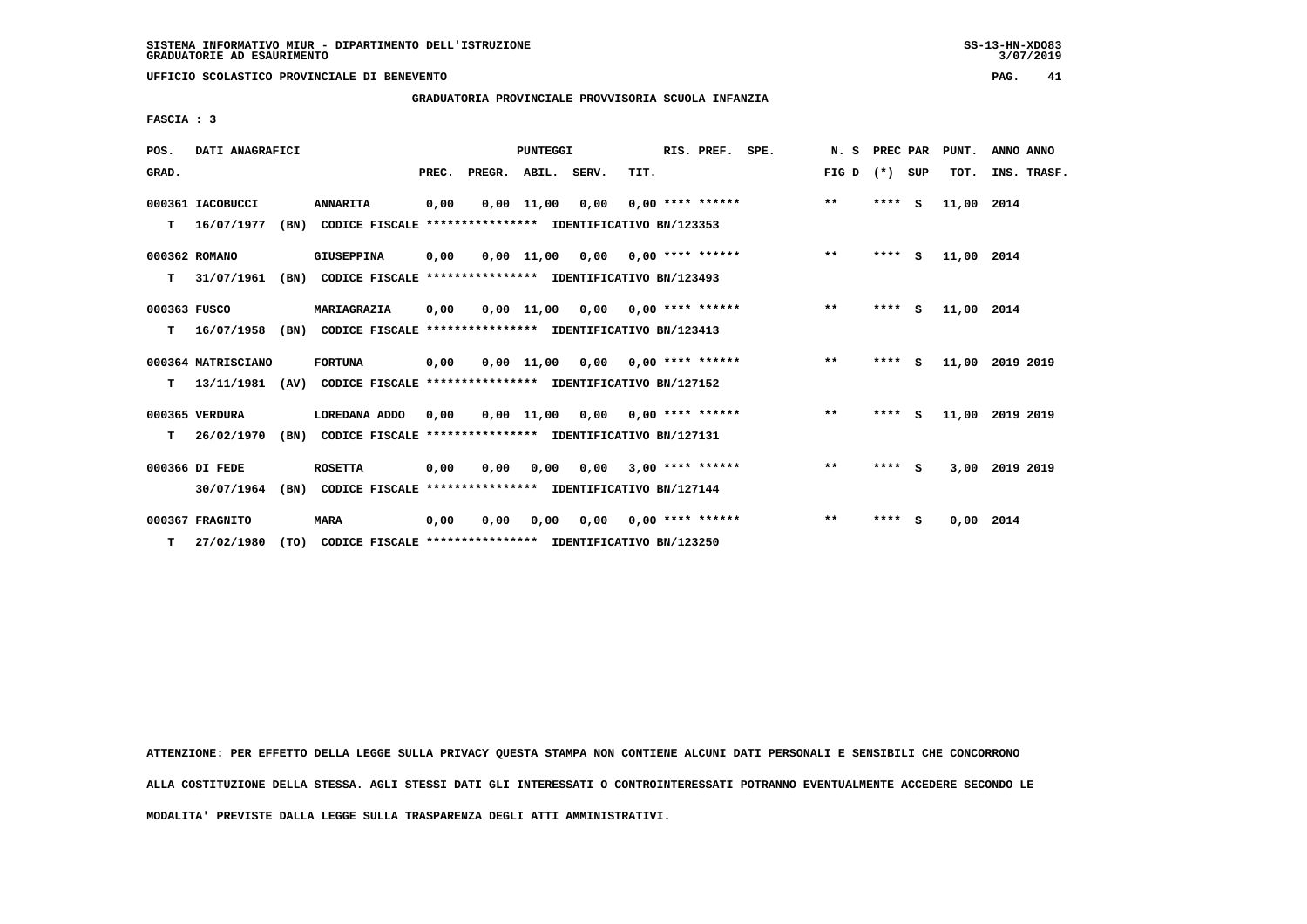$3/07/2019$ 

 **UFFICIO SCOLASTICO PROVINCIALE DI BENEVENTO PAG. 41**

 **GRADUATORIA PROVINCIALE PROVVISORIA SCUOLA INFANZIA**

 **FASCIA : 3**

| POS.         | DATI ANAGRAFICI    |      |                                                               |       |                    | <b>PUNTEGGI</b> |      |                                    | RIS. PREF.         | SPE. | N.S   | PREC PAR |          | PUNT.       | ANNO ANNO       |
|--------------|--------------------|------|---------------------------------------------------------------|-------|--------------------|-----------------|------|------------------------------------|--------------------|------|-------|----------|----------|-------------|-----------------|
| GRAD.        |                    |      |                                                               | PREC. | PREGR. ABIL. SERV. |                 |      | TIT.                               |                    |      | FIG D | $(*)$    | SUP      | TOT.        | INS. TRASF.     |
|              | 000361 IACOBUCCI   |      | <b>ANNARITA</b>                                               | 0,00  |                    | $0,00$ 11,00    | 0,00 |                                    | $0,00$ **** ****** |      | $***$ | ****     | - S      | 11,00       | 2014            |
| т            | 16/07/1977         | (BN) | CODICE FISCALE **************** IDENTIFICATIVO BN/123353      |       |                    |                 |      |                                    |                    |      |       |          |          |             |                 |
|              | 000362 ROMANO      |      | GIUSEPPINA                                                    | 0,00  |                    | 0,00 11,00      |      | $0,00$ $0,00$ **** ******          |                    |      | $***$ | $***$ S  |          | 11,00 2014  |                 |
| т            | 31/07/1961         | (BN) | CODICE FISCALE **************** IDENTIFICATIVO BN/123493      |       |                    |                 |      |                                    |                    |      |       |          |          |             |                 |
| 000363 FUSCO |                    |      | MARIAGRAZIA                                                   | 0,00  |                    | 0,00 11,00      |      | $0,00$ $0,00$ **** ******          |                    |      | $***$ | ****     | <b>S</b> | 11,00 2014  |                 |
| т            | 16/07/1958         | (BN) | CODICE FISCALE **************** IDENTIFICATIVO BN/123413      |       |                    |                 |      |                                    |                    |      |       |          |          |             |                 |
|              | 000364 MATRISCIANO |      | <b>FORTUNA</b>                                                | 0,00  |                    | 0,00 11,00      |      | $0.00$ $0.00$ $***$ **** ******    |                    |      | $* *$ | ****     | <b>S</b> |             | 11,00 2019 2019 |
| т            | 13/11/1981         | (AV) | CODICE FISCALE **************** IDENTIFICATIVO BN/127152      |       |                    |                 |      |                                    |                    |      |       |          |          |             |                 |
|              | 000365 VERDURA     |      | LOREDANA ADDO                                                 | 0.00  |                    |                 |      | $0.00$ 11,00 0.00 0.00 **** ****** |                    |      | $**$  | $***$ S  |          | 11,00       | 2019 2019       |
| т            | 26/02/1970         | (BN) | CODICE FISCALE **************** IDENTIFICATIVO BN/127131      |       |                    |                 |      |                                    |                    |      |       |          |          |             |                 |
|              | 000366 DI FEDE     |      | <b>ROSETTA</b>                                                | 0,00  | 0,00               | 0,00            | 0,00 |                                    | $3,00$ **** ****** |      | $***$ | $***$ S  |          | 3,00        | 2019 2019       |
|              | 30/07/1964         | (BN) | CODICE FISCALE **************** IDENTIFICATIVO BN/127144      |       |                    |                 |      |                                    |                    |      |       |          |          |             |                 |
|              | 000367 FRAGNITO    |      | <b>MARA</b>                                                   | 0,00  | 0.00               | 0,00            |      | $0,00$ $0,00$ **** ******          |                    |      | $* *$ | ****     | - S      | $0.00$ 2014 |                 |
| T.           | 27/02/1980         |      | (TO) CODICE FISCALE **************** IDENTIFICATIVO BN/123250 |       |                    |                 |      |                                    |                    |      |       |          |          |             |                 |